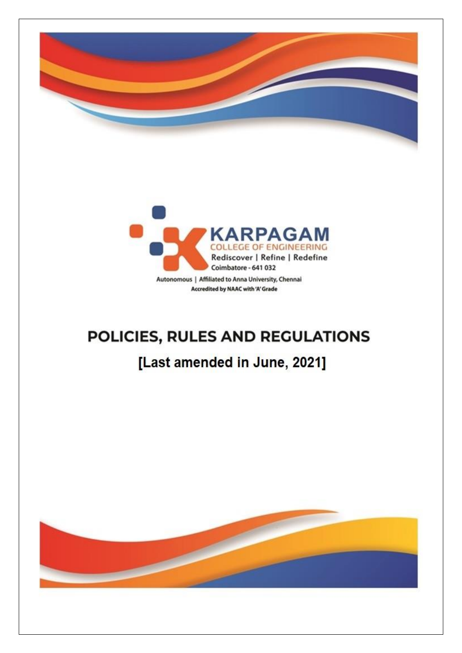



# POLICIES, RULES AND REGULATIONS

## [Last amended in June, 2021]

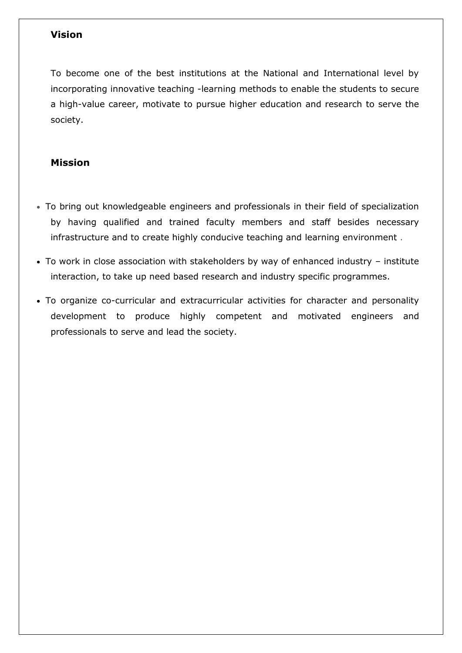## **Vision**

To become one of the best institutions at the National and International level by incorporating innovative teaching -learning methods to enable the students to secure a high-value career, motivate to pursue higher education and research to serve the society.

## **Mission**

- To bring out knowledgeable engineers and professionals in their field of specialization by having qualified and trained faculty members and staff besides necessary infrastructure and to create highly conducive teaching and learning environment .
- To work in close association with stakeholders by way of enhanced industry institute interaction, to take up need based research and industry specific programmes.
- To organize co-curricular and extracurricular activities for character and personality development to produce highly competent and motivated engineers and professionals to serve and lead the society.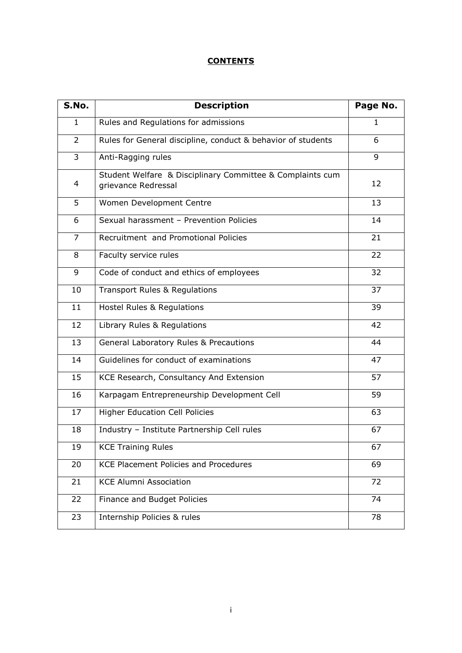## **CONTENTS**

| S.No.          | <b>Description</b>                                                               | Page No. |
|----------------|----------------------------------------------------------------------------------|----------|
| 1              | Rules and Regulations for admissions                                             | 1        |
| 2              | Rules for General discipline, conduct & behavior of students                     | 6        |
| 3              | Anti-Ragging rules                                                               | 9        |
| 4              | Student Welfare & Disciplinary Committee & Complaints cum<br>grievance Redressal | 12       |
| 5              | Women Development Centre                                                         | 13       |
| 6              | Sexual harassment - Prevention Policies                                          | 14       |
| $\overline{7}$ | Recruitment and Promotional Policies                                             | 21       |
| 8              | Faculty service rules                                                            | 22       |
| 9              | Code of conduct and ethics of employees                                          | 32       |
| 10             | <b>Transport Rules &amp; Regulations</b>                                         | 37       |
| 11             | Hostel Rules & Regulations                                                       | 39       |
| 12             | Library Rules & Regulations                                                      | 42       |
| 13             | General Laboratory Rules & Precautions                                           | 44       |
| 14             | Guidelines for conduct of examinations                                           | 47       |
| 15             | KCE Research, Consultancy And Extension                                          | 57       |
| 16             | Karpagam Entrepreneurship Development Cell                                       | 59       |
| 17             | <b>Higher Education Cell Policies</b>                                            | 63       |
| 18             | Industry - Institute Partnership Cell rules                                      | 67       |
| 19             | <b>KCE Training Rules</b>                                                        | 67       |
| 20             | <b>KCE Placement Policies and Procedures</b>                                     | 69       |
| 21             | <b>KCE Alumni Association</b>                                                    | 72       |
| 22             | Finance and Budget Policies                                                      | 74       |
| 23             | Internship Policies & rules                                                      | 78       |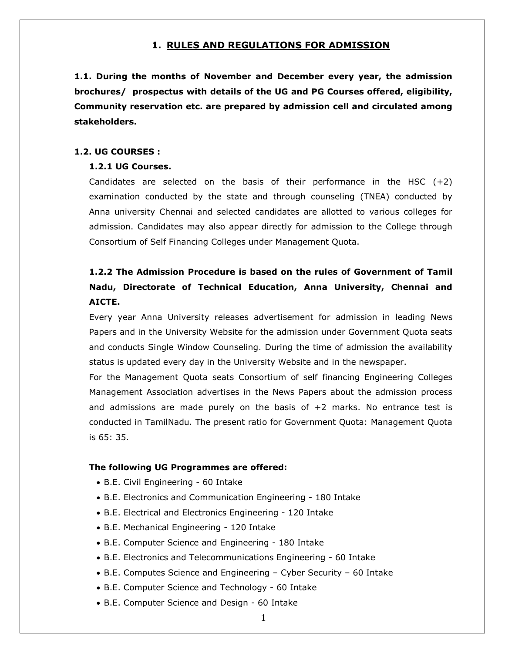## **1. RULES AND REGULATIONS FOR ADMISSION**

**1.1. During the months of November and December every year, the admission brochures/ prospectus with details of the UG and PG Courses offered, eligibility, Community reservation etc. are prepared by admission cell and circulated among stakeholders.**

## **1.2. UG COURSES :**

## **1.2.1 UG Courses.**

Candidates are selected on the basis of their performance in the HSC  $(+2)$ examination conducted by the state and through counseling (TNEA) conducted by Anna university Chennai and selected candidates are allotted to various colleges for admission. Candidates may also appear directly for admission to the College through Consortium of Self Financing Colleges under Management Quota.

## **1.2.2 The Admission Procedure is based on the rules of Government of Tamil Nadu, Directorate of Technical Education, Anna University, Chennai and AICTE.**

Every year Anna University releases advertisement for admission in leading News Papers and in the University Website for the admission under Government Quota seats and conducts Single Window Counseling. During the time of admission the availability status is updated every day in the University Website and in the newspaper.

For the Management Quota seats Consortium of self financing Engineering Colleges Management Association advertises in the News Papers about the admission process and admissions are made purely on the basis of  $+2$  marks. No entrance test is conducted in TamilNadu. The present ratio for Government Quota: Management Quota is 65: 35.

## **The following UG Programmes are offered:**

- B.E. Civil Engineering 60 Intake
- B.E. Electronics and Communication Engineering 180 Intake
- B.E. Electrical and Electronics Engineering 120 Intake
- B.E. Mechanical Engineering 120 Intake
- B.E. Computer Science and Engineering 180 Intake
- B.E. Electronics and Telecommunications Engineering 60 Intake
- B.E. Computes Science and Engineering Cyber Security 60 Intake
- B.E. Computer Science and Technology 60 Intake
- B.E. Computer Science and Design 60 Intake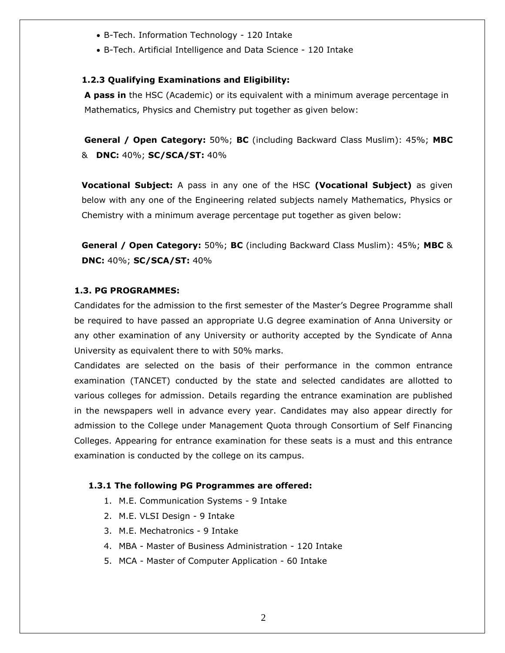- B-Tech. Information Technology 120 Intake
- B-Tech. Artificial Intelligence and Data Science 120 Intake

## **1.2.3 Qualifying Examinations and Eligibility:**

**A pass in** the HSC (Academic) or its equivalent with a minimum average percentage in Mathematics, Physics and Chemistry put together as given below:

**General / Open Category:** 50%; **BC** (including Backward Class Muslim): 45%; **MBC** & **DNC:** 40%; **SC/SCA/ST:** 40%

**Vocational Subject:** A pass in any one of the HSC **(Vocational Subject)** as given below with any one of the Engineering related subjects namely Mathematics, Physics or Chemistry with a minimum average percentage put together as given below:

**General / Open Category:** 50%; **BC** (including Backward Class Muslim): 45%; **MBC** & **DNC:** 40%; **SC/SCA/ST:** 40%

## **1.3. PG PROGRAMMES:**

Candidates for the admission to the first semester of the Master"s Degree Programme shall be required to have passed an appropriate U.G degree examination of Anna University or any other examination of any University or authority accepted by the Syndicate of Anna University as equivalent there to with 50% marks.

Candidates are selected on the basis of their performance in the common entrance examination (TANCET) conducted by the state and selected candidates are allotted to various colleges for admission. Details regarding the entrance examination are published in the newspapers well in advance every year. Candidates may also appear directly for admission to the College under Management Quota through Consortium of Self Financing Colleges. Appearing for entrance examination for these seats is a must and this entrance examination is conducted by the college on its campus.

## **1.3.1 The following PG Programmes are offered:**

- 1. M.E. Communication Systems 9 Intake
- 2. M.E. VLSI Design 9 Intake
- 3. M.E. Mechatronics 9 Intake
- 4. MBA Master of Business Administration 120 Intake
- 5. MCA Master of Computer Application 60 Intake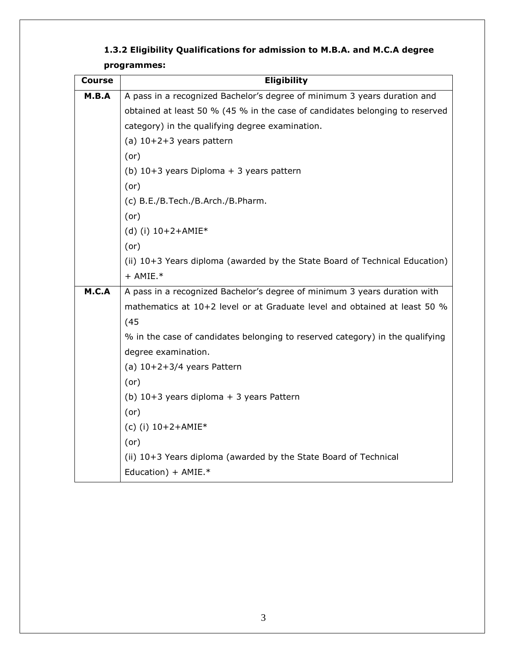| Course | <b>Eligibility</b>                                                                                                              |  |
|--------|---------------------------------------------------------------------------------------------------------------------------------|--|
| M.B.A  | A pass in a recognized Bachelor's degree of minimum 3 years duration and                                                        |  |
|        | obtained at least 50 % (45 % in the case of candidates belonging to reserved<br>category) in the qualifying degree examination. |  |
|        |                                                                                                                                 |  |
|        | (a) $10+2+3$ years pattern                                                                                                      |  |
|        | (or)                                                                                                                            |  |
|        | (b) $10+3$ years Diploma + 3 years pattern                                                                                      |  |
|        | (or)                                                                                                                            |  |
|        | (c) B.E./B.Tech./B.Arch./B.Pharm.                                                                                               |  |
|        | (or)                                                                                                                            |  |
|        | (d) (i) $10+2+AMIE*$                                                                                                            |  |
|        | $($ or $)$                                                                                                                      |  |
|        | (ii) 10+3 Years diploma (awarded by the State Board of Technical Education)                                                     |  |
|        | $+$ AMIE. $*$                                                                                                                   |  |
| M.C.A  | A pass in a recognized Bachelor's degree of minimum 3 years duration with                                                       |  |
|        | mathematics at 10+2 level or at Graduate level and obtained at least 50 %<br>(45)                                               |  |
|        |                                                                                                                                 |  |
|        | % in the case of candidates belonging to reserved category) in the qualifying                                                   |  |
|        | degree examination.                                                                                                             |  |
|        | (a) $10+2+3/4$ years Pattern                                                                                                    |  |
|        | (or)                                                                                                                            |  |
|        | (b) $10+3$ years diploma + 3 years Pattern                                                                                      |  |
|        | (or)                                                                                                                            |  |
|        | (c) (i) $10+2+AMIE*$                                                                                                            |  |
|        | (or)                                                                                                                            |  |
|        | (ii) 10+3 Years diploma (awarded by the State Board of Technical                                                                |  |
|        | Education) + $AMIE.*$                                                                                                           |  |

## **1.3.2 Eligibility Qualifications for admission to M.B.A. and M.C.A degree programmes:**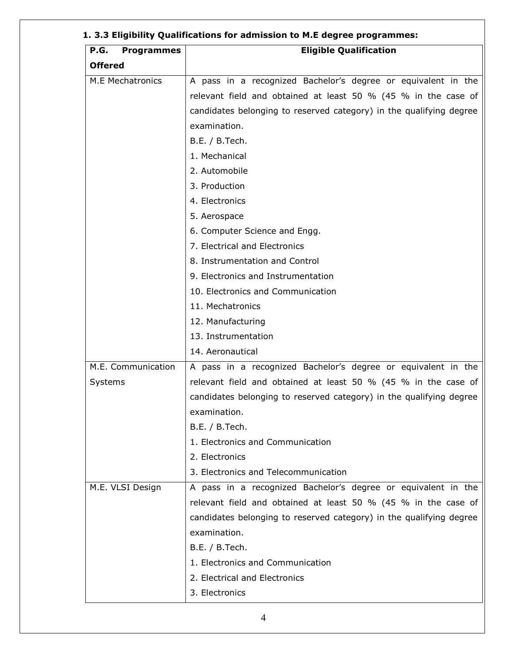| <b>P.G.</b><br><b>Programmes</b> | <b>Eligible Qualification</b>                                       |
|----------------------------------|---------------------------------------------------------------------|
| <b>Offered</b>                   |                                                                     |
| <b>M.E Mechatronics</b>          | A pass in a recognized Bachelor's degree or equivalent in the       |
|                                  | relevant field and obtained at least 50 % (45 % in the case of      |
|                                  | candidates belonging to reserved category) in the qualifying degree |
|                                  | examination.                                                        |
|                                  | B.E. / B.Tech.                                                      |
|                                  | 1. Mechanical                                                       |
|                                  | 2. Automobile                                                       |
|                                  | 3. Production                                                       |
|                                  | 4. Electronics                                                      |
|                                  | 5. Aerospace                                                        |
|                                  | 6. Computer Science and Engg.                                       |
|                                  | 7. Electrical and Electronics                                       |
|                                  | 8. Instrumentation and Control                                      |
|                                  | 9. Electronics and Instrumentation                                  |
|                                  | 10. Electronics and Communication                                   |
|                                  | 11. Mechatronics                                                    |
|                                  | 12. Manufacturing                                                   |
|                                  | 13. Instrumentation                                                 |
|                                  | 14. Aeronautical                                                    |
| M.E. Communication               | A pass in a recognized Bachelor's degree or equivalent in the       |
| Systems                          | relevant field and obtained at least 50 % (45 % in the case of      |
|                                  | candidates belonging to reserved category) in the qualifying degree |
|                                  | examination.                                                        |
|                                  | B.E. / B.Tech.                                                      |
|                                  | 1. Electronics and Communication                                    |
|                                  | 2. Electronics                                                      |
|                                  | 3. Electronics and Telecommunication                                |
| M.E. VLSI Design                 | A pass in a recognized Bachelor's degree or equivalent in the       |
|                                  | relevant field and obtained at least 50 % (45 % in the case of      |
|                                  | candidates belonging to reserved category) in the qualifying degree |
|                                  | examination.                                                        |
|                                  | B.E. / B.Tech.                                                      |
|                                  | 1. Electronics and Communication                                    |
|                                  | 2. Electrical and Electronics                                       |
|                                  | 3. Electronics                                                      |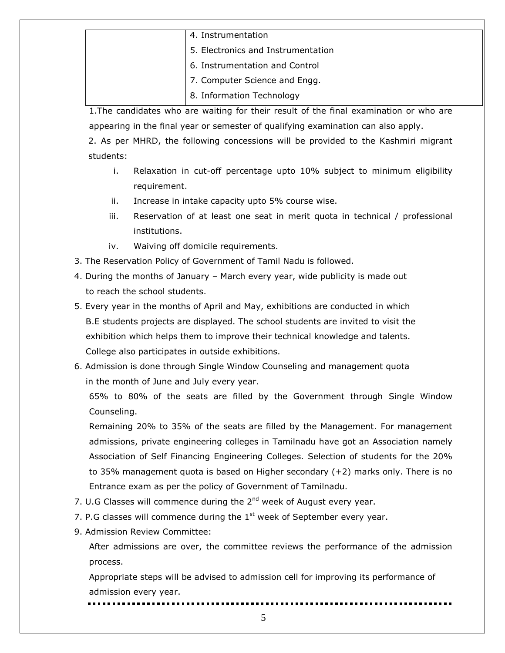|  | 4. Instrumentation                 |
|--|------------------------------------|
|  | 5. Electronics and Instrumentation |
|  | 6. Instrumentation and Control     |
|  | 7. Computer Science and Engg.      |
|  | 8. Information Technology          |

1.The candidates who are waiting for their result of the final examination or who are appearing in the final year or semester of qualifying examination can also apply. 2. As per MHRD, the following concessions will be provided to the Kashmiri migrant students:

- i. Relaxation in cut-off percentage upto 10% subject to minimum eligibility requirement.
- ii. Increase in intake capacity upto 5% course wise.
- iii. Reservation of at least one seat in merit quota in technical / professional institutions.
- iv. Waiving off domicile requirements.
- 3. The Reservation Policy of Government of Tamil Nadu is followed.
- 4. During the months of January March every year, wide publicity is made out to reach the school students.
- 5. Every year in the months of April and May, exhibitions are conducted in which B.E students projects are displayed. The school students are invited to visit the exhibition which helps them to improve their technical knowledge and talents. College also participates in outside exhibitions.
- 6. Admission is done through Single Window Counseling and management quota in the month of June and July every year.

65% to 80% of the seats are filled by the Government through Single Window Counseling.

Remaining 20% to 35% of the seats are filled by the Management. For management admissions, private engineering colleges in Tamilnadu have got an Association namely Association of Self Financing Engineering Colleges. Selection of students for the 20% to 35% management quota is based on Higher secondary (+2) marks only. There is no Entrance exam as per the policy of Government of Tamilnadu.

- 7. U.G Classes will commence during the  $2<sup>nd</sup>$  week of August every year.
- 7. P.G classes will commence during the  $1<sup>st</sup>$  week of September every year.
- 9. Admission Review Committee:

After admissions are over, the committee reviews the performance of the admission process.

Appropriate steps will be advised to admission cell for improving its performance of admission every year.

5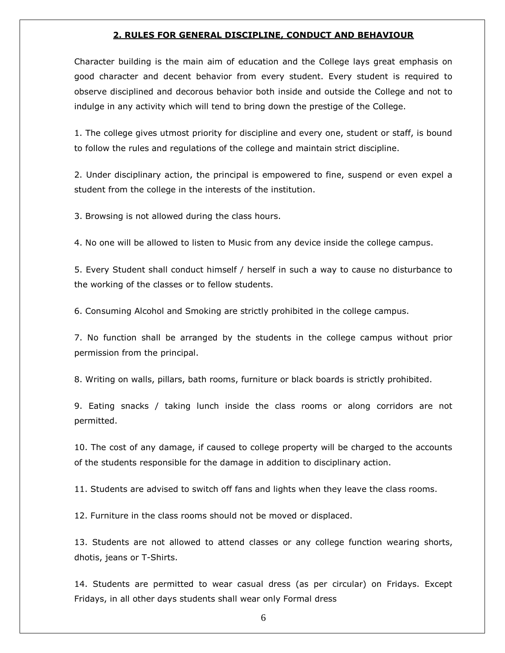#### **2. RULES FOR GENERAL DISCIPLINE, CONDUCT AND BEHAVIOUR**

Character building is the main aim of education and the College lays great emphasis on good character and decent behavior from every student. Every student is required to observe disciplined and decorous behavior both inside and outside the College and not to indulge in any activity which will tend to bring down the prestige of the College.

1. The college gives utmost priority for discipline and every one, student or staff, is bound to follow the rules and regulations of the college and maintain strict discipline.

2. Under disciplinary action, the principal is empowered to fine, suspend or even expel a student from the college in the interests of the institution.

3. Browsing is not allowed during the class hours.

4. No one will be allowed to listen to Music from any device inside the college campus.

5. Every Student shall conduct himself / herself in such a way to cause no disturbance to the working of the classes or to fellow students.

6. Consuming Alcohol and Smoking are strictly prohibited in the college campus.

7. No function shall be arranged by the students in the college campus without prior permission from the principal.

8. Writing on walls, pillars, bath rooms, furniture or black boards is strictly prohibited.

9. Eating snacks / taking lunch inside the class rooms or along corridors are not permitted.

10. The cost of any damage, if caused to college property will be charged to the accounts of the students responsible for the damage in addition to disciplinary action.

11. Students are advised to switch off fans and lights when they leave the class rooms.

12. Furniture in the class rooms should not be moved or displaced.

13. Students are not allowed to attend classes or any college function wearing shorts, dhotis, jeans or T-Shirts.

14. Students are permitted to wear casual dress (as per circular) on Fridays. Except Fridays, in all other days students shall wear only Formal dress

6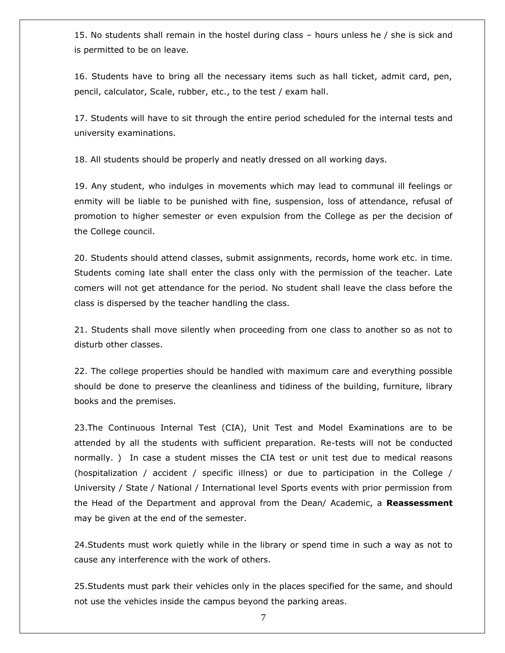15. No students shall remain in the hostel during class – hours unless he / she is sick and is permitted to be on leave.

16. Students have to bring all the necessary items such as hall ticket, admit card, pen, pencil, calculator, Scale, rubber, etc., to the test / exam hall.

17. Students will have to sit through the entire period scheduled for the internal tests and university examinations.

18. All students should be properly and neatly dressed on all working days.

19. Any student, who indulges in movements which may lead to communal ill feelings or enmity will be liable to be punished with fine, suspension, loss of attendance, refusal of promotion to higher semester or even expulsion from the College as per the decision of the College council.

20. Students should attend classes, submit assignments, records, home work etc. in time. Students coming late shall enter the class only with the permission of the teacher. Late comers will not get attendance for the period. No student shall leave the class before the class is dispersed by the teacher handling the class.

21. Students shall move silently when proceeding from one class to another so as not to disturb other classes.

22. The college properties should be handled with maximum care and everything possible should be done to preserve the cleanliness and tidiness of the building, furniture, library books and the premises.

23.The Continuous Internal Test (CIA), Unit Test and Model Examinations are to be attended by all the students with sufficient preparation. Re-tests will not be conducted normally. ) In case a student misses the CIA test or unit test due to medical reasons (hospitalization / accident / specific illness) or due to participation in the College / University / State / National / International level Sports events with prior permission from the Head of the Department and approval from the Dean/ Academic, a **Reassessment** may be given at the end of the semester.

24.Students must work quietly while in the library or spend time in such a way as not to cause any interference with the work of others.

25.Students must park their vehicles only in the places specified for the same, and should not use the vehicles inside the campus beyond the parking areas.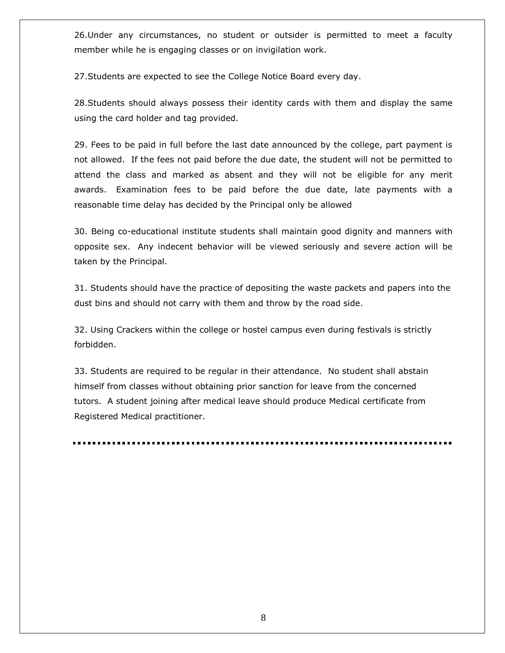26.Under any circumstances, no student or outsider is permitted to meet a faculty member while he is engaging classes or on invigilation work.

27.Students are expected to see the College Notice Board every day.

28.Students should always possess their identity cards with them and display the same using the card holder and tag provided.

29. Fees to be paid in full before the last date announced by the college, part payment is not allowed. If the fees not paid before the due date, the student will not be permitted to attend the class and marked as absent and they will not be eligible for any merit awards. Examination fees to be paid before the due date, late payments with a reasonable time delay has decided by the Principal only be allowed

30. Being co-educational institute students shall maintain good dignity and manners with opposite sex. Any indecent behavior will be viewed seriously and severe action will be taken by the Principal.

31. Students should have the practice of depositing the waste packets and papers into the dust bins and should not carry with them and throw by the road side.

32. Using Crackers within the college or hostel campus even during festivals is strictly forbidden.

33. Students are required to be regular in their attendance. No student shall abstain himself from classes without obtaining prior sanction for leave from the concerned tutors. A student joining after medical leave should produce Medical certificate from Registered Medical practitioner.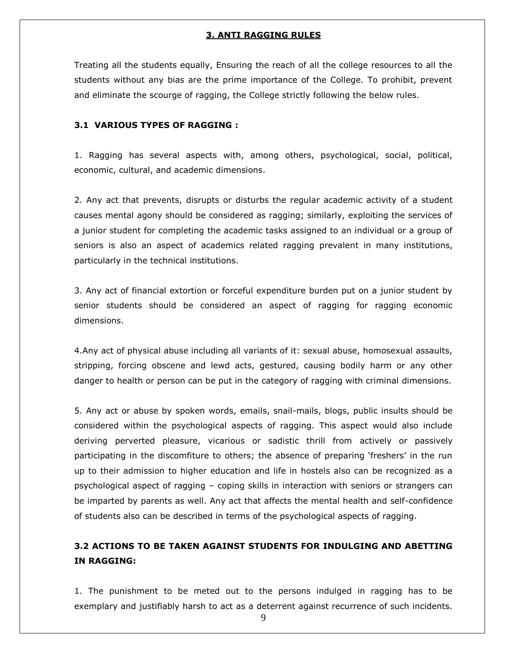## **3. ANTI RAGGING RULES**

Treating all the students equally, Ensuring the reach of all the college resources to all the students without any bias are the prime importance of the College. To prohibit, prevent and eliminate the scourge of ragging, the College strictly following the below rules.

## **3.1 VARIOUS TYPES OF RAGGING :**

1. Ragging has several aspects with, among others, psychological, social, political, economic, cultural, and academic dimensions.

2. Any act that prevents, disrupts or disturbs the regular academic activity of a student causes mental agony should be considered as ragging; similarly, exploiting the services of a junior student for completing the academic tasks assigned to an individual or a group of seniors is also an aspect of academics related ragging prevalent in many institutions, particularly in the technical institutions.

3. Any act of financial extortion or forceful expenditure burden put on a junior student by senior students should be considered an aspect of ragging for ragging economic dimensions.

4.Any act of physical abuse including all variants of it: sexual abuse, homosexual assaults, stripping, forcing obscene and lewd acts, gestured, causing bodily harm or any other danger to health or person can be put in the category of ragging with criminal dimensions.

5. Any act or abuse by spoken words, emails, snail-mails, blogs, public insults should be considered within the psychological aspects of ragging. This aspect would also include deriving perverted pleasure, vicarious or sadistic thrill from actively or passively participating in the discomfiture to others; the absence of preparing "freshers" in the run up to their admission to higher education and life in hostels also can be recognized as a psychological aspect of ragging – coping skills in interaction with seniors or strangers can be imparted by parents as well. Any act that affects the mental health and self-confidence of students also can be described in terms of the psychological aspects of ragging.

## **3.2 ACTIONS TO BE TAKEN AGAINST STUDENTS FOR INDULGING AND ABETTING IN RAGGING:**

1. The punishment to be meted out to the persons indulged in ragging has to be exemplary and justifiably harsh to act as a deterrent against recurrence of such incidents.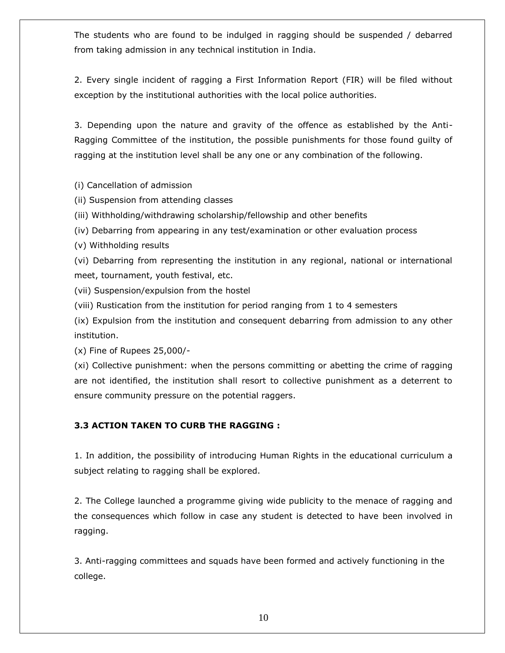The students who are found to be indulged in ragging should be suspended / debarred from taking admission in any technical institution in India.

2. Every single incident of ragging a First Information Report (FIR) will be filed without exception by the institutional authorities with the local police authorities.

3. Depending upon the nature and gravity of the offence as established by the Anti-Ragging Committee of the institution, the possible punishments for those found guilty of ragging at the institution level shall be any one or any combination of the following.

(i) Cancellation of admission

(ii) Suspension from attending classes

(iii) Withholding/withdrawing scholarship/fellowship and other benefits

(iv) Debarring from appearing in any test/examination or other evaluation process

(v) Withholding results

(vi) Debarring from representing the institution in any regional, national or international meet, tournament, youth festival, etc.

(vii) Suspension/expulsion from the hostel

(viii) Rustication from the institution for period ranging from 1 to 4 semesters

(ix) Expulsion from the institution and consequent debarring from admission to any other institution.

(x) Fine of Rupees 25,000/-

(xi) Collective punishment: when the persons committing or abetting the crime of ragging are not identified, the institution shall resort to collective punishment as a deterrent to ensure community pressure on the potential raggers.

## **3.3 ACTION TAKEN TO CURB THE RAGGING :**

1. In addition, the possibility of introducing Human Rights in the educational curriculum a subject relating to ragging shall be explored.

2. The College launched a programme giving wide publicity to the menace of ragging and the consequences which follow in case any student is detected to have been involved in ragging.

3. Anti-ragging committees and squads have been formed and actively functioning in the college.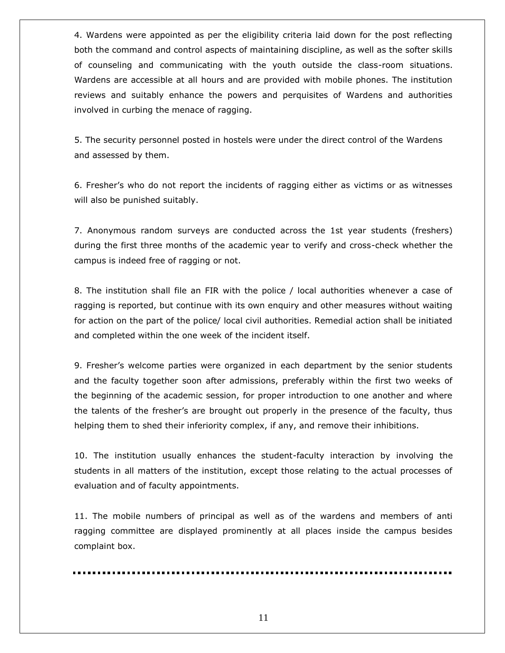4. Wardens were appointed as per the eligibility criteria laid down for the post reflecting both the command and control aspects of maintaining discipline, as well as the softer skills of counseling and communicating with the youth outside the class-room situations. Wardens are accessible at all hours and are provided with mobile phones. The institution reviews and suitably enhance the powers and perquisites of Wardens and authorities involved in curbing the menace of ragging.

5. The security personnel posted in hostels were under the direct control of the Wardens and assessed by them.

6. Fresher"s who do not report the incidents of ragging either as victims or as witnesses will also be punished suitably.

7. Anonymous random surveys are conducted across the 1st year students (freshers) during the first three months of the academic year to verify and cross-check whether the campus is indeed free of ragging or not.

8. The institution shall file an FIR with the police / local authorities whenever a case of ragging is reported, but continue with its own enquiry and other measures without waiting for action on the part of the police/ local civil authorities. Remedial action shall be initiated and completed within the one week of the incident itself.

9. Fresher"s welcome parties were organized in each department by the senior students and the faculty together soon after admissions, preferably within the first two weeks of the beginning of the academic session, for proper introduction to one another and where the talents of the fresher"s are brought out properly in the presence of the faculty, thus helping them to shed their inferiority complex, if any, and remove their inhibitions.

10. The institution usually enhances the student-faculty interaction by involving the students in all matters of the institution, except those relating to the actual processes of evaluation and of faculty appointments.

11. The mobile numbers of principal as well as of the wardens and members of anti ragging committee are displayed prominently at all places inside the campus besides complaint box.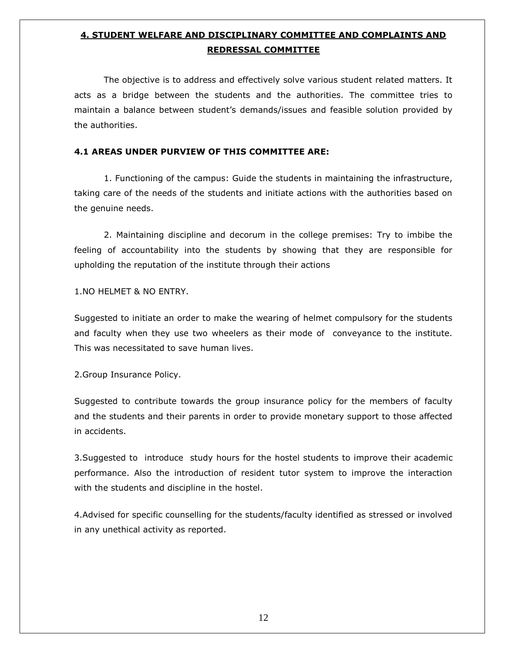## **4. STUDENT WELFARE AND DISCIPLINARY COMMITTEE AND COMPLAINTS AND REDRESSAL COMMITTEE**

The objective is to address and effectively solve various student related matters. It acts as a bridge between the students and the authorities. The committee tries to maintain a balance between student"s demands/issues and feasible solution provided by the authorities.

## **4.1 AREAS UNDER PURVIEW OF THIS COMMITTEE ARE:**

1. Functioning of the campus: Guide the students in maintaining the infrastructure, taking care of the needs of the students and initiate actions with the authorities based on the genuine needs.

2. Maintaining discipline and decorum in the college premises: Try to imbibe the feeling of accountability into the students by showing that they are responsible for upholding the reputation of the institute through their actions

1.NO HELMET & NO ENTRY.

Suggested to initiate an order to make the wearing of helmet compulsory for the students and faculty when they use two wheelers as their mode of conveyance to the institute. This was necessitated to save human lives.

2.Group Insurance Policy.

Suggested to contribute towards the group insurance policy for the members of faculty and the students and their parents in order to provide monetary support to those affected in accidents.

3.Suggested to introduce study hours for the hostel students to improve their academic performance. Also the introduction of resident tutor system to improve the interaction with the students and discipline in the hostel.

4.Advised for specific counselling for the students/faculty identified as stressed or involved in any unethical activity as reported.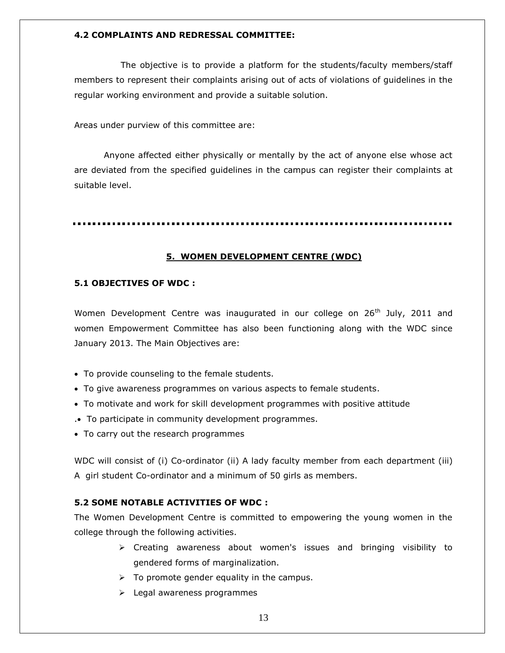## **4.2 COMPLAINTS AND REDRESSAL COMMITTEE:**

The objective is to provide a platform for the students/faculty members/staff members to represent their complaints arising out of acts of violations of guidelines in the regular working environment and provide a suitable solution.

Areas under purview of this committee are:

Anyone affected either physically or mentally by the act of anyone else whose act are deviated from the specified guidelines in the campus can register their complaints at suitable level.

## **5. WOMEN DEVELOPMENT CENTRE (WDC)**

## **5.1 OBJECTIVES OF WDC :**

Women Development Centre was inaugurated in our college on  $26<sup>th</sup>$  July, 2011 and women Empowerment Committee has also been functioning along with the WDC since January 2013. The Main Objectives are:

- To provide counseling to the female students.
- To give awareness programmes on various aspects to female students.
- To motivate and work for skill development programmes with positive attitude
- . To participate in community development programmes.
- To carry out the research programmes

WDC will consist of (i) Co-ordinator (ii) A lady faculty member from each department (iii) A girl student Co-ordinator and a minimum of 50 girls as members.

## **5.2 SOME NOTABLE ACTIVITIES OF WDC :**

The Women Development Centre is committed to empowering the young women in the college through the following activities.

- $\triangleright$  Creating awareness about women's issues and bringing visibility to gendered forms of marginalization.
- $\triangleright$  To promote gender equality in the campus.
- > Legal awareness programmes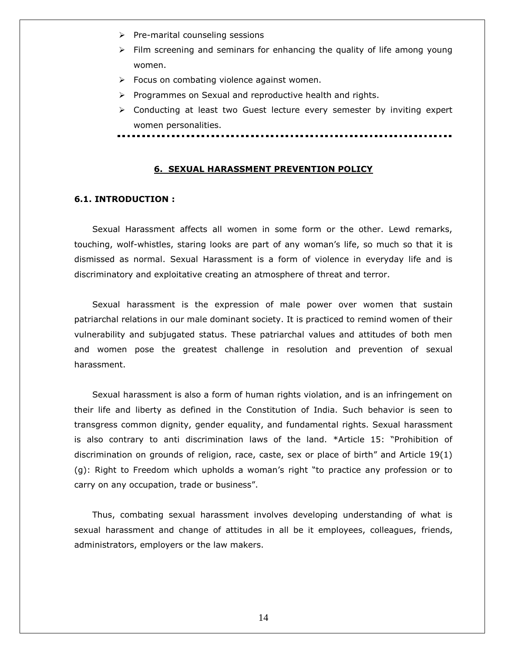- $\triangleright$  Pre-marital counseling sessions
- $\triangleright$  Film screening and seminars for enhancing the quality of life among young women.
- $\triangleright$  Focus on combating violence against women.
- $\triangleright$  Programmes on Sexual and reproductive health and rights.
- $\triangleright$  Conducting at least two Guest lecture every semester by inviting expert women personalities.

## **6. SEXUAL HARASSMENT PREVENTION POLICY**

## **6.1. INTRODUCTION :**

Sexual Harassment affects all women in some form or the other. Lewd remarks, touching, wolf-whistles, staring looks are part of any woman's life, so much so that it is dismissed as normal. Sexual Harassment is a form of violence in everyday life and is discriminatory and exploitative creating an atmosphere of threat and terror.

Sexual harassment is the expression of male power over women that sustain patriarchal relations in our male dominant society. It is practiced to remind women of their vulnerability and subjugated status. These patriarchal values and attitudes of both men and women pose the greatest challenge in resolution and prevention of sexual harassment.

Sexual harassment is also a form of human rights violation, and is an infringement on their life and liberty as defined in the Constitution of India. Such behavior is seen to transgress common dignity, gender equality, and fundamental rights. Sexual harassment is also contrary to anti discrimination laws of the land. \*Article 15: "Prohibition of discrimination on grounds of religion, race, caste, sex or place of birth" and Article 19(1) (g): Right to Freedom which upholds a woman"s right "to practice any profession or to carry on any occupation, trade or business".

Thus, combating sexual harassment involves developing understanding of what is sexual harassment and change of attitudes in all be it employees, colleagues, friends, administrators, employers or the law makers.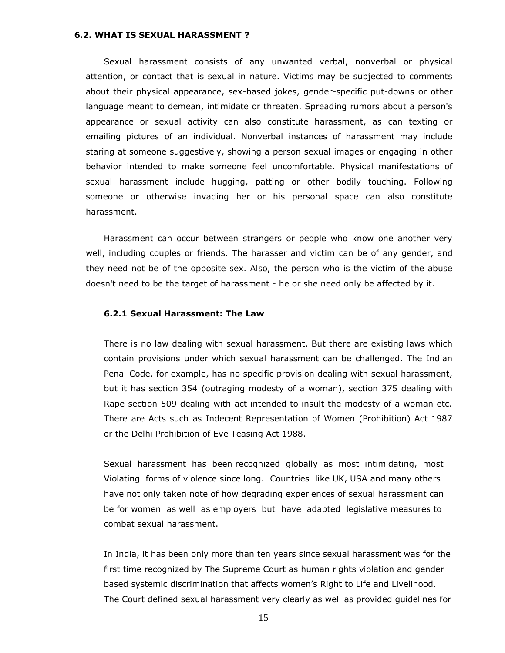#### **6.2. WHAT IS SEXUAL HARASSMENT ?**

Sexual harassment consists of any unwanted verbal, nonverbal or physical attention, or contact that is sexual in nature. Victims may be subjected to comments about their physical appearance, sex-based jokes, gender-specific put-downs or other language meant to demean, intimidate or threaten. Spreading rumors about a person's appearance or sexual activity can also constitute harassment, as can texting or emailing pictures of an individual. Nonverbal instances of harassment may include staring at someone suggestively, showing a person sexual images or engaging in other behavior intended to make someone feel uncomfortable. Physical manifestations of sexual harassment include hugging, patting or other bodily touching. Following someone or otherwise invading her or his personal space can also constitute harassment.

Harassment can occur between strangers or people who know one another very well, including couples or friends. The harasser and victim can be of any gender, and they need not be of the opposite sex. Also, the person who is the victim of the abuse doesn't need to be the target of harassment - he or she need only be affected by it.

## **6.2.1 Sexual Harassment: The Law**

There is no law dealing with sexual harassment. But there are existing laws which contain provisions under which sexual harassment can be challenged. The Indian Penal Code, for example, has no specific provision dealing with sexual harassment, but it has section 354 (outraging modesty of a woman), section 375 dealing with Rape section 509 dealing with act intended to insult the modesty of a woman etc. There are Acts such as Indecent Representation of Women (Prohibition) Act 1987 or the Delhi Prohibition of Eve Teasing Act 1988.

Sexual harassment has been recognized globally as most intimidating, most Violating forms of violence since long. Countries like UK, USA and many others have not only taken note of how degrading experiences of sexual harassment can be for women as well as employers but have adapted legislative measures to combat sexual harassment.

In India, it has been only more than ten years since sexual harassment was for the first time recognized by The Supreme Court as human rights violation and gender based systemic discrimination that affects women"s Right to Life and Livelihood. The Court defined sexual harassment very clearly as well as provided guidelines for

15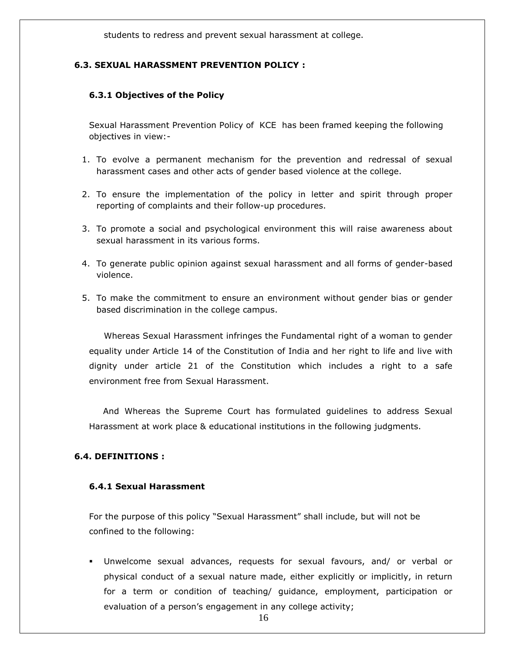students to redress and prevent sexual harassment at college.

## **6.3. SEXUAL HARASSMENT PREVENTION POLICY :**

## **6.3.1 Objectives of the Policy**

Sexual Harassment Prevention Policy of KCE has been framed keeping the following objectives in view:-

- 1. To evolve a permanent mechanism for the prevention and redressal of sexual harassment cases and other acts of gender based violence at the college.
- 2. To ensure the implementation of the policy in letter and spirit through proper reporting of complaints and their follow-up procedures.
- 3. To promote a social and psychological environment this will raise awareness about sexual harassment in its various forms.
- 4. To generate public opinion against sexual harassment and all forms of gender-based violence.
- 5. To make the commitment to ensure an environment without gender bias or gender based discrimination in the college campus.

Whereas Sexual Harassment infringes the Fundamental right of a woman to gender equality under Article 14 of the Constitution of India and her right to life and live with dignity under article 21 of the Constitution which includes a right to a safe environment free from Sexual Harassment.

And Whereas the Supreme Court has formulated guidelines to address Sexual Harassment at work place & educational institutions in the following judgments.

## **6.4. DEFINITIONS :**

## **6.4.1 Sexual Harassment**

For the purpose of this policy "Sexual Harassment" shall include, but will not be confined to the following:

 Unwelcome sexual advances, requests for sexual favours, and/ or verbal or physical conduct of a sexual nature made, either explicitly or implicitly, in return for a term or condition of teaching/ guidance, employment, participation or evaluation of a person's engagement in any college activity;

16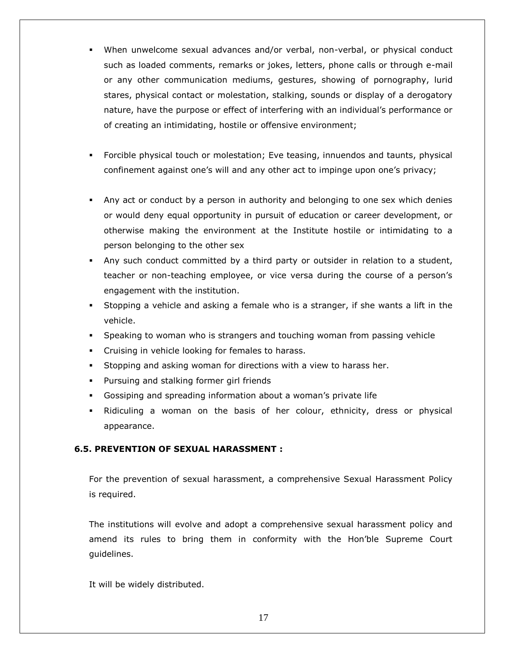- When unwelcome sexual advances and/or verbal, non-verbal, or physical conduct such as loaded comments, remarks or jokes, letters, phone calls or through e-mail or any other communication mediums, gestures, showing of pornography, lurid stares, physical contact or molestation, stalking, sounds or display of a derogatory nature, have the purpose or effect of interfering with an individual"s performance or of creating an intimidating, hostile or offensive environment;
- Forcible physical touch or molestation; Eve teasing, innuendos and taunts, physical confinement against one's will and any other act to impinge upon one's privacy;
- Any act or conduct by a person in authority and belonging to one sex which denies or would deny equal opportunity in pursuit of education or career development, or otherwise making the environment at the Institute hostile or intimidating to a person belonging to the other sex
- Any such conduct committed by a third party or outsider in relation to a student, teacher or non-teaching employee, or vice versa during the course of a person"s engagement with the institution.
- Stopping a vehicle and asking a female who is a stranger, if she wants a lift in the vehicle.
- Speaking to woman who is strangers and touching woman from passing vehicle
- Cruising in vehicle looking for females to harass.
- Stopping and asking woman for directions with a view to harass her.
- **Pursuing and stalking former girl friends**
- Gossiping and spreading information about a woman"s private life
- Ridiculing a woman on the basis of her colour, ethnicity, dress or physical appearance.

## **6.5. PREVENTION OF SEXUAL HARASSMENT :**

For the prevention of sexual harassment, a comprehensive Sexual Harassment Policy is required.

The institutions will evolve and adopt a comprehensive sexual harassment policy and amend its rules to bring them in conformity with the Hon"ble Supreme Court guidelines.

It will be widely distributed.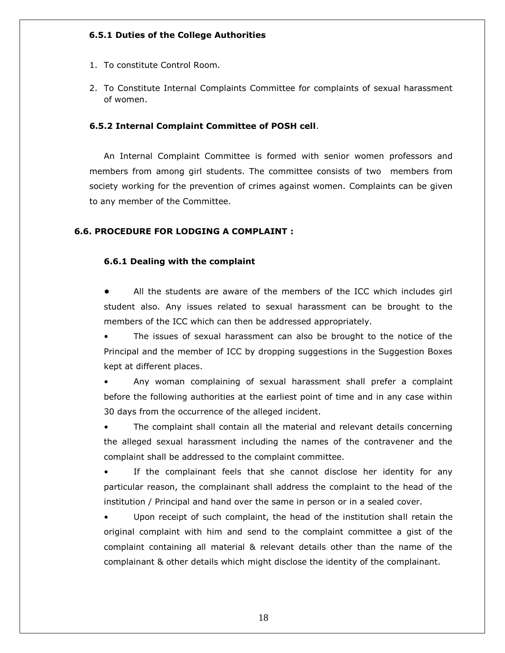## **6.5.1 Duties of the College Authorities**

- 1. To constitute Control Room.
- 2. To Constitute Internal Complaints Committee for complaints of sexual harassment of women.

## **6.5.2 Internal Complaint Committee of POSH cell**.

An Internal Complaint Committee is formed with senior women professors and members from among girl students. The committee consists of two members from society working for the prevention of crimes against women. Complaints can be given to any member of the Committee.

## **6.6. PROCEDURE FOR LODGING A COMPLAINT :**

## **6.6.1 Dealing with the complaint**

**•** All the students are aware of the members of the ICC which includes girl student also. Any issues related to sexual harassment can be brought to the members of the ICC which can then be addressed appropriately.

The issues of sexual harassment can also be brought to the notice of the Principal and the member of ICC by dropping suggestions in the Suggestion Boxes kept at different places.

• Any woman complaining of sexual harassment shall prefer a complaint before the following authorities at the earliest point of time and in any case within 30 days from the occurrence of the alleged incident.

• The complaint shall contain all the material and relevant details concerning the alleged sexual harassment including the names of the contravener and the complaint shall be addressed to the complaint committee.

If the complainant feels that she cannot disclose her identity for any particular reason, the complainant shall address the complaint to the head of the institution / Principal and hand over the same in person or in a sealed cover.

Upon receipt of such complaint, the head of the institution shall retain the original complaint with him and send to the complaint committee a gist of the complaint containing all material & relevant details other than the name of the complainant & other details which might disclose the identity of the complainant.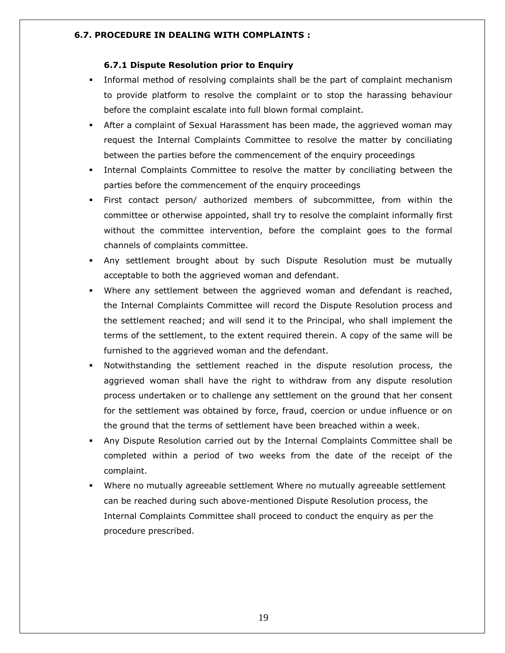## **6.7. PROCEDURE IN DEALING WITH COMPLAINTS :**

## **6.7.1 Dispute Resolution prior to Enquiry**

- Informal method of resolving complaints shall be the part of complaint mechanism to provide platform to resolve the complaint or to stop the harassing behaviour before the complaint escalate into full blown formal complaint.
- After a complaint of Sexual Harassment has been made, the aggrieved woman may request the Internal Complaints Committee to resolve the matter by conciliating between the parties before the commencement of the enquiry proceedings
- Internal Complaints Committee to resolve the matter by conciliating between the parties before the commencement of the enquiry proceedings
- First contact person/ authorized members of subcommittee, from within the committee or otherwise appointed, shall try to resolve the complaint informally first without the committee intervention, before the complaint goes to the formal channels of complaints committee.
- Any settlement brought about by such Dispute Resolution must be mutually acceptable to both the aggrieved woman and defendant.
- Where any settlement between the aggrieved woman and defendant is reached, the Internal Complaints Committee will record the Dispute Resolution process and the settlement reached; and will send it to the Principal, who shall implement the terms of the settlement, to the extent required therein. A copy of the same will be furnished to the aggrieved woman and the defendant.
- Notwithstanding the settlement reached in the dispute resolution process, the aggrieved woman shall have the right to withdraw from any dispute resolution process undertaken or to challenge any settlement on the ground that her consent for the settlement was obtained by force, fraud, coercion or undue influence or on the ground that the terms of settlement have been breached within a week.
- Any Dispute Resolution carried out by the Internal Complaints Committee shall be completed within a period of two weeks from the date of the receipt of the complaint.
- Where no mutually agreeable settlement Where no mutually agreeable settlement can be reached during such above-mentioned Dispute Resolution process, the Internal Complaints Committee shall proceed to conduct the enquiry as per the procedure prescribed.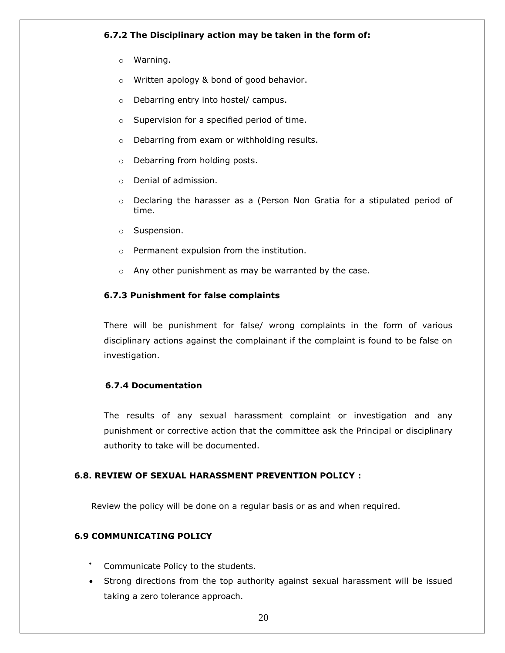## **6.7.2 The Disciplinary action may be taken in the form of:**

- o Warning.
- o Written apology & bond of good behavior.
- o Debarring entry into hostel/ campus.
- o Supervision for a specified period of time.
- o Debarring from exam or withholding results.
- o Debarring from holding posts.
- o Denial of admission.
- o Declaring the harasser as a (Person Non Gratia for a stipulated period of time.
- o Suspension.
- o Permanent expulsion from the institution.
- o Any other punishment as may be warranted by the case.

## **6.7.3 Punishment for false complaints**

There will be punishment for false/ wrong complaints in the form of various disciplinary actions against the complainant if the complaint is found to be false on investigation.

## **6.7.4 Documentation**

The results of any sexual harassment complaint or investigation and any punishment or corrective action that the committee ask the Principal or disciplinary authority to take will be documented.

## **6.8. REVIEW OF SEXUAL HARASSMENT PREVENTION POLICY :**

Review the policy will be done on a regular basis or as and when required.

## **6.9 COMMUNICATING POLICY**

- Communicate Policy to the students.
- Strong directions from the top authority against sexual harassment will be issued taking a zero tolerance approach.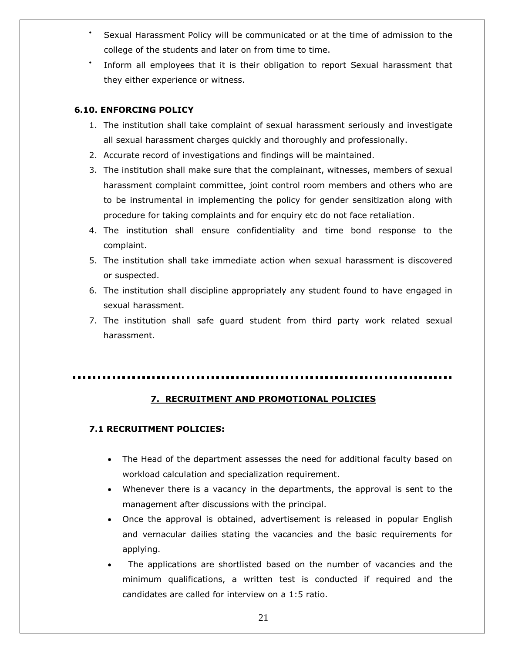- Sexual Harassment Policy will be communicated or at the time of admission to the college of the students and later on from time to time.
- Inform all employees that it is their obligation to report Sexual harassment that they either experience or witness.

## **6.10. ENFORCING POLICY**

- 1. The institution shall take complaint of sexual harassment seriously and investigate all sexual harassment charges quickly and thoroughly and professionally.
- 2. Accurate record of investigations and findings will be maintained.
- 3. The institution shall make sure that the complainant, witnesses, members of sexual harassment complaint committee, joint control room members and others who are to be instrumental in implementing the policy for gender sensitization along with procedure for taking complaints and for enquiry etc do not face retaliation.
- 4. The institution shall ensure confidentiality and time bond response to the complaint.
- 5. The institution shall take immediate action when sexual harassment is discovered or suspected.
- 6. The institution shall discipline appropriately any student found to have engaged in sexual harassment.
- 7. The institution shall safe guard student from third party work related sexual harassment.

## **7. RECRUITMENT AND PROMOTIONAL POLICIES**

## **7.1 RECRUITMENT POLICIES:**

- The Head of the department assesses the need for additional faculty based on workload calculation and specialization requirement.
- Whenever there is a vacancy in the departments, the approval is sent to the management after discussions with the principal.
- Once the approval is obtained, advertisement is released in popular English and vernacular dailies stating the vacancies and the basic requirements for applying.
- The applications are shortlisted based on the number of vacancies and the minimum qualifications, a written test is conducted if required and the candidates are called for interview on a 1:5 ratio.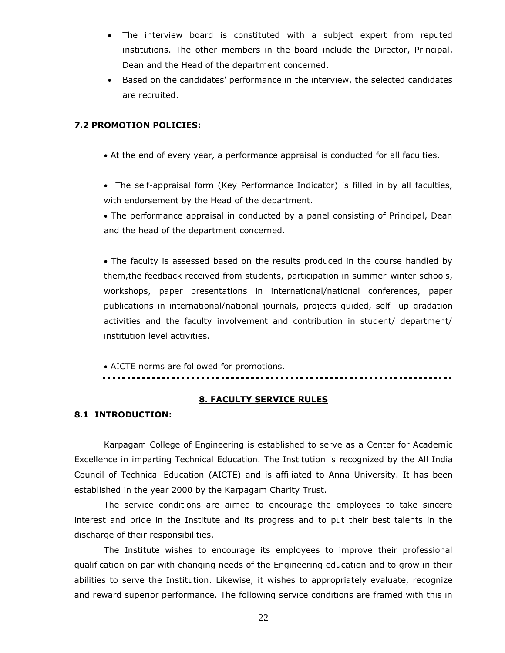- The interview board is constituted with a subject expert from reputed institutions. The other members in the board include the Director, Principal, Dean and the Head of the department concerned.
- Based on the candidates" performance in the interview, the selected candidates are recruited.

## **7.2 PROMOTION POLICIES:**

At the end of every year, a performance appraisal is conducted for all faculties.

 The self-appraisal form (Key Performance Indicator) is filled in by all faculties, with endorsement by the Head of the department.

• The performance appraisal in conducted by a panel consisting of Principal, Dean and the head of the department concerned.

• The faculty is assessed based on the results produced in the course handled by them,the feedback received from students, participation in summer-winter schools, workshops, paper presentations in international/national conferences, paper publications in international/national journals, projects guided, self- up gradation activities and the faculty involvement and contribution in student/ department/ institution level activities.

AICTE norms are followed for promotions.

## **8. FACULTY SERVICE RULES**

## **8.1 INTRODUCTION:**

Karpagam College of Engineering is established to serve as a Center for Academic Excellence in imparting Technical Education. The Institution is recognized by the All India Council of Technical Education (AICTE) and is affiliated to Anna University. It has been established in the year 2000 by the Karpagam Charity Trust.

The service conditions are aimed to encourage the employees to take sincere interest and pride in the Institute and its progress and to put their best talents in the discharge of their responsibilities.

The Institute wishes to encourage its employees to improve their professional qualification on par with changing needs of the Engineering education and to grow in their abilities to serve the Institution. Likewise, it wishes to appropriately evaluate, recognize and reward superior performance. The following service conditions are framed with this in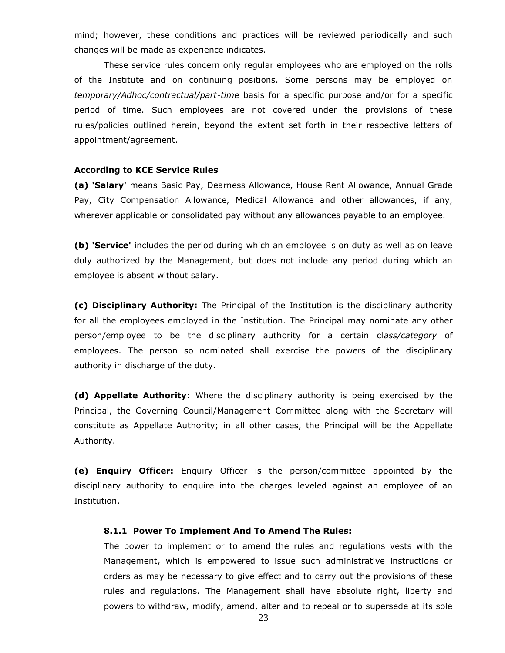mind; however, these conditions and practices will be reviewed periodically and such changes will be made as experience indicates.

These service rules concern only regular employees who are employed on the rolls of the Institute and on continuing positions. Some persons may be employed on *temporary/Adhoc/contractual/part-time* basis for a specific purpose and/or for a specific period of time. Such employees are not covered under the provisions of these rules/policies outlined herein, beyond the extent set forth in their respective letters of appointment/agreement.

### **According to KCE Service Rules**

**(a) 'Salary'** means Basic Pay, Dearness Allowance, House Rent Allowance, Annual Grade Pay, City Compensation Allowance, Medical Allowance and other allowances, if any, wherever applicable or consolidated pay without any allowances payable to an employee.

**(b) 'Service'** includes the period during which an employee is on duty as well as on leave duly authorized by the Management, but does not include any period during which an employee is absent without salary.

**(c) Disciplinary Authority:** The Principal of the Institution is the disciplinary authority for all the employees employed in the Institution. The Principal may nominate any other person/employee to be the disciplinary authority for a certain cl*ass/category* of employees. The person so nominated shall exercise the powers of the disciplinary authority in discharge of the duty.

**(d) Appellate Authority**: Where the disciplinary authority is being exercised by the Principal, the Governing Council/Management Committee along with the Secretary will constitute as Appellate Authority; in all other cases, the Principal will be the Appellate Authority.

**(e) Enquiry Officer:** Enquiry Officer is the person/committee appointed by the disciplinary authority to enquire into the charges leveled against an employee of an Institution.

## **8.1.1 Power To Implement And To Amend The Rules:**

The power to implement or to amend the rules and regulations vests with the Management, which is empowered to issue such administrative instructions or orders as may be necessary to give effect and to carry out the provisions of these rules and regulations. The Management shall have absolute right, liberty and powers to withdraw, modify, amend, alter and to repeal or to supersede at its sole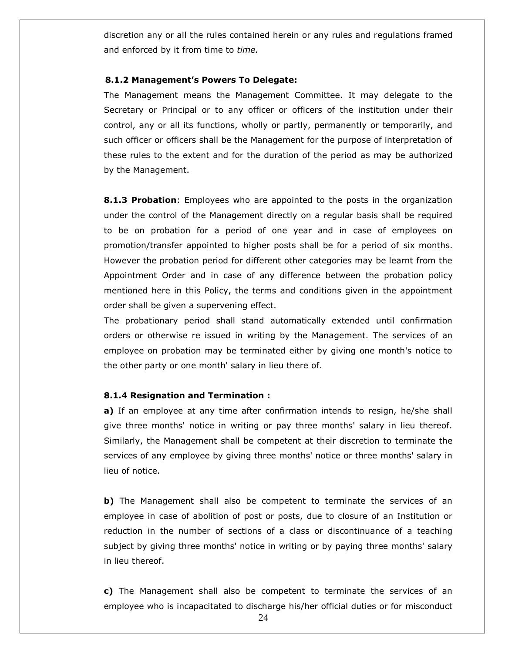discretion any or all the rules contained herein or any rules and regulations framed and enforced by it from time to *time.*

#### **8.1.2 Management's Powers To Delegate:**

The Management means the Management Committee. It may delegate to the Secretary or Principal or to any officer or officers of the institution under their control, any or all its functions, wholly or partly, permanently or temporarily, and such officer or officers shall be the Management for the purpose of interpretation of these rules to the extent and for the duration of the period as may be authorized by the Management.

**8.1.3 Probation**: Employees who are appointed to the posts in the organization under the control of the Management directly on a regular basis shall be required to be on probation for a period of one year and in case of employees on promotion/transfer appointed to higher posts shall be for a period of six months. However the probation period for different other categories may be learnt from the Appointment Order and in case of any difference between the probation policy mentioned here in this Policy, the terms and conditions given in the appointment order shall be given a supervening effect.

The probationary period shall stand automatically extended until confirmation orders or otherwise re issued in writing by the Management. The services of an employee on probation may be terminated either by giving one month's notice to the other party or one month' salary in lieu there of.

## **8.1.4 Resignation and Termination :**

**a)** If an employee at any time after confirmation intends to resign, he/she shall give three months' notice in writing or pay three months' salary in lieu thereof. Similarly, the Management shall be competent at their discretion to terminate the services of any employee by giving three months' notice or three months' salary in lieu of notice.

**b)** The Management shall also be competent to terminate the services of an employee in case of abolition of post or posts, due to closure of an Institution or reduction in the number of sections of a class or discontinuance of a teaching subject by giving three months' notice in writing or by paying three months' salary in lieu thereof.

**c)** The Management shall also be competent to terminate the services of an employee who is incapacitated to discharge his/her official duties or for misconduct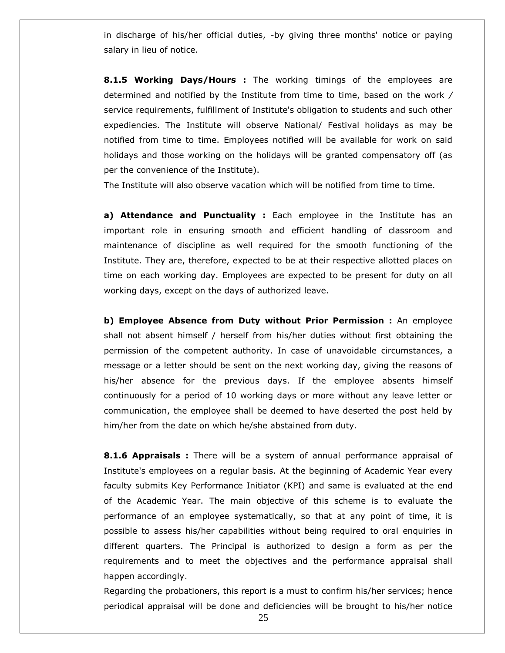in discharge of his/her official duties, -by giving three months' notice or paying salary in lieu of notice.

**8.1.5 Working Days/Hours :** The working timings of the employees are determined and notified by the Institute from time to time, based on the work */* service requirements, fulfillment of Institute's obligation to students and such other expediencies. The Institute will observe National/ Festival holidays as may be notified from time to time. Employees notified will be available for work on said holidays and those working on the holidays will be granted compensatory off (as per the convenience of the Institute).

The Institute will also observe vacation which will be notified from time to time.

**a) Attendance and Punctuality :** Each employee in the Institute has an important role in ensuring smooth and efficient handling of classroom and maintenance of discipline as well required for the smooth functioning of the Institute. They are, therefore, expected to be at their respective allotted places on time on each working day. Employees are expected to be present for duty on all working days, except on the days of authorized leave.

**b) Employee Absence from Duty without Prior Permission :** An employee shall not absent himself / herself from his/her duties without first obtaining the permission of the competent authority. In case of unavoidable circumstances, a message or a letter should be sent on the next working day, giving the reasons of his/her absence for the previous days. If the employee absents himself continuously for a period of 10 working days or more without any leave letter or communication, the employee shall be deemed to have deserted the post held by him/her from the date on which he/she abstained from duty.

**8.1.6 Appraisals :** There will be a system of annual performance appraisal of Institute's employees on a regular basis. At the beginning of Academic Year every faculty submits Key Performance Initiator (KPI) and same is evaluated at the end of the Academic Year. The main objective of this scheme is to evaluate the performance of an employee systematically, so that at any point of time, it is possible to assess his/her capabilities without being required to oral enquiries in different quarters. The Principal is authorized to design a form as per the requirements and to meet the objectives and the performance appraisal shall happen accordingly.

Regarding the probationers, this report is a must to confirm his/her services; hence periodical appraisal will be done and deficiencies will be brought to his/her notice

25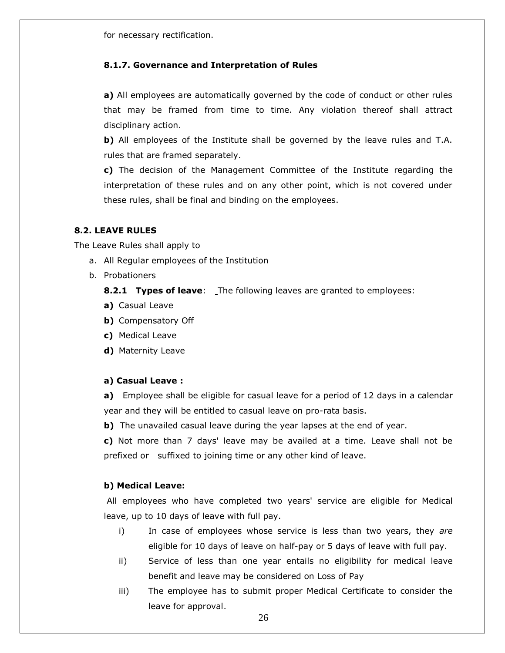for necessary rectification.

## **8.1.7. Governance and Interpretation of Rules**

**a)** All employees are automatically governed by the code of conduct or other rules that may be framed from time to time. Any violation thereof shall attract disciplinary action.

**b)** All employees of the Institute shall be governed by the leave rules and T.A. rules that are framed separately.

**c)** The decision of the Management Committee of the Institute regarding the interpretation of these rules and on any other point, which is not covered under these rules, shall be final and binding on the employees.

## **8.2. LEAVE RULES**

The Leave Rules shall apply to

- a. All Regular employees of the Institution
- b. Probationers

**8.2.1 Types of leave**: The following leaves are granted to employees:

- **a)** Casual Leave
- **b)** Compensatory Off
- **c)** Medical Leave
- **d)** Maternity Leave

## **a) Casual Leave :**

**a)** Employee shall be eligible for casual leave for a period of 12 days in a calendar year and they will be entitled to casual leave on pro-rata basis.

**b)** The unavailed casual leave during the year lapses at the end of year.

**c)** Not more than 7 days' leave may be availed at a time. Leave shall not be prefixed or suffixed to joining time or any other kind of leave.

## **b) Medical Leave:**

All employees who have completed two years' service are eligible for Medical leave, up to 10 days of leave with full pay.

- i) In case of employees whose service is less than two years, they *are*  eligible for 10 days of leave on half-pay or 5 days of leave with full pay.
- ii) Service of less than one year entails no eligibility for medical leave benefit and leave may be considered on Loss of Pay
- iii) The employee has to submit proper Medical Certificate to consider the leave for approval.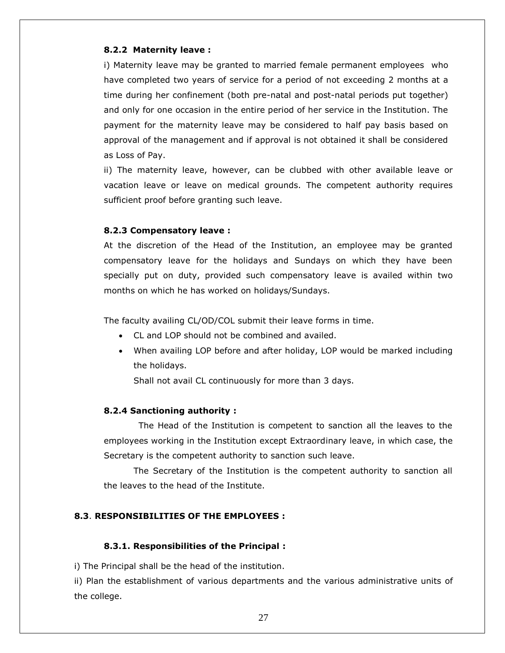## **8.2.2 Maternity leave :**

i) Maternity leave may be granted to married female permanent employees who have completed two years of service for a period of not exceeding 2 months at a time during her confinement (both pre-natal and post-natal periods put together) and only for one occasion in the entire period of her service in the Institution. The payment for the maternity leave may be considered to half pay basis based on approval of the management and if approval is not obtained it shall be considered as Loss of Pay.

ii) The maternity leave, however, can be clubbed with other available leave or vacation leave or leave on medical grounds. The competent authority requires sufficient proof before granting such leave.

## **8.2.3 Compensatory leave :**

At the discretion of the Head of the Institution, an employee may be granted compensatory leave for the holidays and Sundays on which they have been specially put on duty, provided such compensatory leave is availed within two months on which he has worked on holidays/Sundays.

The faculty availing CL/OD/COL submit their leave forms in time.

- CL and LOP should not be combined and availed.
- When availing LOP before and after holiday, LOP would be marked including the holidays.

Shall not avail CL continuously for more than 3 days.

## **8.2.4 Sanctioning authority :**

 The Head of the Institution is competent to sanction all the leaves to the employees working in the Institution except Extraordinary leave, in which case, the Secretary is the competent authority to sanction such leave.

The Secretary of the Institution is the competent authority to sanction all the leaves to the head of the Institute.

#### **8.3**. **RESPONSIBILITIES OF THE EMPLOYEES :**

#### **8.3.1. Responsibilities of the Principal :**

i) The Principal shall be the head of the institution.

ii) Plan the establishment of various departments and the various administrative units of the college.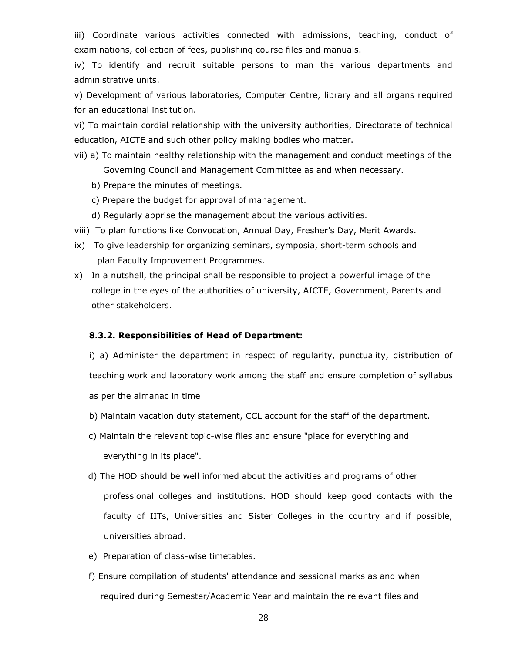iii) Coordinate various activities connected with admissions, teaching, conduct of examinations, collection of fees, publishing course files and manuals.

iv) To identify and recruit suitable persons to man the various departments and administrative units.

v) Development of various laboratories, Computer Centre, library and all organs required for an educational institution.

vi) To maintain cordial relationship with the university authorities, Directorate of technical education, AICTE and such other policy making bodies who matter.

- vii) a) To maintain healthy relationship with the management and conduct meetings of the Governing Council and Management Committee as and when necessary.
	- b) Prepare the minutes of meetings.
	- c) Prepare the budget for approval of management.
	- d) Regularly apprise the management about the various activities.
- viii) To plan functions like Convocation, Annual Day, Fresher"s Day, Merit Awards.
- ix) To give leadership for organizing seminars, symposia, short-term schools and plan Faculty Improvement Programmes.
- x) In a nutshell, the principal shall be responsible to project a powerful image of the college in the eyes of the authorities of university, AICTE, Government, Parents and other stakeholders.

## **8.3.2. Responsibilities of Head of Department:**

i) a) Administer the department in respect of regularity, punctuality, distribution of teaching work and laboratory work among the staff and ensure completion of syllabus as per the almanac in time

- b) Maintain vacation duty statement, CCL account for the staff of the department.
- c) Maintain the relevant topic-wise files and ensure "place for everything and everything in its place".
- d) The HOD should be well informed about the activities and programs of other professional colleges and institutions. HOD should keep good contacts with the faculty of IITs, Universities and Sister Colleges in the country and if possible, universities abroad.
- e) Preparation of class-wise timetables.
- f) Ensure compilation of students' attendance and sessional marks as and when required during Semester/Academic Year and maintain the relevant files and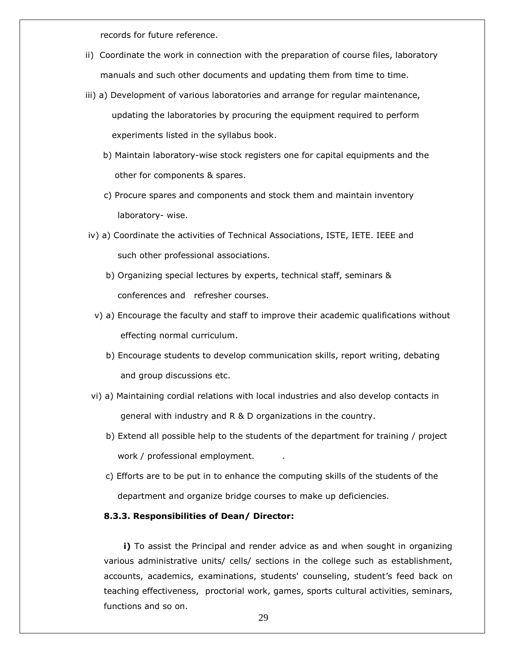records for future reference.

- ii) Coordinate the work in connection with the preparation of course files, laboratory manuals and such other documents and updating them from time to time.
- iii) a) Development of various laboratories and arrange for regular maintenance, updating the laboratories by procuring the equipment required to perform experiments listed in the syllabus book.
	- b) Maintain laboratory-wise stock registers one for capital equipments and the other for components & spares.
	- c) Procure spares and components and stock them and maintain inventory laboratory- wise.
- iv) a) Coordinate the activities of Technical Associations, ISTE, IETE. IEEE and such other professional associations.
	- b) Organizing special lectures by experts, technical staff, seminars & conferences and refresher courses.
	- v) a) Encourage the faculty and staff to improve their academic qualifications without effecting normal curriculum.
		- b) Encourage students to develop communication skills, report writing, debating and group discussions etc.
- vi) a) Maintaining cordial relations with local industries and also develop contacts in general with industry and R & D organizations in the country.
	- b) Extend all possible help to the students of the department for training / project work / professional employment.
	- c) Efforts are to be put in to enhance the computing skills of the students of the department and organize bridge courses to make up deficiencies.

## **8.3.3. Responsibilities of Dean/ Director:**

**i)** To assist the Principal and render advice as and when sought in organizing various administrative units/ cells/ sections in the college such as establishment, accounts, academics, examinations, students' counseling, student"s feed back on teaching effectiveness, proctorial work, games, sports cultural activities, seminars, functions and so on.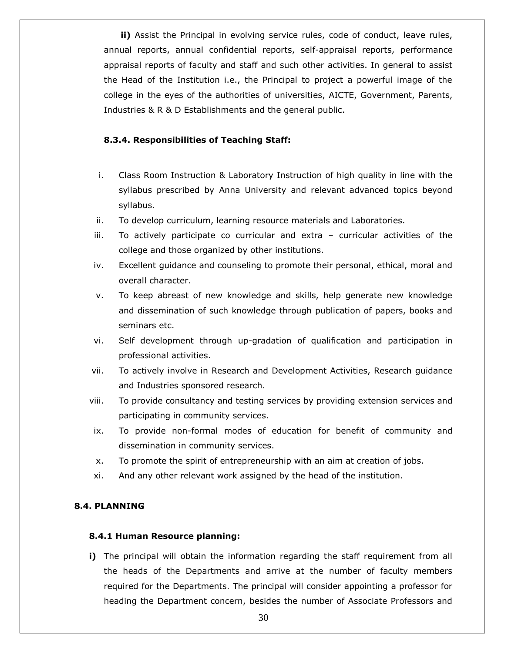**ii)** Assist the Principal in evolving service rules, code of conduct, leave rules, annual reports, annual confidential reports, self-appraisal reports, performance appraisal reports of faculty and staff and such other activities. In general to assist the Head of the Institution i.e., the Principal to project a powerful image of the college in the eyes of the authorities of universities, AICTE, Government, Parents, Industries & R & D Establishments and the general public.

## **8.3.4. Responsibilities of Teaching Staff:**

- i. Class Room Instruction & Laboratory Instruction of high quality in line with the syllabus prescribed by Anna University and relevant advanced topics beyond syllabus.
- ii. To develop curriculum, learning resource materials and Laboratories.
- iii. To actively participate co curricular and extra curricular activities of the college and those organized by other institutions.
- iv. Excellent guidance and counseling to promote their personal, ethical, moral and overall character.
- v. To keep abreast of new knowledge and skills, help generate new knowledge and dissemination of such knowledge through publication of papers, books and seminars etc.
- vi. Self development through up-gradation of qualification and participation in professional activities.
- vii. To actively involve in Research and Development Activities, Research guidance and Industries sponsored research.
- viii. To provide consultancy and testing services by providing extension services and participating in community services.
- ix. To provide non-formal modes of education for benefit of community and dissemination in community services.
- x. To promote the spirit of entrepreneurship with an aim at creation of jobs.
- xi. And any other relevant work assigned by the head of the institution.

## **8.4. PLANNING**

## **8.4.1 Human Resource planning:**

**i)** The principal will obtain the information regarding the staff requirement from all the heads of the Departments and arrive at the number of faculty members required for the Departments. The principal will consider appointing a professor for heading the Department concern, besides the number of Associate Professors and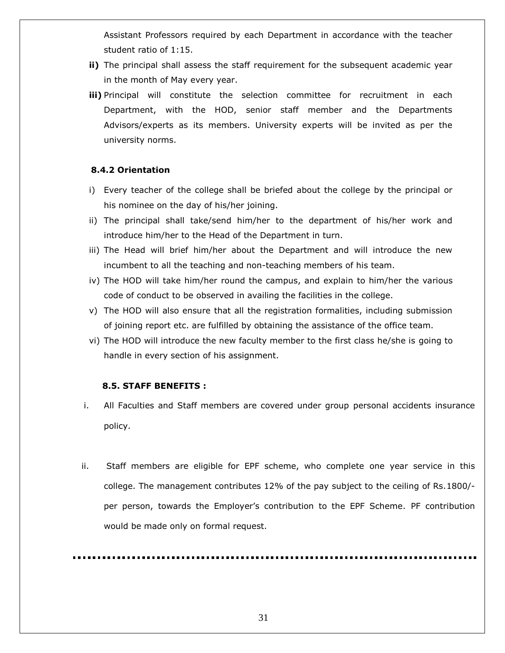Assistant Professors required by each Department in accordance with the teacher student ratio of 1:15.

- **ii)** The principal shall assess the staff requirement for the subsequent academic year in the month of May every year.
- **iii)** Principal will constitute the selection committee for recruitment in each Department, with the HOD, senior staff member and the Departments Advisors/experts as its members. University experts will be invited as per the university norms.

## **8.4.2 Orientation**

- i) Every teacher of the college shall be briefed about the college by the principal or his nominee on the day of his/her joining.
- ii) The principal shall take/send him/her to the department of his/her work and introduce him/her to the Head of the Department in turn.
- iii) The Head will brief him/her about the Department and will introduce the new incumbent to all the teaching and non-teaching members of his team.
- iv) The HOD will take him/her round the campus, and explain to him/her the various code of conduct to be observed in availing the facilities in the college.
- v) The HOD will also ensure that all the registration formalities, including submission of joining report etc. are fulfilled by obtaining the assistance of the office team.
- vi) The HOD will introduce the new faculty member to the first class he/she is going to handle in every section of his assignment.

## **8.5. STAFF BENEFITS :**

- i. All Faculties and Staff members are covered under group personal accidents insurance policy.
- ii. Staff members are eligible for EPF scheme, who complete one year service in this college. The management contributes 12% of the pay subject to the ceiling of Rs.1800/ per person, towards the Employer"s contribution to the EPF Scheme. PF contribution would be made only on formal request.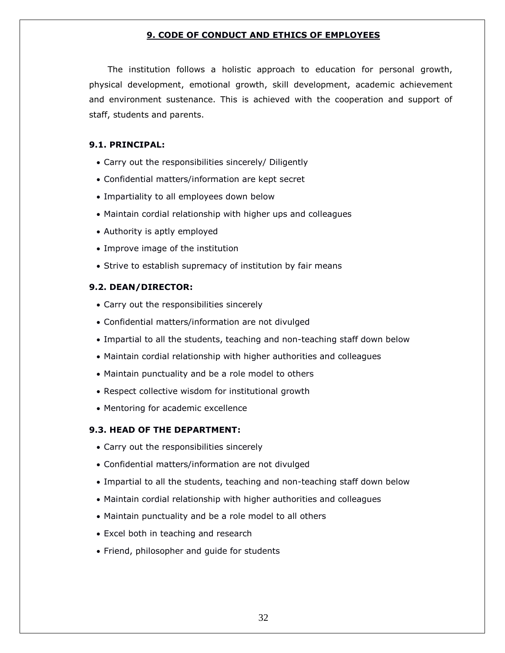## **9. CODE OF CONDUCT AND ETHICS OF EMPLOYEES**

The institution follows a holistic approach to education for personal growth, physical development, emotional growth, skill development, academic achievement and environment sustenance. This is achieved with the cooperation and support of staff, students and parents.

## **9.1. PRINCIPAL:**

- Carry out the responsibilities sincerely/ Diligently
- Confidential matters/information are kept secret
- Impartiality to all employees down below
- Maintain cordial relationship with higher ups and colleagues
- Authority is aptly employed
- Improve image of the institution
- Strive to establish supremacy of institution by fair means

## **9.2. DEAN/DIRECTOR:**

- Carry out the responsibilities sincerely
- Confidential matters/information are not divulged
- Impartial to all the students, teaching and non-teaching staff down below
- Maintain cordial relationship with higher authorities and colleagues
- Maintain punctuality and be a role model to others
- Respect collective wisdom for institutional growth
- Mentoring for academic excellence

## **9.3. HEAD OF THE DEPARTMENT:**

- Carry out the responsibilities sincerely
- Confidential matters/information are not divulged
- Impartial to all the students, teaching and non-teaching staff down below
- Maintain cordial relationship with higher authorities and colleagues
- Maintain punctuality and be a role model to all others
- Excel both in teaching and research
- Friend, philosopher and guide for students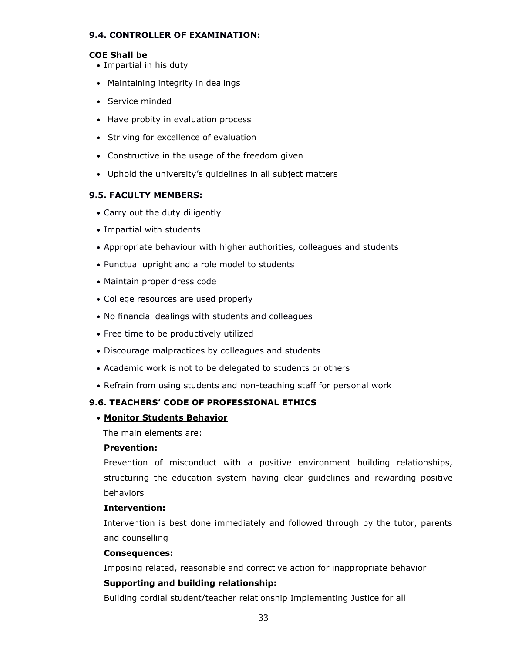## **9.4. CONTROLLER OF EXAMINATION:**

## **COE Shall be**

- Impartial in his duty
- Maintaining integrity in dealings
- Service minded
- Have probity in evaluation process
- Striving for excellence of evaluation
- Constructive in the usage of the freedom given
- Uphold the university"s guidelines in all subject matters

## **9.5. FACULTY MEMBERS:**

- Carry out the duty diligently
- Impartial with students
- Appropriate behaviour with higher authorities, colleagues and students
- Punctual upright and a role model to students
- Maintain proper dress code
- College resources are used properly
- No financial dealings with students and colleagues
- Free time to be productively utilized
- Discourage malpractices by colleagues and students
- Academic work is not to be delegated to students or others
- Refrain from using students and non-teaching staff for personal work

## **9.6. TEACHERS' CODE OF PROFESSIONAL ETHICS**

## **Monitor Students Behavior**

The main elements are:

## **Prevention:**

Prevention of misconduct with a positive environment building relationships, structuring the education system having clear guidelines and rewarding positive behaviors

## **Intervention:**

Intervention is best done immediately and followed through by the tutor, parents and counselling

## **Consequences:**

Imposing related, reasonable and corrective action for inappropriate behavior

## **Supporting and building relationship:**

Building cordial student/teacher relationship Implementing Justice for all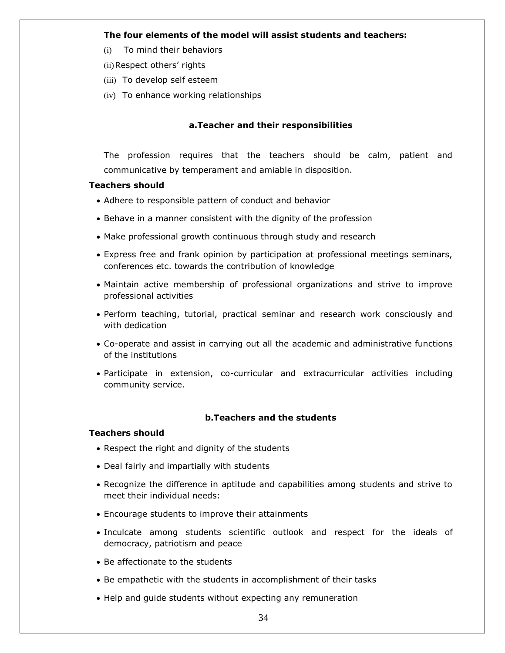### **The four elements of the model will assist students and teachers:**

- (i) To mind their behaviors
- (ii) Respect others' rights
- (iii) To develop self esteem
- (iv) To enhance working relationships

# **a.Teacher and their responsibilities**

The profession requires that the teachers should be calm, patient and communicative by temperament and amiable in disposition.

### **Teachers should**

- Adhere to responsible pattern of conduct and behavior
- Behave in a manner consistent with the dignity of the profession
- Make professional growth continuous through study and research
- Express free and frank opinion by participation at professional meetings seminars, conferences etc. towards the contribution of knowledge
- Maintain active membership of professional organizations and strive to improve professional activities
- Perform teaching, tutorial, practical seminar and research work consciously and with dedication
- Co-operate and assist in carrying out all the academic and administrative functions of the institutions
- Participate in extension, co-curricular and extracurricular activities including community service.

# **b.Teachers and the students**

### **Teachers should**

- Respect the right and dignity of the students
- Deal fairly and impartially with students
- Recognize the difference in aptitude and capabilities among students and strive to meet their individual needs:
- Encourage students to improve their attainments
- Inculcate among students scientific outlook and respect for the ideals of democracy, patriotism and peace
- Be affectionate to the students
- Be empathetic with the students in accomplishment of their tasks
- Help and guide students without expecting any remuneration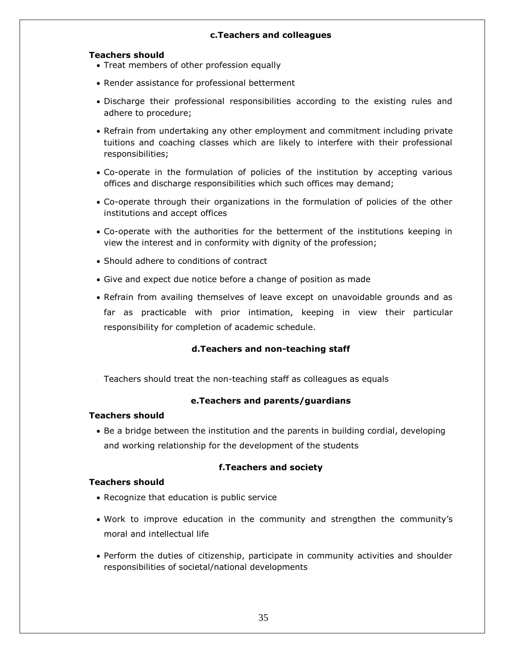# **c.Teachers and colleagues**

### **Teachers should**

- Treat members of other profession equally
- Render assistance for professional betterment
- Discharge their professional responsibilities according to the existing rules and adhere to procedure;
- Refrain from undertaking any other employment and commitment including private tuitions and coaching classes which are likely to interfere with their professional responsibilities;
- Co-operate in the formulation of policies of the institution by accepting various offices and discharge responsibilities which such offices may demand;
- Co-operate through their organizations in the formulation of policies of the other institutions and accept offices
- Co-operate with the authorities for the betterment of the institutions keeping in view the interest and in conformity with dignity of the profession;
- Should adhere to conditions of contract
- Give and expect due notice before a change of position as made
- Refrain from availing themselves of leave except on unavoidable grounds and as far as practicable with prior intimation, keeping in view their particular responsibility for completion of academic schedule.

# **d.Teachers and non-teaching staff**

Teachers should treat the non-teaching staff as colleagues as equals

# **e.Teachers and parents/guardians**

### **Teachers should**

 Be a bridge between the institution and the parents in building cordial, developing and working relationship for the development of the students

# **f.Teachers and society**

### **Teachers should**

- Recognize that education is public service
- Work to improve education in the community and strengthen the community"s moral and intellectual life
- Perform the duties of citizenship, participate in community activities and shoulder responsibilities of societal/national developments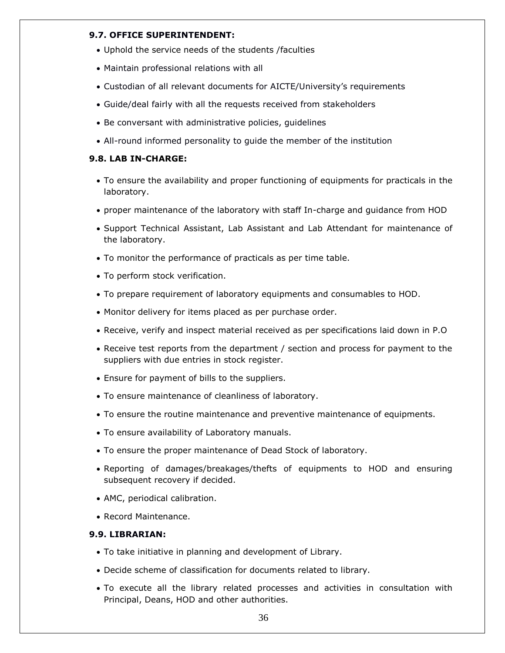### **9.7. OFFICE SUPERINTENDENT:**

- Uphold the service needs of the students /faculties
- Maintain professional relations with all
- Custodian of all relevant documents for AICTE/University's requirements
- Guide/deal fairly with all the requests received from stakeholders
- Be conversant with administrative policies, guidelines
- All-round informed personality to guide the member of the institution

# **9.8. LAB IN-CHARGE:**

- To ensure the availability and proper functioning of equipments for practicals in the laboratory.
- proper maintenance of the laboratory with staff In-charge and guidance from HOD
- Support Technical Assistant, Lab Assistant and Lab Attendant for maintenance of the laboratory.
- To monitor the performance of practicals as per time table.
- To perform stock verification.
- To prepare requirement of laboratory equipments and consumables to HOD.
- Monitor delivery for items placed as per purchase order.
- Receive, verify and inspect material received as per specifications laid down in P.O
- Receive test reports from the department / section and process for payment to the suppliers with due entries in stock register.
- Ensure for payment of bills to the suppliers.
- To ensure maintenance of cleanliness of laboratory.
- To ensure the routine maintenance and preventive maintenance of equipments.
- To ensure availability of Laboratory manuals.
- To ensure the proper maintenance of Dead Stock of laboratory.
- Reporting of damages/breakages/thefts of equipments to HOD and ensuring subsequent recovery if decided.
- AMC, periodical calibration.
- Record Maintenance.

### **9.9. LIBRARIAN:**

- To take initiative in planning and development of Library.
- Decide scheme of classification for documents related to library.
- To execute all the library related processes and activities in consultation with Principal, Deans, HOD and other authorities.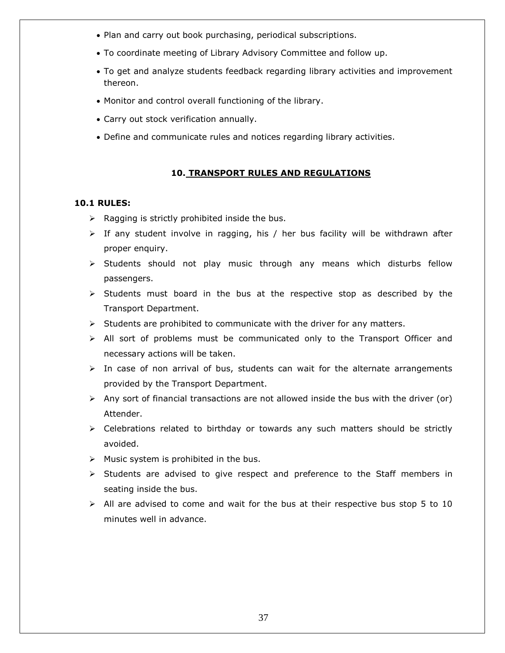- Plan and carry out book purchasing, periodical subscriptions.
- To coordinate meeting of Library Advisory Committee and follow up.
- To get and analyze students feedback regarding library activities and improvement thereon.
- Monitor and control overall functioning of the library.
- Carry out stock verification annually.
- Define and communicate rules and notices regarding library activities.

### **10. TRANSPORT RULES AND REGULATIONS**

### **10.1 RULES:**

- $\triangleright$  Ragging is strictly prohibited inside the bus.
- $\triangleright$  If any student involve in ragging, his / her bus facility will be withdrawn after proper enquiry.
- $\triangleright$  Students should not play music through any means which disturbs fellow passengers.
- $\triangleright$  Students must board in the bus at the respective stop as described by the Transport Department.
- $\triangleright$  Students are prohibited to communicate with the driver for any matters.
- $\triangleright$  All sort of problems must be communicated only to the Transport Officer and necessary actions will be taken.
- $\triangleright$  In case of non arrival of bus, students can wait for the alternate arrangements provided by the Transport Department.
- $\triangleright$  Any sort of financial transactions are not allowed inside the bus with the driver (or) Attender.
- $\triangleright$  Celebrations related to birthday or towards any such matters should be strictly avoided.
- $\triangleright$  Music system is prohibited in the bus.
- $\triangleright$  Students are advised to give respect and preference to the Staff members in seating inside the bus.
- $\triangleright$  All are advised to come and wait for the bus at their respective bus stop 5 to 10 minutes well in advance.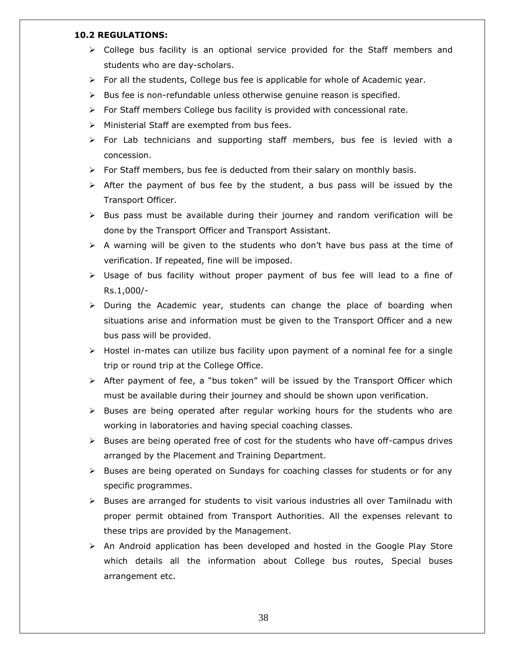### **10.2 REGULATIONS:**

- $\triangleright$  College bus facility is an optional service provided for the Staff members and students who are day-scholars.
- $\triangleright$  For all the students, College bus fee is applicable for whole of Academic year.
- $\triangleright$  Bus fee is non-refundable unless otherwise genuine reason is specified.
- For Staff members College bus facility is provided with concessional rate.
- $\triangleright$  Ministerial Staff are exempted from bus fees.
- $\triangleright$  For Lab technicians and supporting staff members, bus fee is levied with a concession.
- $\triangleright$  For Staff members, bus fee is deducted from their salary on monthly basis.
- $\triangleright$  After the payment of bus fee by the student, a bus pass will be issued by the Transport Officer.
- $\triangleright$  Bus pass must be available during their journey and random verification will be done by the Transport Officer and Transport Assistant.
- $\triangleright$  A warning will be given to the students who don't have bus pass at the time of verification. If repeated, fine will be imposed.
- $\triangleright$  Usage of bus facility without proper payment of bus fee will lead to a fine of Rs.1,000/-
- $\triangleright$  During the Academic year, students can change the place of boarding when situations arise and information must be given to the Transport Officer and a new bus pass will be provided.
- $\triangleright$  Hostel in-mates can utilize bus facility upon payment of a nominal fee for a single trip or round trip at the College Office.
- $\triangleright$  After payment of fee, a "bus token" will be issued by the Transport Officer which must be available during their journey and should be shown upon verification.
- $\triangleright$  Buses are being operated after regular working hours for the students who are working in laboratories and having special coaching classes.
- $\triangleright$  Buses are being operated free of cost for the students who have off-campus drives arranged by the Placement and Training Department.
- $\triangleright$  Buses are being operated on Sundays for coaching classes for students or for any specific programmes.
- $\triangleright$  Buses are arranged for students to visit various industries all over Tamilnadu with proper permit obtained from Transport Authorities. All the expenses relevant to these trips are provided by the Management.
- $\triangleright$  An Android application has been developed and hosted in the Google Play Store which details all the information about College bus routes, Special buses arrangement etc.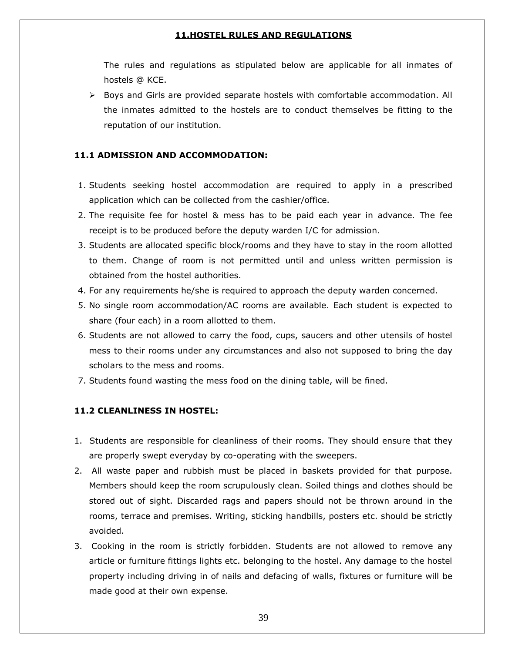### **11.HOSTEL RULES AND REGULATIONS**

The rules and regulations as stipulated below are applicable for all inmates of hostels @ KCE.

 $\triangleright$  Boys and Girls are provided separate hostels with comfortable accommodation. All the inmates admitted to the hostels are to conduct themselves be fitting to the reputation of our institution.

### **11.1 ADMISSION AND ACCOMMODATION:**

- 1. Students seeking hostel accommodation are required to apply in a prescribed application which can be collected from the cashier/office.
- 2. The requisite fee for hostel & mess has to be paid each year in advance. The fee receipt is to be produced before the deputy warden I/C for admission.
- 3. Students are allocated specific block/rooms and they have to stay in the room allotted to them. Change of room is not permitted until and unless written permission is obtained from the hostel authorities.
- 4. For any requirements he/she is required to approach the deputy warden concerned.
- 5. No single room accommodation/AC rooms are available. Each student is expected to share (four each) in a room allotted to them.
- 6. Students are not allowed to carry the food, cups, saucers and other utensils of hostel mess to their rooms under any circumstances and also not supposed to bring the day scholars to the mess and rooms.
- 7. Students found wasting the mess food on the dining table, will be fined.

### **11.2 CLEANLINESS IN HOSTEL:**

- 1. Students are responsible for cleanliness of their rooms. They should ensure that they are properly swept everyday by co-operating with the sweepers.
- 2. All waste paper and rubbish must be placed in baskets provided for that purpose. Members should keep the room scrupulously clean. Soiled things and clothes should be stored out of sight. Discarded rags and papers should not be thrown around in the rooms, terrace and premises. Writing, sticking handbills, posters etc. should be strictly avoided.
- 3. Cooking in the room is strictly forbidden. Students are not allowed to remove any article or furniture fittings lights etc. belonging to the hostel. Any damage to the hostel property including driving in of nails and defacing of walls, fixtures or furniture will be made good at their own expense.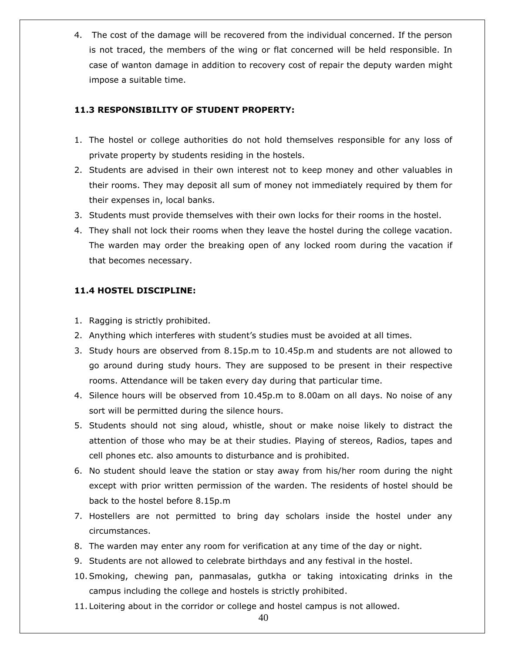4. The cost of the damage will be recovered from the individual concerned. If the person is not traced, the members of the wing or flat concerned will be held responsible. In case of wanton damage in addition to recovery cost of repair the deputy warden might impose a suitable time.

# **11.3 RESPONSIBILITY OF STUDENT PROPERTY:**

- 1. The hostel or college authorities do not hold themselves responsible for any loss of private property by students residing in the hostels.
- 2. Students are advised in their own interest not to keep money and other valuables in their rooms. They may deposit all sum of money not immediately required by them for their expenses in, local banks.
- 3. Students must provide themselves with their own locks for their rooms in the hostel.
- 4. They shall not lock their rooms when they leave the hostel during the college vacation. The warden may order the breaking open of any locked room during the vacation if that becomes necessary.

# **11.4 HOSTEL DISCIPLINE:**

- 1. Ragging is strictly prohibited.
- 2. Anything which interferes with student"s studies must be avoided at all times.
- 3. Study hours are observed from 8.15p.m to 10.45p.m and students are not allowed to go around during study hours. They are supposed to be present in their respective rooms. Attendance will be taken every day during that particular time.
- 4. Silence hours will be observed from 10.45p.m to 8.00am on all days. No noise of any sort will be permitted during the silence hours.
- 5. Students should not sing aloud, whistle, shout or make noise likely to distract the attention of those who may be at their studies. Playing of stereos, Radios, tapes and cell phones etc. also amounts to disturbance and is prohibited.
- 6. No student should leave the station or stay away from his/her room during the night except with prior written permission of the warden. The residents of hostel should be back to the hostel before 8.15p.m
- 7. Hostellers are not permitted to bring day scholars inside the hostel under any circumstances.
- 8. The warden may enter any room for verification at any time of the day or night.
- 9. Students are not allowed to celebrate birthdays and any festival in the hostel.
- 10.Smoking, chewing pan, panmasalas, gutkha or taking intoxicating drinks in the campus including the college and hostels is strictly prohibited.
- 11. Loitering about in the corridor or college and hostel campus is not allowed.

40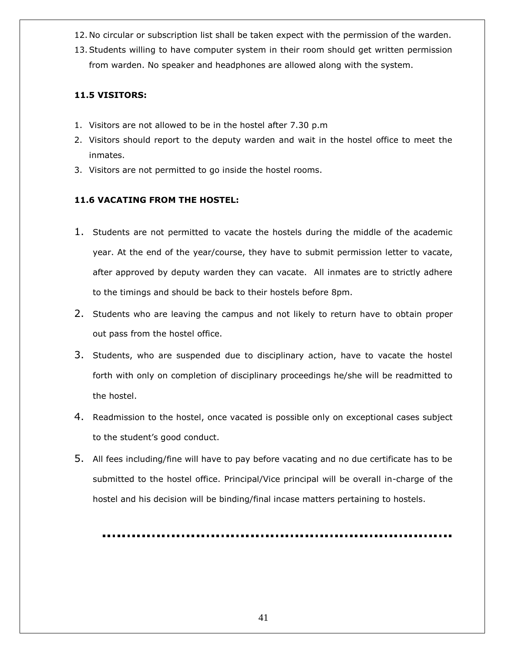- 12. No circular or subscription list shall be taken expect with the permission of the warden.
- 13.Students willing to have computer system in their room should get written permission from warden. No speaker and headphones are allowed along with the system.

# **11.5 VISITORS:**

- 1. Visitors are not allowed to be in the hostel after 7.30 p.m
- 2. Visitors should report to the deputy warden and wait in the hostel office to meet the inmates.
- 3. Visitors are not permitted to go inside the hostel rooms.

# **11.6 VACATING FROM THE HOSTEL:**

- 1. Students are not permitted to vacate the hostels during the middle of the academic year. At the end of the year/course, they have to submit permission letter to vacate, after approved by deputy warden they can vacate. All inmates are to strictly adhere to the timings and should be back to their hostels before 8pm.
- 2. Students who are leaving the campus and not likely to return have to obtain proper out pass from the hostel office.
- 3. Students, who are suspended due to disciplinary action, have to vacate the hostel forth with only on completion of disciplinary proceedings he/she will be readmitted to the hostel.
- 4. Readmission to the hostel, once vacated is possible only on exceptional cases subject to the student"s good conduct.
- 5. All fees including/fine will have to pay before vacating and no due certificate has to be submitted to the hostel office. Principal/Vice principal will be overall in-charge of the hostel and his decision will be binding/final incase matters pertaining to hostels.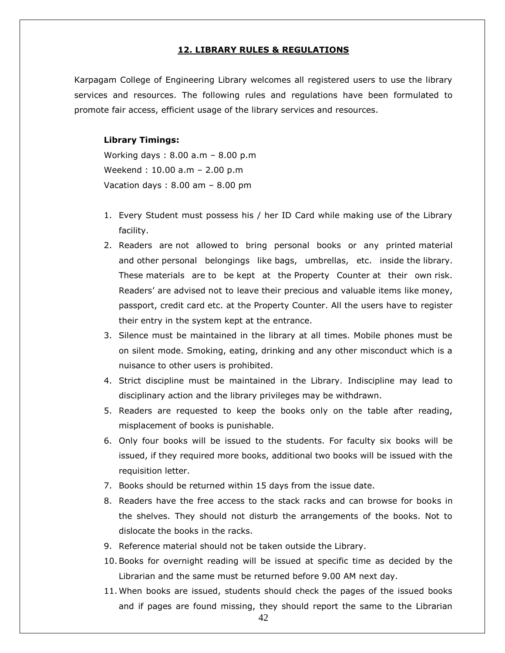### **12. LIBRARY RULES & REGULATIONS**

Karpagam College of Engineering Library welcomes all registered users to use the library services and resources. The following rules and regulations have been formulated to promote fair access, efficient usage of the library services and resources.

### **Library Timings:**

Working days : 8.00 a.m – 8.00 p.m Weekend : 10.00 a.m – 2.00 p.m Vacation days : 8.00 am – 8.00 pm

- 1. Every Student must possess his / her ID Card while making use of the Library facility.
- 2. Readers are not allowed to bring personal books or any printed material and other personal belongings like bags, umbrellas, etc. inside the library. These materials are to be kept at the Property Counter at their own risk. Readers' are advised not to leave their precious and valuable items like money, passport, credit card etc. at the Property Counter. All the users have to register their entry in the system kept at the entrance.
- 3. Silence must be maintained in the library at all times. Mobile phones must be on silent mode. Smoking, eating, drinking and any other misconduct which is a nuisance to other users is prohibited.
- 4. Strict discipline must be maintained in the Library. Indiscipline may lead to disciplinary action and the library privileges may be withdrawn.
- 5. Readers are requested to keep the books only on the table after reading, misplacement of books is punishable.
- 6. Only four books will be issued to the students. For faculty six books will be issued, if they required more books, additional two books will be issued with the requisition letter.
- 7. Books should be returned within 15 days from the issue date.
- 8. Readers have the free access to the stack racks and can browse for books in the shelves. They should not disturb the arrangements of the books. Not to dislocate the books in the racks.
- 9. Reference material should not be taken outside the Library.
- 10.Books for overnight reading will be issued at specific time as decided by the Librarian and the same must be returned before 9.00 AM next day.
- 11. When books are issued, students should check the pages of the issued books and if pages are found missing, they should report the same to the Librarian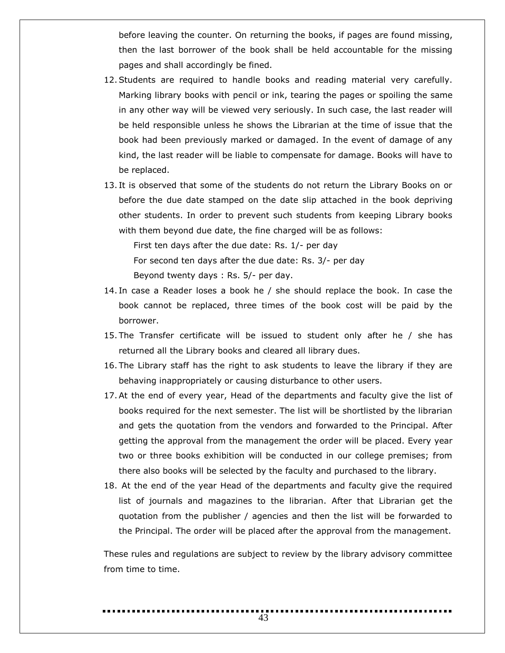before leaving the counter. On returning the books, if pages are found missing, then the last borrower of the book shall be held accountable for the missing pages and shall accordingly be fined.

- 12.Students are required to handle books and reading material very carefully. Marking library books with pencil or ink, tearing the pages or spoiling the same in any other way will be viewed very seriously. In such case, the last reader will be held responsible unless he shows the Librarian at the time of issue that the book had been previously marked or damaged. In the event of damage of any kind, the last reader will be liable to compensate for damage. Books will have to be replaced.
- 13. It is observed that some of the students do not return the Library Books on or before the due date stamped on the date slip attached in the book depriving other students. In order to prevent such students from keeping Library books with them beyond due date, the fine charged will be as follows:

First ten days after the due date: Rs. 1/- per day For second ten days after the due date: Rs. 3/- per day Beyond twenty days : Rs. 5/- per day.

- 14. In case a Reader loses a book he / she should replace the book. In case the book cannot be replaced, three times of the book cost will be paid by the borrower.
- 15. The Transfer certificate will be issued to student only after he / she has returned all the Library books and cleared all library dues.
- 16. The Library staff has the right to ask students to leave the library if they are behaving inappropriately or causing disturbance to other users.
- 17.At the end of every year, Head of the departments and faculty give the list of books required for the next semester. The list will be shortlisted by the librarian and gets the quotation from the vendors and forwarded to the Principal. After getting the approval from the management the order will be placed. Every year two or three books exhibition will be conducted in our college premises; from there also books will be selected by the faculty and purchased to the library.
- 18. At the end of the year Head of the departments and faculty give the required list of journals and magazines to the librarian. After that Librarian get the quotation from the publisher / agencies and then the list will be forwarded to the Principal. The order will be placed after the approval from the management.

These rules and regulations are subject to review by the library advisory committee from time to time.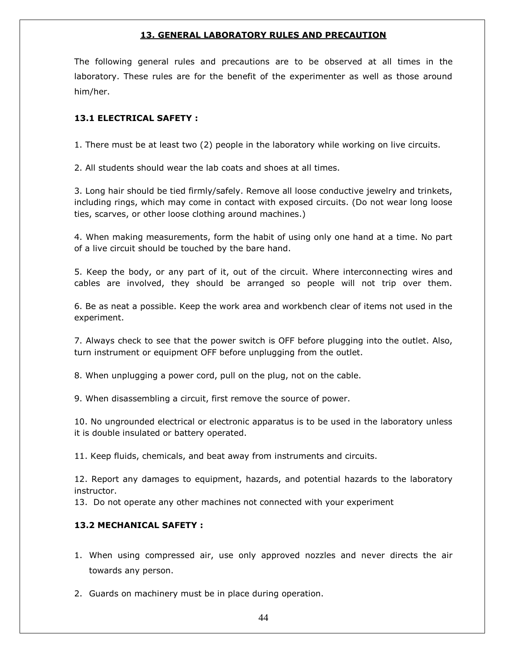### **13. GENERAL LABORATORY RULES AND PRECAUTION**

The following general rules and precautions are to be observed at all times in the laboratory. These rules are for the benefit of the experimenter as well as those around him/her.

# **13.1 ELECTRICAL SAFETY :**

1. There must be at least two (2) people in the laboratory while working on live circuits.

2. All students should wear the lab coats and shoes at all times.

3. Long hair should be tied firmly/safely. Remove all loose conductive jewelry and trinkets, including rings, which may come in contact with exposed circuits. (Do not wear long loose ties, scarves, or other loose clothing around machines.)

4. When making measurements, form the habit of using only one hand at a time. No part of a live circuit should be touched by the bare hand.

5. Keep the body, or any part of it, out of the circuit. Where interconnecting wires and cables are involved, they should be arranged so people will not trip over them.

6. Be as neat a possible. Keep the work area and workbench clear of items not used in the experiment.

7. Always check to see that the power switch is OFF before plugging into the outlet. Also, turn instrument or equipment OFF before unplugging from the outlet.

8. When unplugging a power cord, pull on the plug, not on the cable.

9. When disassembling a circuit, first remove the source of power.

10. No ungrounded electrical or electronic apparatus is to be used in the laboratory unless it is double insulated or battery operated.

11. Keep fluids, chemicals, and beat away from instruments and circuits.

12. Report any damages to equipment, hazards, and potential hazards to the laboratory instructor.

13. Do not operate any other machines not connected with your experiment

# **13.2 MECHANICAL SAFETY :**

1. When using compressed air, use only approved nozzles and never directs the air towards any person.

2. Guards on machinery must be in place during operation.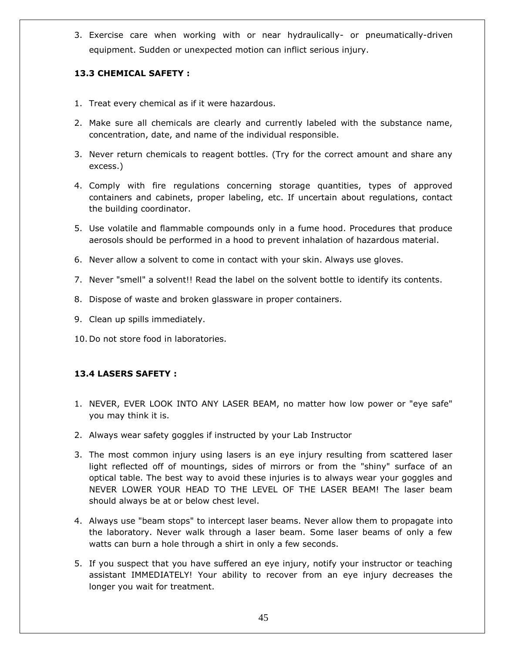3. Exercise care when working with or near hydraulically- or pneumatically-driven equipment. Sudden or unexpected motion can inflict serious injury.

# **13.3 CHEMICAL SAFETY :**

- 1. Treat every chemical as if it were hazardous.
- 2. Make sure all chemicals are clearly and currently labeled with the substance name, concentration, date, and name of the individual responsible.
- 3. Never return chemicals to reagent bottles. (Try for the correct amount and share any excess.)
- 4. Comply with fire regulations concerning storage quantities, types of approved containers and cabinets, proper labeling, etc. If uncertain about regulations, contact the building coordinator.
- 5. Use volatile and flammable compounds only in a fume hood. Procedures that produce aerosols should be performed in a hood to prevent inhalation of hazardous material.
- 6. Never allow a solvent to come in contact with your skin. Always use gloves.
- 7. Never "smell" a solvent!! Read the label on the solvent bottle to identify its contents.
- 8. Dispose of waste and broken glassware in proper containers.
- 9. Clean up spills immediately.
- 10. Do not store food in laboratories.

# **13.4 LASERS SAFETY :**

- 1. NEVER, EVER LOOK INTO ANY LASER BEAM, no matter how low power or "eye safe" you may think it is.
- 2. Always wear safety goggles if instructed by your Lab Instructor
- 3. The most common injury using lasers is an eye injury resulting from scattered laser light reflected off of mountings, sides of mirrors or from the "shiny" surface of an optical table. The best way to avoid these injuries is to always wear your goggles and NEVER LOWER YOUR HEAD TO THE LEVEL OF THE LASER BEAM! The laser beam should always be at or below chest level.
- 4. Always use "beam stops" to intercept laser beams. Never allow them to propagate into the laboratory. Never walk through a laser beam. Some laser beams of only a few watts can burn a hole through a shirt in only a few seconds.
- 5. If you suspect that you have suffered an eye injury, notify your instructor or teaching assistant IMMEDIATELY! Your ability to recover from an eye injury decreases the longer you wait for treatment.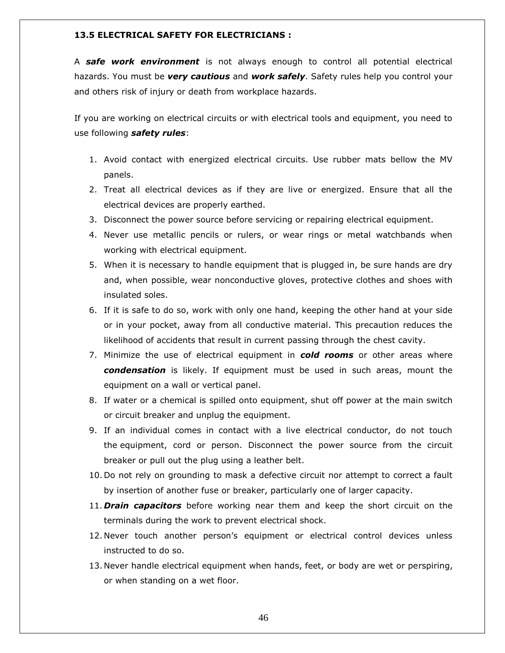### **13.5 ELECTRICAL SAFETY FOR ELECTRICIANS :**

A *safe work environment* is not always enough to control all potential electrical hazards. You must be *very cautious* and *work safely*. Safety rules help you control your and others risk of injury or death from workplace hazards.

If you are working on electrical circuits or with electrical tools and equipment, you need to use following *safety rules*:

- 1. Avoid contact with energized electrical circuits. Use rubber mats bellow the MV panels.
- 2. Treat all electrical devices as if they are live or energized. Ensure that all the electrical devices are properly earthed.
- 3. Disconnect the power source before servicing or repairing electrical equipment.
- 4. Never use metallic pencils or rulers, or wear rings or metal watchbands when working with electrical equipment.
- 5. When it is necessary to handle equipment that is plugged in, be sure hands are dry and, when possible, wear nonconductive gloves, protective clothes and shoes with insulated soles.
- 6. If it is safe to do so, work with only one hand, keeping the other hand at your side or in your pocket, away from all conductive material. This precaution reduces the likelihood of accidents that result in current passing through the chest cavity.
- 7. Minimize the use of electrical equipment in *cold rooms* or other areas where *condensation* is likely. If equipment must be used in such areas, mount the equipment on a wall or vertical panel.
- 8. If water or a chemical is spilled onto equipment, shut off power at the main switch or circuit breaker and unplug the equipment.
- 9. If an individual comes in contact with a live electrical conductor, do not touch the equipment, cord or person. Disconnect the power source from the circuit breaker or pull out the plug using a leather belt.
- 10. Do not rely on grounding to mask a defective circuit nor attempt to correct a fault by insertion of another fuse or breaker, particularly one of larger capacity.
- 11. *Drain capacitors* before working near them and keep the short circuit on the terminals during the work to prevent electrical shock.
- 12. Never touch another person's equipment or electrical control devices unless instructed to do so.
- 13. Never handle electrical equipment when hands, feet, or body are wet or perspiring, or when standing on a wet floor.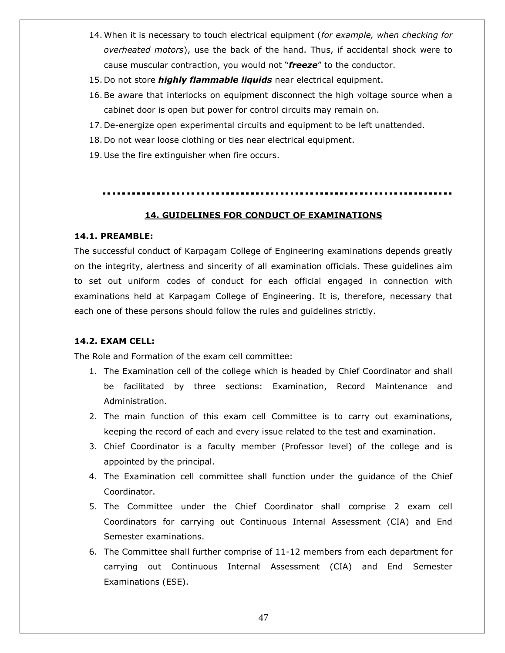- 14. When it is necessary to touch electrical equipment (*for example, when checking for overheated motors*), use the back of the hand. Thus, if accidental shock were to cause muscular contraction, you would not "*freeze*" to the conductor.
- 15. Do not store *highly flammable liquids* near electrical equipment.
- 16.Be aware that interlocks on equipment disconnect the high voltage source when a cabinet door is open but power for control circuits may remain on.
- 17. De-energize open experimental circuits and equipment to be left unattended.
- 18. Do not wear loose clothing or ties near electrical equipment.
- 19. Use the fire extinguisher when fire occurs.

### **14. GUIDELINES FOR CONDUCT OF EXAMINATIONS**

### **14.1. PREAMBLE:**

The successful conduct of Karpagam College of Engineering examinations depends greatly on the integrity, alertness and sincerity of all examination officials. These guidelines aim to set out uniform codes of conduct for each official engaged in connection with examinations held at Karpagam College of Engineering. It is, therefore, necessary that each one of these persons should follow the rules and guidelines strictly.

### **14.2. EXAM CELL:**

The Role and Formation of the exam cell committee:

- 1. The Examination cell of the college which is headed by Chief Coordinator and shall be facilitated by three sections: Examination, Record Maintenance and Administration.
- 2. The main function of this exam cell Committee is to carry out examinations, keeping the record of each and every issue related to the test and examination.
- 3. Chief Coordinator is a faculty member (Professor level) of the college and is appointed by the principal.
- 4. The Examination cell committee shall function under the guidance of the Chief Coordinator.
- 5. The Committee under the Chief Coordinator shall comprise 2 exam cell Coordinators for carrying out Continuous Internal Assessment (CIA) and End Semester examinations.
- 6. The Committee shall further comprise of 11-12 members from each department for carrying out Continuous Internal Assessment (CIA) and End Semester Examinations (ESE).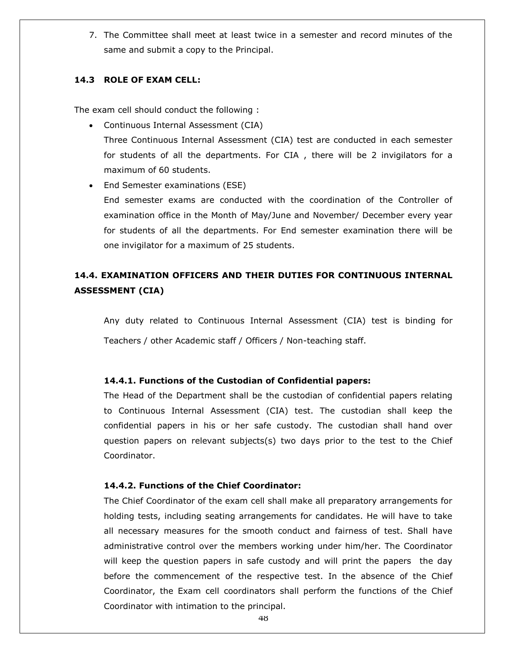7. The Committee shall meet at least twice in a semester and record minutes of the same and submit a copy to the Principal.

### **14.3 ROLE OF EXAM CELL:**

The exam cell should conduct the following :

- Continuous Internal Assessment (CIA) Three Continuous Internal Assessment (CIA) test are conducted in each semester for students of all the departments. For CIA , there will be 2 invigilators for a maximum of 60 students.
- End Semester examinations (ESE)

End semester exams are conducted with the coordination of the Controller of examination office in the Month of May/June and November/ December every year for students of all the departments. For End semester examination there will be one invigilator for a maximum of 25 students.

# **14.4. EXAMINATION OFFICERS AND THEIR DUTIES FOR CONTINUOUS INTERNAL ASSESSMENT (CIA)**

Any duty related to Continuous Internal Assessment (CIA) test is binding for Teachers / other Academic staff / Officers / Non-teaching staff.

### **14.4.1. Functions of the Custodian of Confidential papers:**

The Head of the Department shall be the custodian of confidential papers relating to Continuous Internal Assessment (CIA) test. The custodian shall keep the confidential papers in his or her safe custody. The custodian shall hand over question papers on relevant subjects(s) two days prior to the test to the Chief Coordinator.

### **14.4.2. Functions of the Chief Coordinator:**

The Chief Coordinator of the exam cell shall make all preparatory arrangements for holding tests, including seating arrangements for candidates. He will have to take all necessary measures for the smooth conduct and fairness of test. Shall have administrative control over the members working under him/her. The Coordinator will keep the question papers in safe custody and will print the papers the day before the commencement of the respective test. In the absence of the Chief Coordinator, the Exam cell coordinators shall perform the functions of the Chief Coordinator with intimation to the principal.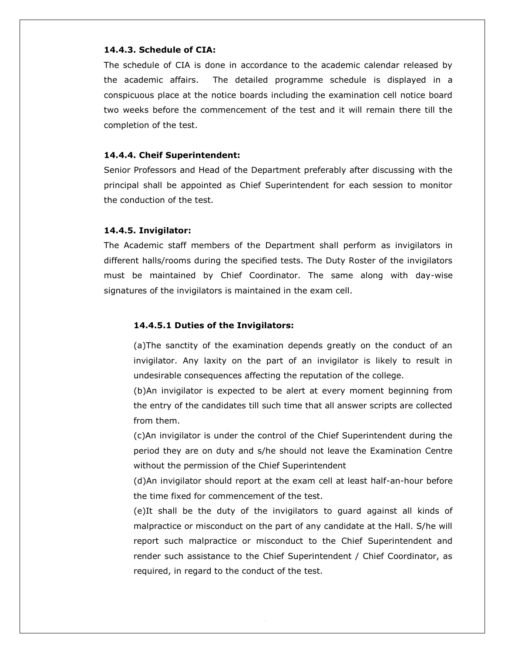#### **14.4.3. Schedule of CIA:**

The schedule of CIA is done in accordance to the academic calendar released by the academic affairs. The detailed programme schedule is displayed in a conspicuous place at the notice boards including the examination cell notice board two weeks before the commencement of the test and it will remain there till the completion of the test.

#### **14.4.4. Cheif Superintendent:**

Senior Professors and Head of the Department preferably after discussing with the principal shall be appointed as Chief Superintendent for each session to monitor the conduction of the test.

### **14.4.5. Invigilator:**

The Academic staff members of the Department shall perform as invigilators in different halls/rooms during the specified tests. The Duty Roster of the invigilators must be maintained by Chief Coordinator. The same along with day-wise signatures of the invigilators is maintained in the exam cell.

### **14.4.5.1 Duties of the Invigilators:**

(a)The sanctity of the examination depends greatly on the conduct of an invigilator. Any laxity on the part of an invigilator is likely to result in undesirable consequences affecting the reputation of the college.

(b)An invigilator is expected to be alert at every moment beginning from the entry of the candidates till such time that all answer scripts are collected from them.

(c)An invigilator is under the control of the Chief Superintendent during the period they are on duty and s/he should not leave the Examination Centre without the permission of the Chief Superintendent

(d)An invigilator should report at the exam cell at least half-an-hour before the time fixed for commencement of the test.

(e)It shall be the duty of the invigilators to guard against all kinds of malpractice or misconduct on the part of any candidate at the Hall. S/he will report such malpractice or misconduct to the Chief Superintendent and render such assistance to the Chief Superintendent / Chief Coordinator, as required, in regard to the conduct of the test.

49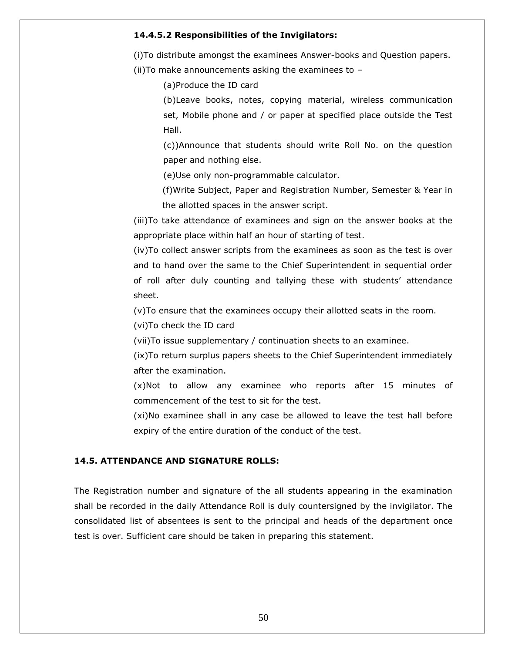#### **14.4.5.2 Responsibilities of the Invigilators:**

(i)To distribute amongst the examinees Answer-books and Question papers.

(ii)To make announcements asking the examinees to –

(a)Produce the ID card

(b)Leave books, notes, copying material, wireless communication set, Mobile phone and / or paper at specified place outside the Test Hall.

(c))Announce that students should write Roll No. on the question paper and nothing else.

(e)Use only non-programmable calculator.

(f)Write Subject, Paper and Registration Number, Semester & Year in the allotted spaces in the answer script.

(iii)To take attendance of examinees and sign on the answer books at the appropriate place within half an hour of starting of test.

(iv)To collect answer scripts from the examinees as soon as the test is over and to hand over the same to the Chief Superintendent in sequential order of roll after duly counting and tallying these with students" attendance sheet.

(v)To ensure that the examinees occupy their allotted seats in the room.

(vi)To check the ID card

(vii)To issue supplementary / continuation sheets to an examinee.

(ix)To return surplus papers sheets to the Chief Superintendent immediately after the examination.

(x)Not to allow any examinee who reports after 15 minutes of commencement of the test to sit for the test.

(xi)No examinee shall in any case be allowed to leave the test hall before expiry of the entire duration of the conduct of the test.

### **14.5. ATTENDANCE AND SIGNATURE ROLLS:**

The Registration number and signature of the all students appearing in the examination shall be recorded in the daily Attendance Roll is duly countersigned by the invigilator. The consolidated list of absentees is sent to the principal and heads of the department once test is over. Sufficient care should be taken in preparing this statement.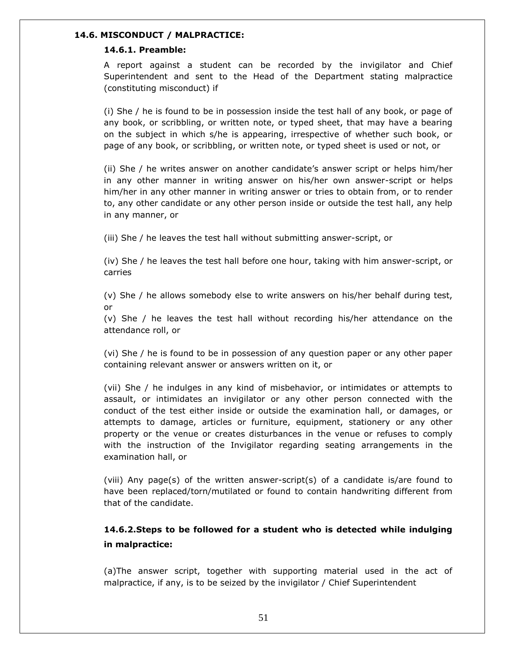### **14.6. MISCONDUCT / MALPRACTICE:**

### **14.6.1. Preamble:**

A report against a student can be recorded by the invigilator and Chief Superintendent and sent to the Head of the Department stating malpractice (constituting misconduct) if

(i) She / he is found to be in possession inside the test hall of any book, or page of any book, or scribbling, or written note, or typed sheet, that may have a bearing on the subject in which s/he is appearing, irrespective of whether such book, or page of any book, or scribbling, or written note, or typed sheet is used or not, or

(ii) She / he writes answer on another candidate"s answer script or helps him/her in any other manner in writing answer on his/her own answer-script or helps him/her in any other manner in writing answer or tries to obtain from, or to render to, any other candidate or any other person inside or outside the test hall, any help in any manner, or

(iii) She / he leaves the test hall without submitting answer-script, or

(iv) She / he leaves the test hall before one hour, taking with him answer-script, or carries

(v) She / he allows somebody else to write answers on his/her behalf during test, or

(v) She / he leaves the test hall without recording his/her attendance on the attendance roll, or

(vi) She / he is found to be in possession of any question paper or any other paper containing relevant answer or answers written on it, or

(vii) She / he indulges in any kind of misbehavior, or intimidates or attempts to assault, or intimidates an invigilator or any other person connected with the conduct of the test either inside or outside the examination hall, or damages, or attempts to damage, articles or furniture, equipment, stationery or any other property or the venue or creates disturbances in the venue or refuses to comply with the instruction of the Invigilator regarding seating arrangements in the examination hall, or

(viii) Any page(s) of the written answer-script(s) of a candidate is/are found to have been replaced/torn/mutilated or found to contain handwriting different from that of the candidate.

# **14.6.2.Steps to be followed for a student who is detected while indulging in malpractice:**

(a)The answer script, together with supporting material used in the act of malpractice, if any, is to be seized by the invigilator / Chief Superintendent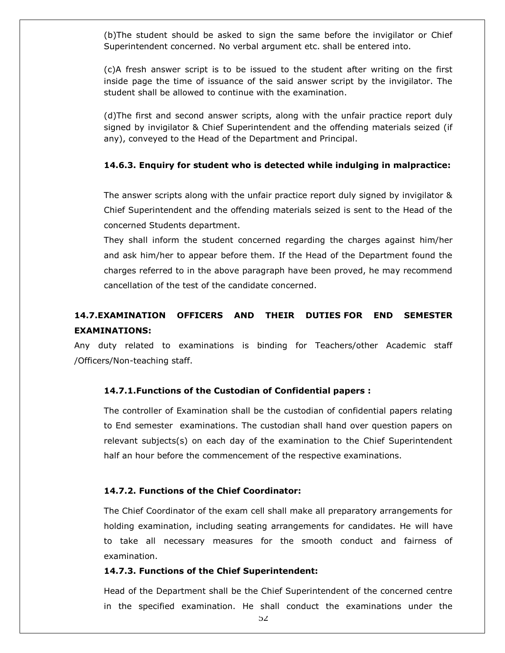(b)The student should be asked to sign the same before the invigilator or Chief Superintendent concerned. No verbal argument etc. shall be entered into.

(c)A fresh answer script is to be issued to the student after writing on the first inside page the time of issuance of the said answer script by the invigilator. The student shall be allowed to continue with the examination.

(d)The first and second answer scripts, along with the unfair practice report duly signed by invigilator & Chief Superintendent and the offending materials seized (if any), conveyed to the Head of the Department and Principal.

### **14.6.3. Enquiry for student who is detected while indulging in malpractice:**

The answer scripts along with the unfair practice report duly signed by invigilator & Chief Superintendent and the offending materials seized is sent to the Head of the concerned Students department.

They shall inform the student concerned regarding the charges against him/her and ask him/her to appear before them. If the Head of the Department found the charges referred to in the above paragraph have been proved, he may recommend cancellation of the test of the candidate concerned.

# **14.7.EXAMINATION OFFICERS AND THEIR DUTIES FOR END SEMESTER EXAMINATIONS:**

Any duty related to examinations is binding for Teachers/other Academic staff /Officers/Non-teaching staff.

### **14.7.1.Functions of the Custodian of Confidential papers :**

The controller of Examination shall be the custodian of confidential papers relating to End semester examinations. The custodian shall hand over question papers on relevant subjects(s) on each day of the examination to the Chief Superintendent half an hour before the commencement of the respective examinations.

### **14.7.2. Functions of the Chief Coordinator:**

The Chief Coordinator of the exam cell shall make all preparatory arrangements for holding examination, including seating arrangements for candidates. He will have to take all necessary measures for the smooth conduct and fairness of examination.

### **14.7.3. Functions of the Chief Superintendent:**

Head of the Department shall be the Chief Superintendent of the concerned centre in the specified examination. He shall conduct the examinations under the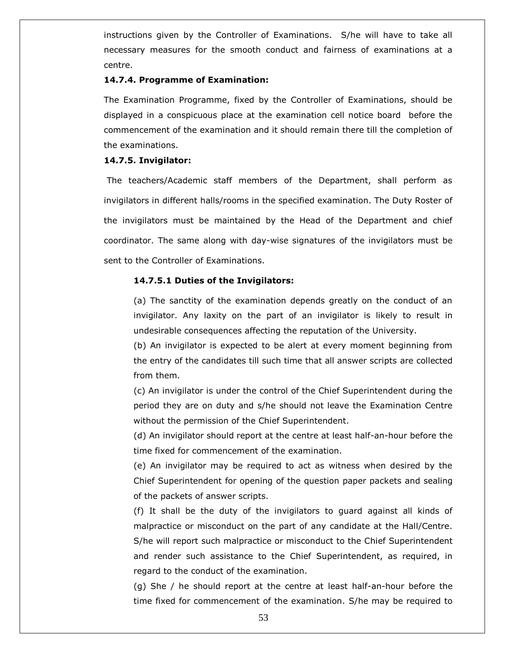instructions given by the Controller of Examinations. S/he will have to take all necessary measures for the smooth conduct and fairness of examinations at a centre.

### **14.7.4. Programme of Examination:**

The Examination Programme, fixed by the Controller of Examinations, should be displayed in a conspicuous place at the examination cell notice board before the commencement of the examination and it should remain there till the completion of the examinations.

### **14.7.5. Invigilator:**

The teachers/Academic staff members of the Department, shall perform as invigilators in different halls/rooms in the specified examination. The Duty Roster of the invigilators must be maintained by the Head of the Department and chief coordinator. The same along with day-wise signatures of the invigilators must be sent to the Controller of Examinations.

### **14.7.5.1 Duties of the Invigilators:**

(a) The sanctity of the examination depends greatly on the conduct of an invigilator. Any laxity on the part of an invigilator is likely to result in undesirable consequences affecting the reputation of the University.

(b) An invigilator is expected to be alert at every moment beginning from the entry of the candidates till such time that all answer scripts are collected from them.

(c) An invigilator is under the control of the Chief Superintendent during the period they are on duty and s/he should not leave the Examination Centre without the permission of the Chief Superintendent.

(d) An invigilator should report at the centre at least half-an-hour before the time fixed for commencement of the examination.

(e) An invigilator may be required to act as witness when desired by the Chief Superintendent for opening of the question paper packets and sealing of the packets of answer scripts.

(f) It shall be the duty of the invigilators to guard against all kinds of malpractice or misconduct on the part of any candidate at the Hall/Centre. S/he will report such malpractice or misconduct to the Chief Superintendent and render such assistance to the Chief Superintendent, as required, in regard to the conduct of the examination.

(g) She / he should report at the centre at least half-an-hour before the time fixed for commencement of the examination. S/he may be required to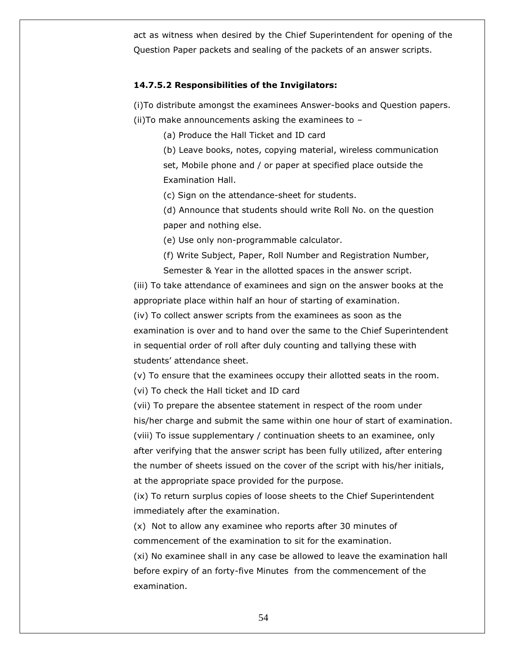act as witness when desired by the Chief Superintendent for opening of the Question Paper packets and sealing of the packets of an answer scripts.

### **14.7.5.2 Responsibilities of the Invigilators:**

(i)To distribute amongst the examinees Answer-books and Question papers. (ii)To make announcements asking the examinees to –

(a) Produce the Hall Ticket and ID card

(b) Leave books, notes, copying material, wireless communication set, Mobile phone and / or paper at specified place outside the Examination Hall.

(c) Sign on the attendance-sheet for students.

(d) Announce that students should write Roll No. on the question paper and nothing else.

(e) Use only non-programmable calculator.

(f) Write Subject, Paper, Roll Number and Registration Number, Semester & Year in the allotted spaces in the answer script.

(iii) To take attendance of examinees and sign on the answer books at the appropriate place within half an hour of starting of examination.

(iv) To collect answer scripts from the examinees as soon as the examination is over and to hand over the same to the Chief Superintendent in sequential order of roll after duly counting and tallying these with students" attendance sheet.

(v) To ensure that the examinees occupy their allotted seats in the room.

(vi) To check the Hall ticket and ID card

(vii) To prepare the absentee statement in respect of the room under his/her charge and submit the same within one hour of start of examination.

(viii) To issue supplementary / continuation sheets to an examinee, only after verifying that the answer script has been fully utilized, after entering the number of sheets issued on the cover of the script with his/her initials, at the appropriate space provided for the purpose.

(ix) To return surplus copies of loose sheets to the Chief Superintendent immediately after the examination.

(x) Not to allow any examinee who reports after 30 minutes of commencement of the examination to sit for the examination.

(xi) No examinee shall in any case be allowed to leave the examination hall before expiry of an forty-five Minutes from the commencement of the examination.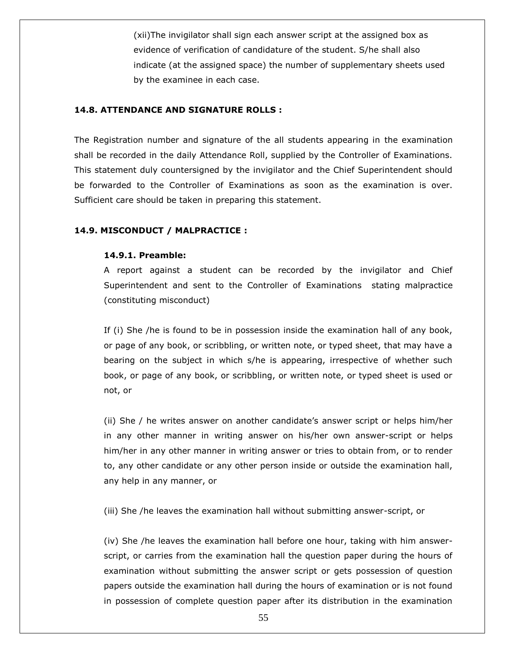(xii)The invigilator shall sign each answer script at the assigned box as evidence of verification of candidature of the student. S/he shall also indicate (at the assigned space) the number of supplementary sheets used by the examinee in each case.

### **14.8. ATTENDANCE AND SIGNATURE ROLLS :**

The Registration number and signature of the all students appearing in the examination shall be recorded in the daily Attendance Roll, supplied by the Controller of Examinations. This statement duly countersigned by the invigilator and the Chief Superintendent should be forwarded to the Controller of Examinations as soon as the examination is over. Sufficient care should be taken in preparing this statement.

### **14.9. MISCONDUCT / MALPRACTICE :**

### **14.9.1. Preamble:**

A report against a student can be recorded by the invigilator and Chief Superintendent and sent to the Controller of Examinations stating malpractice (constituting misconduct)

If (i) She /he is found to be in possession inside the examination hall of any book, or page of any book, or scribbling, or written note, or typed sheet, that may have a bearing on the subject in which s/he is appearing, irrespective of whether such book, or page of any book, or scribbling, or written note, or typed sheet is used or not, or

(ii) She / he writes answer on another candidate"s answer script or helps him/her in any other manner in writing answer on his/her own answer-script or helps him/her in any other manner in writing answer or tries to obtain from, or to render to, any other candidate or any other person inside or outside the examination hall, any help in any manner, or

(iii) She /he leaves the examination hall without submitting answer-script, or

(iv) She /he leaves the examination hall before one hour, taking with him answerscript, or carries from the examination hall the question paper during the hours of examination without submitting the answer script or gets possession of question papers outside the examination hall during the hours of examination or is not found in possession of complete question paper after its distribution in the examination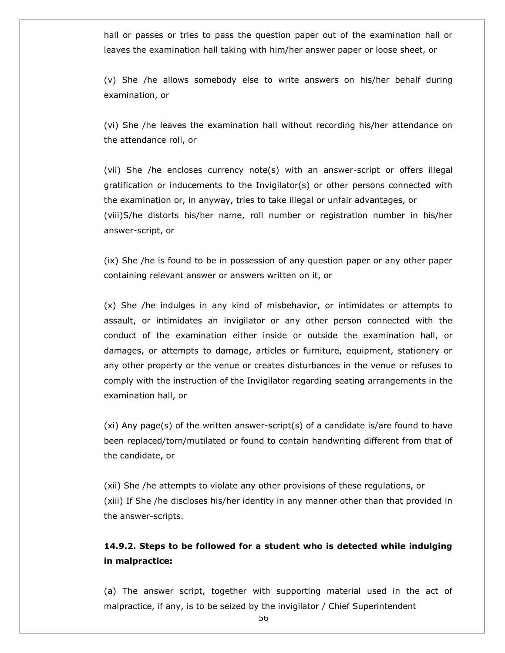hall or passes or tries to pass the question paper out of the examination hall or leaves the examination hall taking with him/her answer paper or loose sheet, or

(v) She /he allows somebody else to write answers on his/her behalf during examination, or

(vi) She /he leaves the examination hall without recording his/her attendance on the attendance roll, or

(vii) She /he encloses currency note(s) with an answer-script or offers illegal gratification or inducements to the Invigilator(s) or other persons connected with the examination or, in anyway, tries to take illegal or unfair advantages, or (viii)S/he distorts his/her name, roll number or registration number in his/her answer-script, or

(ix) She /he is found to be in possession of any question paper or any other paper containing relevant answer or answers written on it, or

(x) She /he indulges in any kind of misbehavior, or intimidates or attempts to assault, or intimidates an invigilator or any other person connected with the conduct of the examination either inside or outside the examination hall, or damages, or attempts to damage, articles or furniture, equipment, stationery or any other property or the venue or creates disturbances in the venue or refuses to comply with the instruction of the Invigilator regarding seating arrangements in the examination hall, or

(xi) Any page(s) of the written answer-script(s) of a candidate is/are found to have been replaced/torn/mutilated or found to contain handwriting different from that of the candidate, or

(xii) She /he attempts to violate any other provisions of these regulations, or (xiii) If She /he discloses his/her identity in any manner other than that provided in the answer-scripts.

# **14.9.2. Steps to be followed for a student who is detected while indulging in malpractice:**

(a) The answer script, together with supporting material used in the act of malpractice, if any, is to be seized by the invigilator / Chief Superintendent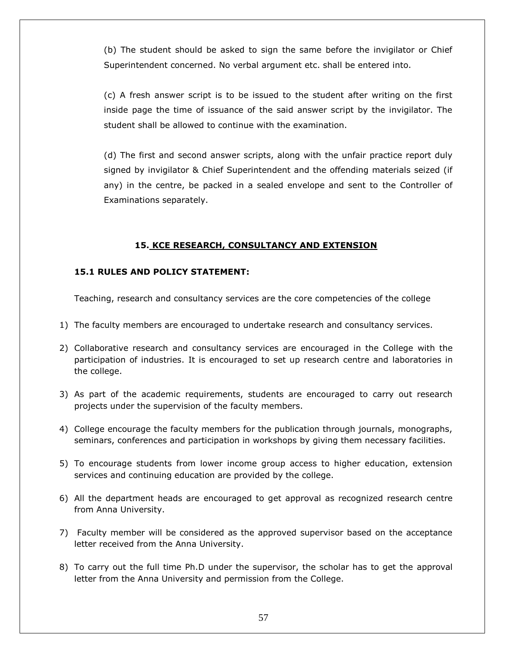(b) The student should be asked to sign the same before the invigilator or Chief Superintendent concerned. No verbal argument etc. shall be entered into.

(c) A fresh answer script is to be issued to the student after writing on the first inside page the time of issuance of the said answer script by the invigilator. The student shall be allowed to continue with the examination.

(d) The first and second answer scripts, along with the unfair practice report duly signed by invigilator & Chief Superintendent and the offending materials seized (if any) in the centre, be packed in a sealed envelope and sent to the Controller of Examinations separately.

### **15. KCE RESEARCH, CONSULTANCY AND EXTENSION**

# **15.1 RULES AND POLICY STATEMENT:**

Teaching, research and consultancy services are the core competencies of the college

- 1) The faculty members are encouraged to undertake research and consultancy services.
- 2) Collaborative research and consultancy services are encouraged in the College with the participation of industries. It is encouraged to set up research centre and laboratories in the college.
- 3) As part of the academic requirements, students are encouraged to carry out research projects under the supervision of the faculty members.
- 4) College encourage the faculty members for the publication through journals, monographs, seminars, conferences and participation in workshops by giving them necessary facilities.
- 5) To encourage students from lower income group access to higher education, extension services and continuing education are provided by the college.
- 6) All the department heads are encouraged to get approval as recognized research centre from Anna University.
- 7) Faculty member will be considered as the approved supervisor based on the acceptance letter received from the Anna University.
- 8) To carry out the full time Ph.D under the supervisor, the scholar has to get the approval letter from the Anna University and permission from the College.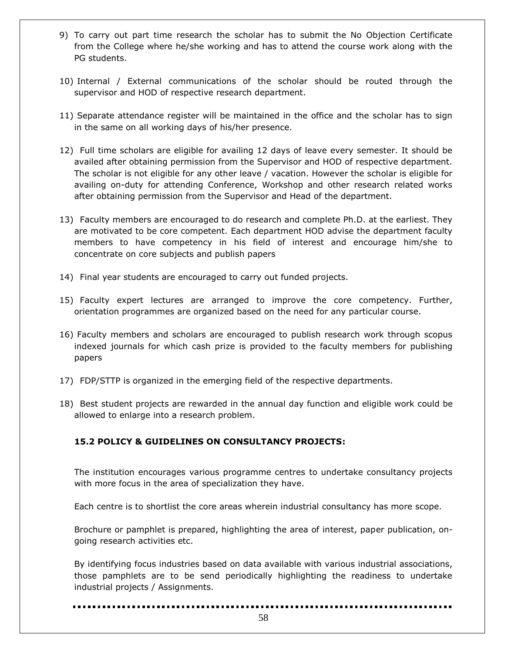- 9) To carry out part time research the scholar has to submit the No Objection Certificate from the College where he/she working and has to attend the course work along with the PG students.
- 10) Internal / External communications of the scholar should be routed through the supervisor and HOD of respective research department.
- 11) Separate attendance register will be maintained in the office and the scholar has to sign in the same on all working days of his/her presence.
- 12) Full time scholars are eligible for availing 12 days of leave every semester. It should be availed after obtaining permission from the Supervisor and HOD of respective department. The scholar is not eligible for any other leave / vacation. However the scholar is eligible for availing on-duty for attending Conference, Workshop and other research related works after obtaining permission from the Supervisor and Head of the department.
- 13) Faculty members are encouraged to do research and complete Ph.D. at the earliest. They are motivated to be core competent. Each department HOD advise the department faculty members to have competency in his field of interest and encourage him/she to concentrate on core subjects and publish papers
- 14) Final year students are encouraged to carry out funded projects.
- 15) Faculty expert lectures are arranged to improve the core competency. Further, orientation programmes are organized based on the need for any particular course.
- 16) Faculty members and scholars are encouraged to publish research work through scopus indexed journals for which cash prize is provided to the faculty members for publishing papers
- 17) FDP/STTP is organized in the emerging field of the respective departments.
- 18) Best student projects are rewarded in the annual day function and eligible work could be allowed to enlarge into a research problem.

# **15.2 POLICY & GUIDELINES ON CONSULTANCY PROJECTS:**

The institution encourages various programme centres to undertake consultancy projects with more focus in the area of specialization they have.

Each centre is to shortlist the core areas wherein industrial consultancy has more scope.

Brochure or pamphlet is prepared, highlighting the area of interest, paper publication, ongoing research activities etc.

By identifying focus industries based on data available with various industrial associations, those pamphlets are to be send periodically highlighting the readiness to undertake industrial projects / Assignments.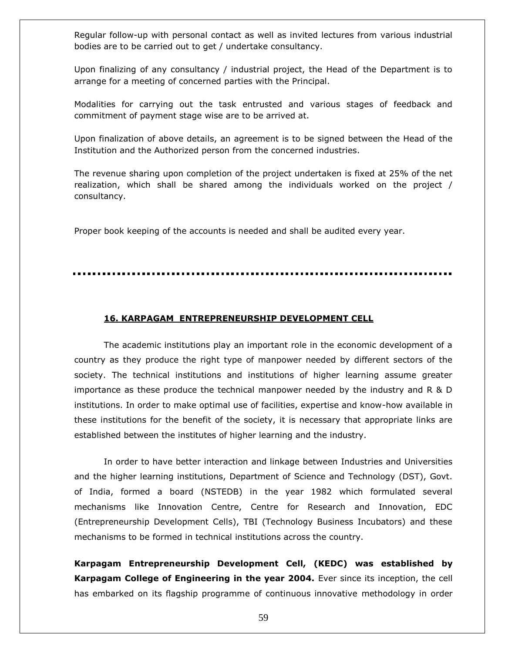Regular follow-up with personal contact as well as invited lectures from various industrial bodies are to be carried out to get / undertake consultancy.

Upon finalizing of any consultancy / industrial project, the Head of the Department is to arrange for a meeting of concerned parties with the Principal.

Modalities for carrying out the task entrusted and various stages of feedback and commitment of payment stage wise are to be arrived at.

Upon finalization of above details, an agreement is to be signed between the Head of the Institution and the Authorized person from the concerned industries.

The revenue sharing upon completion of the project undertaken is fixed at 25% of the net realization, which shall be shared among the individuals worked on the project / consultancy.

Proper book keeping of the accounts is needed and shall be audited every year.

#### **16. KARPAGAM ENTREPRENEURSHIP DEVELOPMENT CELL**

The academic institutions play an important role in the economic development of a country as they produce the right type of manpower needed by different sectors of the society. The technical institutions and institutions of higher learning assume greater importance as these produce the technical manpower needed by the industry and R & D institutions. In order to make optimal use of facilities, expertise and know-how available in these institutions for the benefit of the society, it is necessary that appropriate links are established between the institutes of higher learning and the industry.

In order to have better interaction and linkage between Industries and Universities and the higher learning institutions, Department of Science and Technology (DST), Govt. of India, formed a board (NSTEDB) in the year 1982 which formulated several mechanisms like Innovation Centre, Centre for Research and Innovation, EDC (Entrepreneurship Development Cells), TBI (Technology Business Incubators) and these mechanisms to be formed in technical institutions across the country.

**Karpagam Entrepreneurship Development Cell, (KEDC) was established by Karpagam College of Engineering in the year 2004.** Ever since its inception, the cell has embarked on its flagship programme of continuous innovative methodology in order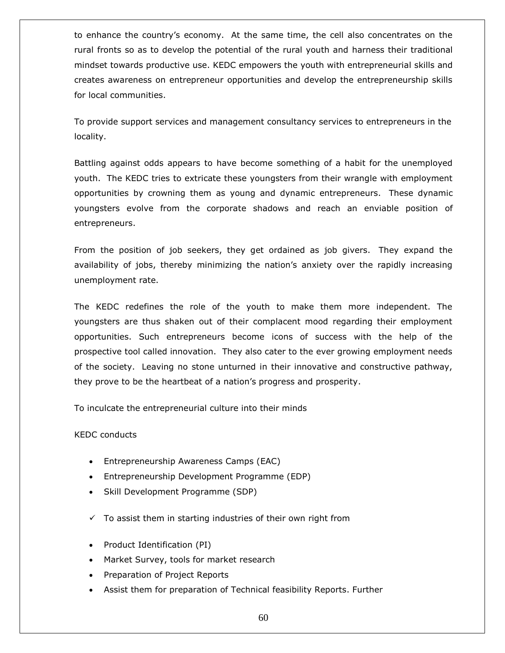to enhance the country"s economy. At the same time, the cell also concentrates on the rural fronts so as to develop the potential of the rural youth and harness their traditional mindset towards productive use. KEDC empowers the youth with entrepreneurial skills and creates awareness on entrepreneur opportunities and develop the entrepreneurship skills for local communities.

To provide support services and management consultancy services to entrepreneurs in the locality.

Battling against odds appears to have become something of a habit for the unemployed youth. The KEDC tries to extricate these youngsters from their wrangle with employment opportunities by crowning them as young and dynamic entrepreneurs. These dynamic youngsters evolve from the corporate shadows and reach an enviable position of entrepreneurs.

From the position of job seekers, they get ordained as job givers. They expand the availability of jobs, thereby minimizing the nation's anxiety over the rapidly increasing unemployment rate.

The KEDC redefines the role of the youth to make them more independent. The youngsters are thus shaken out of their complacent mood regarding their employment opportunities. Such entrepreneurs become icons of success with the help of the prospective tool called innovation. They also cater to the ever growing employment needs of the society. Leaving no stone unturned in their innovative and constructive pathway, they prove to be the heartbeat of a nation"s progress and prosperity.

To inculcate the entrepreneurial culture into their minds

### KEDC conducts

- Entrepreneurship Awareness Camps (EAC)
- Entrepreneurship Development Programme (EDP)
- Skill Development Programme (SDP)
- $\checkmark$  To assist them in starting industries of their own right from
- Product Identification (PI)
- Market Survey, tools for market research
- Preparation of Project Reports
- Assist them for preparation of Technical feasibility Reports. Further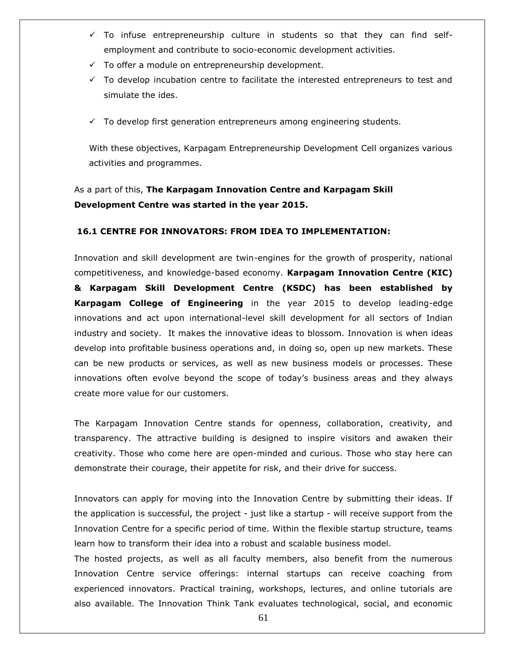- $\checkmark$  To infuse entrepreneurship culture in students so that they can find selfemployment and contribute to socio-economic development activities.
- $\checkmark$  To offer a module on entrepreneurship development.
- $\checkmark$  To develop incubation centre to facilitate the interested entrepreneurs to test and simulate the ides.
- $\checkmark$  To develop first generation entrepreneurs among engineering students.

With these objectives, Karpagam Entrepreneurship Development Cell organizes various activities and programmes.

# As a part of this, **The Karpagam Innovation Centre and Karpagam Skill Development Centre was started in the year 2015.**

### **16.1 CENTRE FOR INNOVATORS: FROM IDEA TO IMPLEMENTATION:**

Innovation and skill development are twin-engines for the growth of prosperity, national competitiveness, and knowledge-based economy. **Karpagam Innovation Centre (KIC) & Karpagam Skill Development Centre (KSDC) has been established by Karpagam College of Engineering** in the year 2015 to develop leading-edge innovations and act upon international-level skill development for all sectors of Indian industry and society. It makes the innovative ideas to blossom. Innovation is when ideas develop into profitable business operations and, in doing so, open up new markets. These can be new products or services, as well as new business models or processes. These innovations often evolve beyond the scope of today"s business areas and they always create more value for our customers.

The Karpagam Innovation Centre stands for openness, collaboration, creativity, and transparency. The attractive building is designed to inspire visitors and awaken their creativity. Those who come here are open-minded and curious. Those who stay here can demonstrate their courage, their appetite for risk, and their drive for success.

Innovators can apply for moving into the Innovation Centre by submitting their ideas. If the application is successful, the project - just like a startup - will receive support from the Innovation Centre for a specific period of time. Within the flexible startup structure, teams learn how to transform their idea into a robust and scalable business model.

The hosted projects, as well as all faculty members, also benefit from the numerous Innovation Centre service offerings: internal startups can receive coaching from experienced innovators. Practical training, workshops, lectures, and online tutorials are also available. The Innovation Think Tank evaluates technological, social, and economic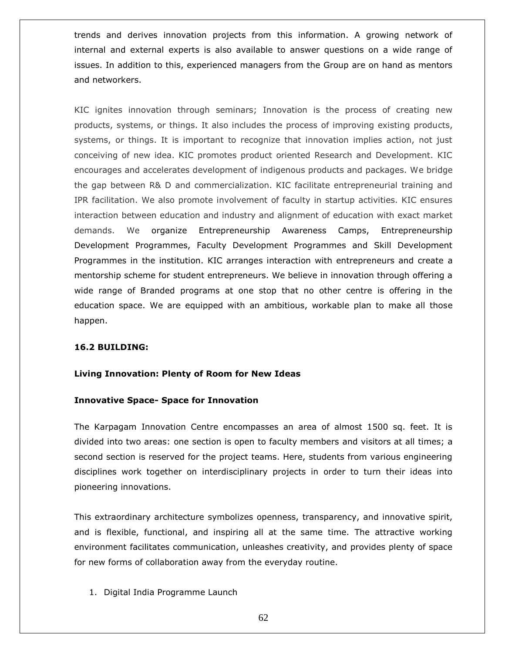trends and derives innovation projects from this information. A growing network of internal and external experts is also available to answer questions on a wide range of issues. In addition to this, experienced managers from the Group are on hand as mentors and networkers.

KIC ignites innovation through seminars; Innovation is the process of creating new products, systems, or things. It also includes the process of improving existing products, systems, or things. It is important to recognize that innovation implies action, not just conceiving of new idea. KIC promotes product oriented Research and Development. KIC encourages and accelerates development of indigenous products and packages. We bridge the gap between R& D and commercialization. KIC facilitate entrepreneurial training and IPR facilitation. We also promote involvement of faculty in startup activities. KIC ensures interaction between education and industry and alignment of education with exact market demands. We organize Entrepreneurship Awareness Camps, Entrepreneurship Development Programmes, Faculty Development Programmes and Skill Development Programmes in the institution. KIC arranges interaction with entrepreneurs and create a mentorship scheme for student entrepreneurs. We believe in innovation through offering a wide range of Branded programs at one stop that no other centre is offering in the education space. We are equipped with an ambitious, workable plan to make all those happen.

### **16.2 BUILDING:**

### **Living Innovation: Plenty of Room for New Ideas**

### **Innovative Space- Space for Innovation**

The Karpagam Innovation Centre encompasses an area of almost 1500 sq. feet. It is divided into two areas: one section is open to faculty members and visitors at all times; a second section is reserved for the project teams. Here, students from various engineering disciplines work together on interdisciplinary projects in order to turn their ideas into pioneering innovations.

This extraordinary architecture symbolizes openness, transparency, and innovative spirit, and is flexible, functional, and inspiring all at the same time. The attractive working environment facilitates communication, unleashes creativity, and provides plenty of space for new forms of collaboration away from the everyday routine.

1. Digital India Programme Launch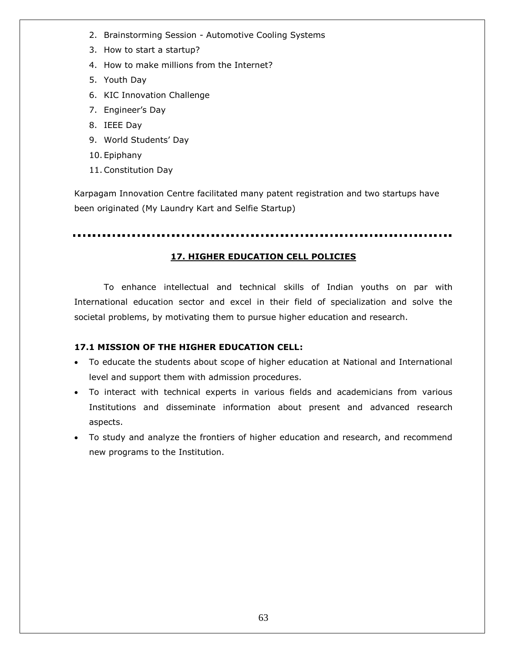- 2. Brainstorming Session Automotive Cooling Systems
- 3. How to start a startup?
- 4. How to make millions from the Internet?
- 5. Youth Day
- 6. KIC Innovation Challenge
- 7. Engineer"s Day
- 8. IEEE Day
- 9. World Students' Day
- 10. Epiphany
- 11.Constitution Day

Karpagam Innovation Centre facilitated many patent registration and two startups have been originated (My Laundry Kart and Selfie Startup)

# **17. HIGHER EDUCATION CELL POLICIES**

To enhance intellectual and technical skills of Indian youths on par with International education sector and excel in their field of specialization and solve the societal problems, by motivating them to pursue higher education and research.

# **17.1 MISSION OF THE HIGHER EDUCATION CELL:**

- To educate the students about scope of higher education at National and International level and support them with admission procedures.
- To interact with technical experts in various fields and academicians from various Institutions and disseminate information about present and advanced research aspects.
- To study and analyze the frontiers of higher education and research, and recommend new programs to the Institution.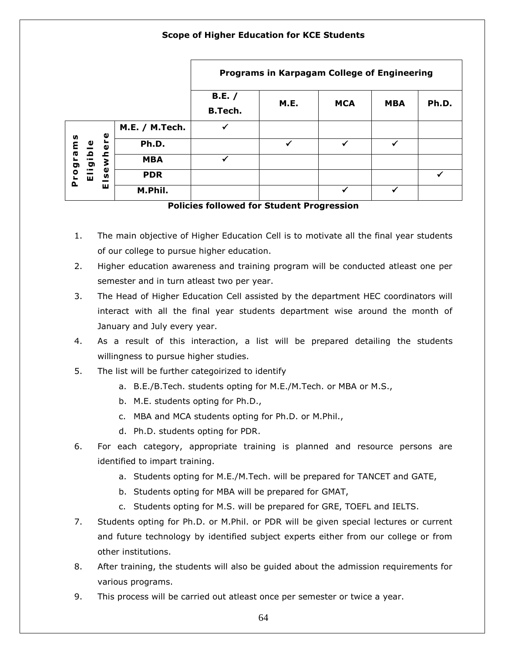# **Scope of Higher Education for KCE Students**

|                                                              |                | Programs in Karpagam College of Engineering |      |            |            |       |
|--------------------------------------------------------------|----------------|---------------------------------------------|------|------------|------------|-------|
|                                                              |                | B.E. /<br><b>B.Tech.</b>                    | M.E. | <b>MCA</b> | <b>MBA</b> | Ph.D. |
| Φ<br>Programs<br>L,<br>ligible<br>ewhe<br><b>S</b><br>ш<br>ш | M.E. / M.Tech. | ✓                                           |      |            |            |       |
|                                                              | Ph.D.          |                                             | ✔    | ✔          | ✓          |       |
|                                                              | <b>MBA</b>     | ✔                                           |      |            |            |       |
|                                                              | <b>PDR</b>     |                                             |      |            |            | ✔     |
|                                                              | M.Phil.        |                                             |      | ✔          |            |       |

**Policies followed for Student Progression**

- 1. The main objective of Higher Education Cell is to motivate all the final year students of our college to pursue higher education.
- 2. Higher education awareness and training program will be conducted atleast one per semester and in turn atleast two per year.
- 3. The Head of Higher Education Cell assisted by the department HEC coordinators will interact with all the final year students department wise around the month of January and July every year.
- 4. As a result of this interaction, a list will be prepared detailing the students willingness to pursue higher studies.
- 5. The list will be further categoirized to identify
	- a. B.E./B.Tech. students opting for M.E./M.Tech. or MBA or M.S.,
	- b. M.E. students opting for Ph.D.,
	- c. MBA and MCA students opting for Ph.D. or M.Phil.,
	- d. Ph.D. students opting for PDR.
- 6. For each category, appropriate training is planned and resource persons are identified to impart training.
	- a. Students opting for M.E./M.Tech. will be prepared for TANCET and GATE,
	- b. Students opting for MBA will be prepared for GMAT,
	- c. Students opting for M.S. will be prepared for GRE, TOEFL and IELTS.
- 7. Students opting for Ph.D. or M.Phil. or PDR will be given special lectures or current and future technology by identified subject experts either from our college or from other institutions.
- 8. After training, the students will also be guided about the admission requirements for various programs.
- 9. This process will be carried out atleast once per semester or twice a year.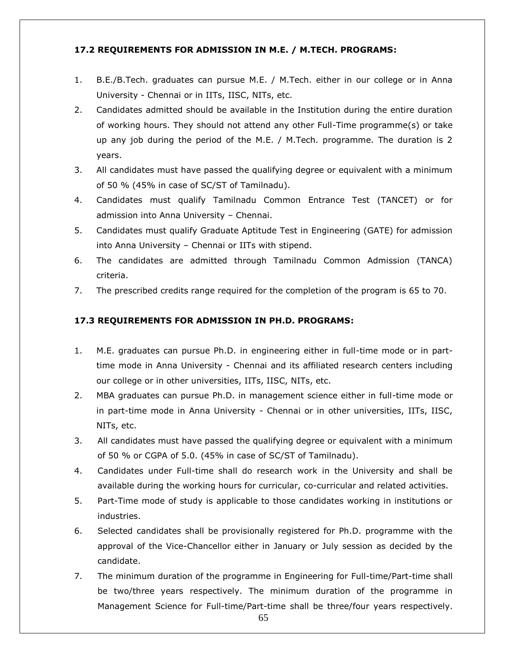# **17.2 REQUIREMENTS FOR ADMISSION IN M.E. / M.TECH. PROGRAMS:**

- 1. B.E./B.Tech. graduates can pursue M.E. / M.Tech. either in our college or in Anna University - Chennai or in IITs, IISC, NITs, etc.
- 2. Candidates admitted should be available in the Institution during the entire duration of working hours. They should not attend any other Full-Time programme(s) or take up any job during the period of the M.E. / M.Tech. programme. The duration is 2 years.
- 3. All candidates must have passed the qualifying degree or equivalent with a minimum of 50 % (45% in case of SC/ST of Tamilnadu).
- 4. Candidates must qualify Tamilnadu Common Entrance Test (TANCET) or for admission into Anna University – Chennai.
- 5. Candidates must qualify Graduate Aptitude Test in Engineering (GATE) for admission into Anna University – Chennai or IITs with stipend.
- 6. The candidates are admitted through Tamilnadu Common Admission (TANCA) criteria.
- 7. The prescribed credits range required for the completion of the program is 65 to 70.

### **17.3 REQUIREMENTS FOR ADMISSION IN PH.D. PROGRAMS:**

- 1. M.E. graduates can pursue Ph.D. in engineering either in full-time mode or in parttime mode in Anna University - Chennai and its affiliated research centers including our college or in other universities, IITs, IISC, NITs, etc.
- 2. MBA graduates can pursue Ph.D. in management science either in full-time mode or in part-time mode in Anna University - Chennai or in other universities, IITs, IISC, NITs, etc.
- 3. All candidates must have passed the qualifying degree or equivalent with a minimum of 50 % or CGPA of 5.0. (45% in case of SC/ST of Tamilnadu).
- 4. Candidates under Full-time shall do research work in the University and shall be available during the working hours for curricular, co-curricular and related activities.
- 5. Part-Time mode of study is applicable to those candidates working in institutions or industries.
- 6. Selected candidates shall be provisionally registered for Ph.D. programme with the approval of the Vice-Chancellor either in January or July session as decided by the candidate.
- 7. The minimum duration of the programme in Engineering for Full-time/Part-time shall be two/three years respectively. The minimum duration of the programme in Management Science for Full-time/Part-time shall be three/four years respectively.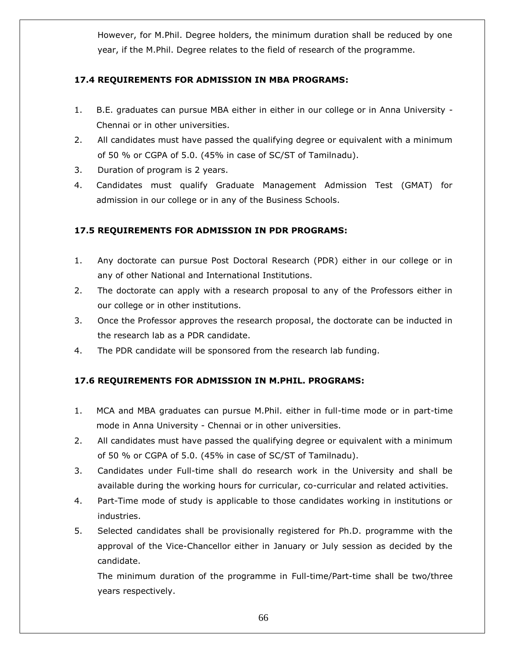However, for M.Phil. Degree holders, the minimum duration shall be reduced by one year, if the M.Phil. Degree relates to the field of research of the programme.

# **17.4 REQUIREMENTS FOR ADMISSION IN MBA PROGRAMS:**

- 1. B.E. graduates can pursue MBA either in either in our college or in Anna University Chennai or in other universities.
- 2. All candidates must have passed the qualifying degree or equivalent with a minimum of 50 % or CGPA of 5.0. (45% in case of SC/ST of Tamilnadu).
- 3. Duration of program is 2 years.
- 4. Candidates must qualify Graduate Management Admission Test (GMAT) for admission in our college or in any of the Business Schools.

# **17.5 REQUIREMENTS FOR ADMISSION IN PDR PROGRAMS:**

- 1. Any doctorate can pursue Post Doctoral Research (PDR) either in our college or in any of other National and International Institutions.
- 2. The doctorate can apply with a research proposal to any of the Professors either in our college or in other institutions.
- 3. Once the Professor approves the research proposal, the doctorate can be inducted in the research lab as a PDR candidate.
- 4. The PDR candidate will be sponsored from the research lab funding.

# **17.6 REQUIREMENTS FOR ADMISSION IN M.PHIL. PROGRAMS:**

- 1. MCA and MBA graduates can pursue M.Phil. either in full-time mode or in part-time mode in Anna University - Chennai or in other universities.
- 2. All candidates must have passed the qualifying degree or equivalent with a minimum of 50 % or CGPA of 5.0. (45% in case of SC/ST of Tamilnadu).
- 3. Candidates under Full-time shall do research work in the University and shall be available during the working hours for curricular, co-curricular and related activities.
- 4. Part-Time mode of study is applicable to those candidates working in institutions or industries.
- 5. Selected candidates shall be provisionally registered for Ph.D. programme with the approval of the Vice-Chancellor either in January or July session as decided by the candidate.

The minimum duration of the programme in Full-time/Part-time shall be two/three years respectively.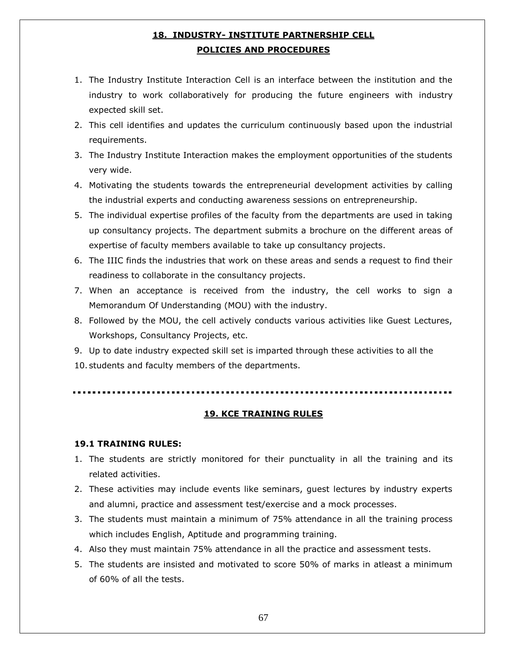# **18. INDUSTRY- INSTITUTE PARTNERSHIP CELL POLICIES AND PROCEDURES**

- 1. The Industry Institute Interaction Cell is an interface between the institution and the industry to work collaboratively for producing the future engineers with industry expected skill set.
- 2. This cell identifies and updates the curriculum continuously based upon the industrial requirements.
- 3. The Industry Institute Interaction makes the employment opportunities of the students very wide.
- 4. Motivating the students towards the entrepreneurial development activities by calling the industrial experts and conducting awareness sessions on entrepreneurship.
- 5. The individual expertise profiles of the faculty from the departments are used in taking up consultancy projects. The department submits a brochure on the different areas of expertise of faculty members available to take up consultancy projects.
- 6. The IIIC finds the industries that work on these areas and sends a request to find their readiness to collaborate in the consultancy projects.
- 7. When an acceptance is received from the industry, the cell works to sign a Memorandum Of Understanding (MOU) with the industry.
- 8. Followed by the MOU, the cell actively conducts various activities like Guest Lectures, Workshops, Consultancy Projects, etc.
- 9. Up to date industry expected skill set is imparted through these activities to all the
- 10. students and faculty members of the departments.

### **19. KCE TRAINING RULES**

### **19.1 TRAINING RULES:**

- 1. The students are strictly monitored for their punctuality in all the training and its related activities.
- 2. These activities may include events like seminars, guest lectures by industry experts and alumni, practice and assessment test/exercise and a mock processes.
- 3. The students must maintain a minimum of 75% attendance in all the training process which includes English, Aptitude and programming training.
- 4. Also they must maintain 75% attendance in all the practice and assessment tests.
- 5. The students are insisted and motivated to score 50% of marks in atleast a minimum of 60% of all the tests.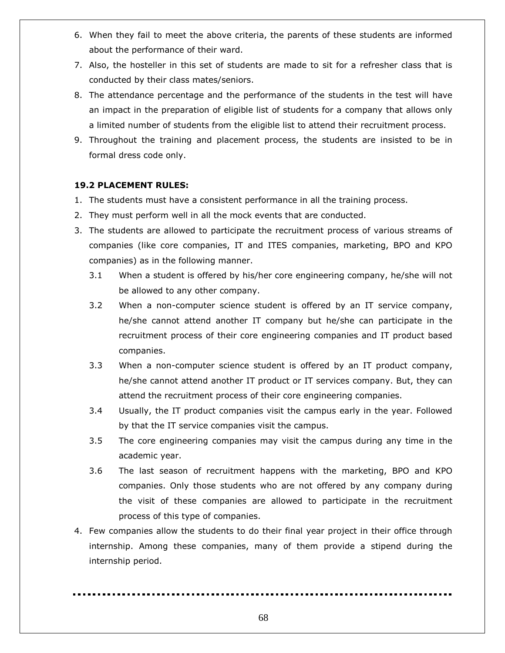- 6. When they fail to meet the above criteria, the parents of these students are informed about the performance of their ward.
- 7. Also, the hosteller in this set of students are made to sit for a refresher class that is conducted by their class mates/seniors.
- 8. The attendance percentage and the performance of the students in the test will have an impact in the preparation of eligible list of students for a company that allows only a limited number of students from the eligible list to attend their recruitment process.
- 9. Throughout the training and placement process, the students are insisted to be in formal dress code only.

# **19.2 PLACEMENT RULES:**

- 1. The students must have a consistent performance in all the training process.
- 2. They must perform well in all the mock events that are conducted.
- 3. The students are allowed to participate the recruitment process of various streams of companies (like core companies, IT and ITES companies, marketing, BPO and KPO companies) as in the following manner.
	- 3.1 When a student is offered by his/her core engineering company, he/she will not be allowed to any other company.
	- 3.2 When a non-computer science student is offered by an IT service company, he/she cannot attend another IT company but he/she can participate in the recruitment process of their core engineering companies and IT product based companies.
	- 3.3 When a non-computer science student is offered by an IT product company, he/she cannot attend another IT product or IT services company. But, they can attend the recruitment process of their core engineering companies.
	- 3.4 Usually, the IT product companies visit the campus early in the year. Followed by that the IT service companies visit the campus.
	- 3.5 The core engineering companies may visit the campus during any time in the academic year.
	- 3.6 The last season of recruitment happens with the marketing, BPO and KPO companies. Only those students who are not offered by any company during the visit of these companies are allowed to participate in the recruitment process of this type of companies.
- 4. Few companies allow the students to do their final year project in their office through internship. Among these companies, many of them provide a stipend during the internship period.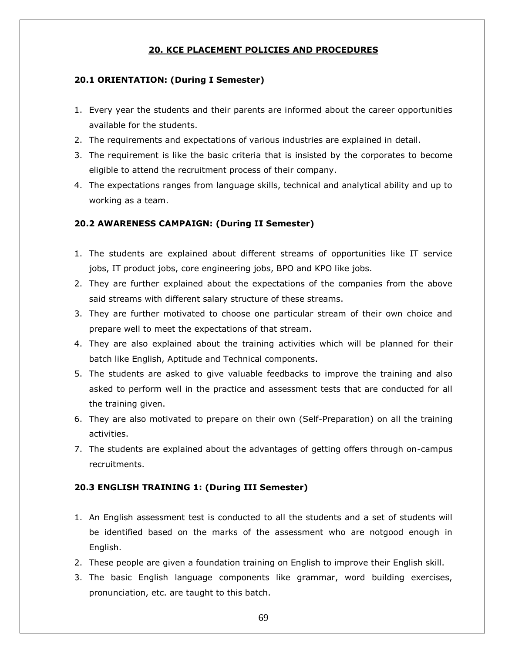# **20. KCE PLACEMENT POLICIES AND PROCEDURES**

### **20.1 ORIENTATION: (During I Semester)**

- 1. Every year the students and their parents are informed about the career opportunities available for the students.
- 2. The requirements and expectations of various industries are explained in detail.
- 3. The requirement is like the basic criteria that is insisted by the corporates to become eligible to attend the recruitment process of their company.
- 4. The expectations ranges from language skills, technical and analytical ability and up to working as a team.

### **20.2 AWARENESS CAMPAIGN: (During II Semester)**

- 1. The students are explained about different streams of opportunities like IT service jobs, IT product jobs, core engineering jobs, BPO and KPO like jobs.
- 2. They are further explained about the expectations of the companies from the above said streams with different salary structure of these streams.
- 3. They are further motivated to choose one particular stream of their own choice and prepare well to meet the expectations of that stream.
- 4. They are also explained about the training activities which will be planned for their batch like English, Aptitude and Technical components.
- 5. The students are asked to give valuable feedbacks to improve the training and also asked to perform well in the practice and assessment tests that are conducted for all the training given.
- 6. They are also motivated to prepare on their own (Self-Preparation) on all the training activities.
- 7. The students are explained about the advantages of getting offers through on-campus recruitments.

### **20.3 ENGLISH TRAINING 1: (During III Semester)**

- 1. An English assessment test is conducted to all the students and a set of students will be identified based on the marks of the assessment who are notgood enough in English.
- 2. These people are given a foundation training on English to improve their English skill.
- 3. The basic English language components like grammar, word building exercises, pronunciation, etc. are taught to this batch.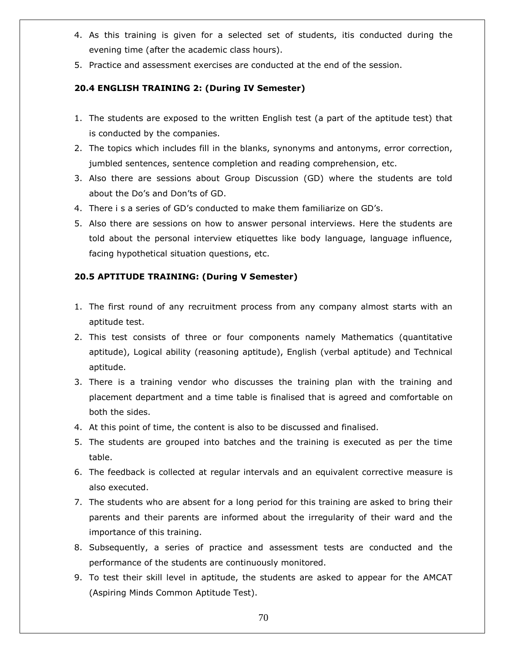- 4. As this training is given for a selected set of students, itis conducted during the evening time (after the academic class hours).
- 5. Practice and assessment exercises are conducted at the end of the session.

# **20.4 ENGLISH TRAINING 2: (During IV Semester)**

- 1. The students are exposed to the written English test (a part of the aptitude test) that is conducted by the companies.
- 2. The topics which includes fill in the blanks, synonyms and antonyms, error correction, jumbled sentences, sentence completion and reading comprehension, etc.
- 3. Also there are sessions about Group Discussion (GD) where the students are told about the Do"s and Don"ts of GD.
- 4. There i s a series of GD"s conducted to make them familiarize on GD"s.
- 5. Also there are sessions on how to answer personal interviews. Here the students are told about the personal interview etiquettes like body language, language influence, facing hypothetical situation questions, etc.

# **20.5 APTITUDE TRAINING: (During V Semester)**

- 1. The first round of any recruitment process from any company almost starts with an aptitude test.
- 2. This test consists of three or four components namely Mathematics (quantitative aptitude), Logical ability (reasoning aptitude), English (verbal aptitude) and Technical aptitude.
- 3. There is a training vendor who discusses the training plan with the training and placement department and a time table is finalised that is agreed and comfortable on both the sides.
- 4. At this point of time, the content is also to be discussed and finalised.
- 5. The students are grouped into batches and the training is executed as per the time table.
- 6. The feedback is collected at regular intervals and an equivalent corrective measure is also executed.
- 7. The students who are absent for a long period for this training are asked to bring their parents and their parents are informed about the irregularity of their ward and the importance of this training.
- 8. Subsequently, a series of practice and assessment tests are conducted and the performance of the students are continuously monitored.
- 9. To test their skill level in aptitude, the students are asked to appear for the AMCAT (Aspiring Minds Common Aptitude Test).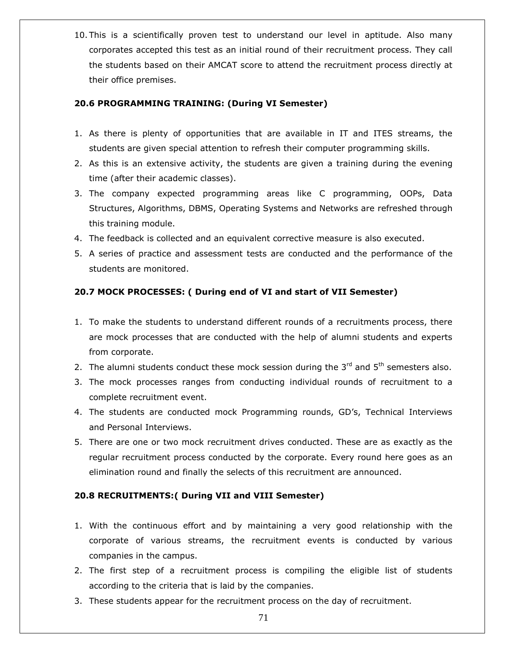10. This is a scientifically proven test to understand our level in aptitude. Also many corporates accepted this test as an initial round of their recruitment process. They call the students based on their AMCAT score to attend the recruitment process directly at their office premises.

## **20.6 PROGRAMMING TRAINING: (During VI Semester)**

- 1. As there is plenty of opportunities that are available in IT and ITES streams, the students are given special attention to refresh their computer programming skills.
- 2. As this is an extensive activity, the students are given a training during the evening time (after their academic classes).
- 3. The company expected programming areas like C programming, OOPs, Data Structures, Algorithms, DBMS, Operating Systems and Networks are refreshed through this training module.
- 4. The feedback is collected and an equivalent corrective measure is also executed.
- 5. A series of practice and assessment tests are conducted and the performance of the students are monitored.

# **20.7 MOCK PROCESSES: ( During end of VI and start of VII Semester)**

- 1. To make the students to understand different rounds of a recruitments process, there are mock processes that are conducted with the help of alumni students and experts from corporate.
- 2. The alumni students conduct these mock session during the  $3<sup>rd</sup>$  and  $5<sup>th</sup>$  semesters also.
- 3. The mock processes ranges from conducting individual rounds of recruitment to a complete recruitment event.
- 4. The students are conducted mock Programming rounds, GD"s, Technical Interviews and Personal Interviews.
- 5. There are one or two mock recruitment drives conducted. These are as exactly as the regular recruitment process conducted by the corporate. Every round here goes as an elimination round and finally the selects of this recruitment are announced.

# **20.8 RECRUITMENTS:( During VII and VIII Semester)**

- 1. With the continuous effort and by maintaining a very good relationship with the corporate of various streams, the recruitment events is conducted by various companies in the campus.
- 2. The first step of a recruitment process is compiling the eligible list of students according to the criteria that is laid by the companies.
- 3. These students appear for the recruitment process on the day of recruitment.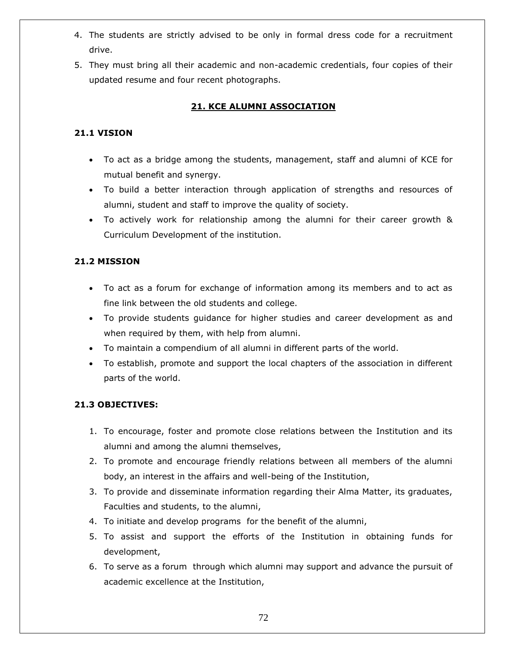- 4. The students are strictly advised to be only in formal dress code for a recruitment drive.
- 5. They must bring all their academic and non-academic credentials, four copies of their updated resume and four recent photographs.

# **21. KCE ALUMNI ASSOCIATION**

# **21.1 VISION**

- To act as a bridge among the students, management, staff and alumni of KCE for mutual benefit and synergy.
- To build a better interaction through application of strengths and resources of alumni, student and staff to improve the quality of society.
- To actively work for relationship among the alumni for their career growth & Curriculum Development of the institution.

# **21.2 MISSION**

- To act as a forum for exchange of information among its members and to act as fine link between the old students and college.
- To provide students guidance for higher studies and career development as and when required by them, with help from alumni.
- To maintain a compendium of all alumni in different parts of the world.
- To establish, promote and support the local chapters of the association in different parts of the world.

### **21.3 OBJECTIVES:**

- 1. To encourage, foster and promote close relations between the Institution and its alumni and among the alumni themselves,
- 2. To promote and encourage friendly relations between all members of the alumni body, an interest in the affairs and well-being of the Institution,
- 3. To provide and disseminate information regarding their Alma Matter, its graduates, Faculties and students, to the alumni,
- 4. To initiate and develop programs for the benefit of the alumni,
- 5. To assist and support the efforts of the Institution in obtaining funds for development,
- 6. To serve as a forum through which alumni may support and advance the pursuit of academic excellence at the Institution,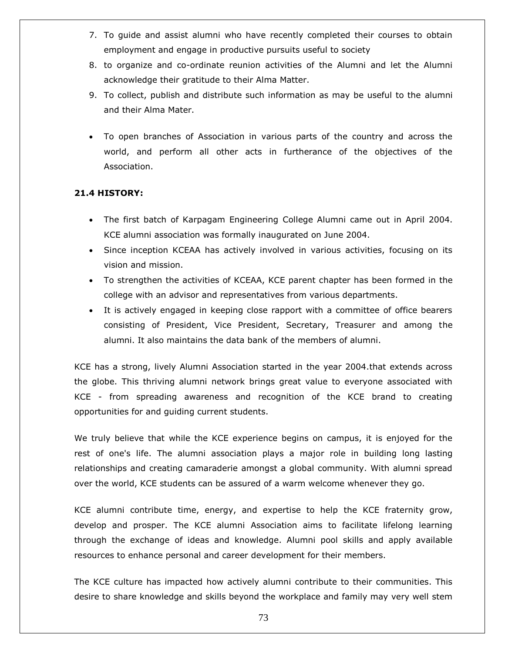- 7. To guide and assist alumni who have recently completed their courses to obtain employment and engage in productive pursuits useful to society
- 8. to organize and co-ordinate reunion activities of the Alumni and let the Alumni acknowledge their gratitude to their Alma Matter.
- 9. To collect, publish and distribute such information as may be useful to the alumni and their Alma Mater.
- To open branches of Association in various parts of the country and across the world, and perform all other acts in furtherance of the objectives of the Association.

# **21.4 HISTORY:**

- The first batch of Karpagam Engineering College Alumni came out in April 2004. KCE alumni association was formally inaugurated on June 2004.
- Since inception KCEAA has actively involved in various activities, focusing on its vision and mission.
- To strengthen the activities of KCEAA, KCE parent chapter has been formed in the college with an advisor and representatives from various departments.
- It is actively engaged in keeping close rapport with a committee of office bearers consisting of President, Vice President, Secretary, Treasurer and among the alumni. It also maintains the data bank of the members of alumni.

KCE has a strong, lively Alumni Association started in the year 2004.that extends across the globe. This thriving alumni network brings great value to everyone associated with KCE - from spreading awareness and recognition of the KCE brand to creating opportunities for and guiding current students.

We truly believe that while the KCE experience begins on campus, it is enjoyed for the rest of one's life. The alumni association plays a major role in building long lasting relationships and creating camaraderie amongst a global community. With alumni spread over the world, KCE students can be assured of a warm welcome whenever they go.

KCE alumni contribute time, energy, and expertise to help the KCE fraternity grow, develop and prosper. The KCE alumni Association aims to facilitate lifelong learning through the exchange of ideas and knowledge. Alumni pool skills and apply available resources to enhance personal and career development for their members.

The KCE culture has impacted how actively alumni contribute to their communities. This desire to share knowledge and skills beyond the workplace and family may very well stem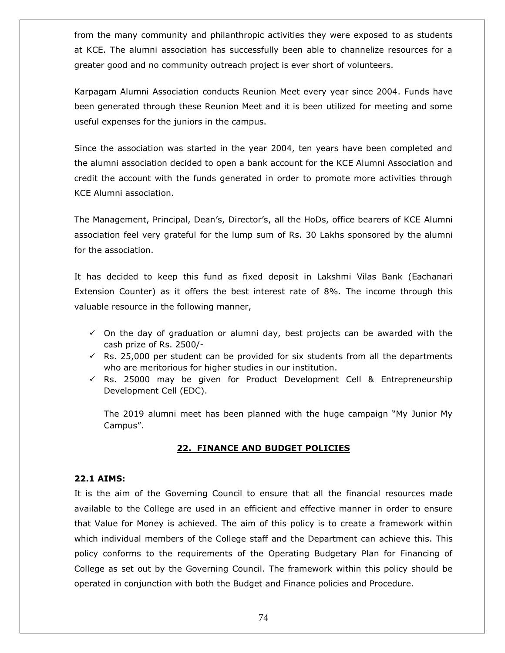from the many community and philanthropic activities they were exposed to as students at KCE. The alumni association has successfully been able to channelize resources for a greater good and no community outreach project is ever short of volunteers.

Karpagam Alumni Association conducts Reunion Meet every year since 2004. Funds have been generated through these Reunion Meet and it is been utilized for meeting and some useful expenses for the juniors in the campus.

Since the association was started in the year 2004, ten years have been completed and the alumni association decided to open a bank account for the KCE Alumni Association and credit the account with the funds generated in order to promote more activities through KCE Alumni association.

The Management, Principal, Dean"s, Director"s, all the HoDs, office bearers of KCE Alumni association feel very grateful for the lump sum of Rs. 30 Lakhs sponsored by the alumni for the association.

It has decided to keep this fund as fixed deposit in Lakshmi Vilas Bank (Eachanari Extension Counter) as it offers the best interest rate of 8%. The income through this valuable resource in the following manner,

- $\checkmark$  On the day of graduation or alumni day, best projects can be awarded with the cash prize of Rs. 2500/-
- $\checkmark$  Rs. 25,000 per student can be provided for six students from all the departments who are meritorious for higher studies in our institution.
- $\checkmark$  Rs. 25000 may be given for Product Development Cell & Entrepreneurship Development Cell (EDC).

The 2019 alumni meet has been planned with the huge campaign "My Junior My Campus".

### **22. FINANCE AND BUDGET POLICIES**

#### **22.1 AIMS:**

It is the aim of the Governing Council to ensure that all the financial resources made available to the College are used in an efficient and effective manner in order to ensure that Value for Money is achieved. The aim of this policy is to create a framework within which individual members of the College staff and the Department can achieve this. This policy conforms to the requirements of the Operating Budgetary Plan for Financing of College as set out by the Governing Council. The framework within this policy should be operated in conjunction with both the Budget and Finance policies and Procedure.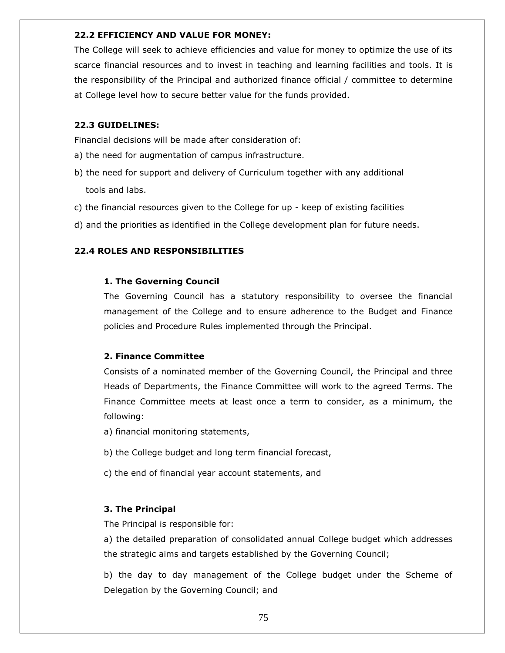#### **22.2 EFFICIENCY AND VALUE FOR MONEY:**

The College will seek to achieve efficiencies and value for money to optimize the use of its scarce financial resources and to invest in teaching and learning facilities and tools. It is the responsibility of the Principal and authorized finance official / committee to determine at College level how to secure better value for the funds provided.

## **22.3 GUIDELINES:**

Financial decisions will be made after consideration of:

- a) the need for augmentation of campus infrastructure.
- b) the need for support and delivery of Curriculum together with any additional tools and labs.
- c) the financial resources given to the College for up keep of existing facilities
- d) and the priorities as identified in the College development plan for future needs.

## **22.4 ROLES AND RESPONSIBILITIES**

### **1. The Governing Council**

The Governing Council has a statutory responsibility to oversee the financial management of the College and to ensure adherence to the Budget and Finance policies and Procedure Rules implemented through the Principal.

#### **2. Finance Committee**

Consists of a nominated member of the Governing Council, the Principal and three Heads of Departments, the Finance Committee will work to the agreed Terms. The Finance Committee meets at least once a term to consider, as a minimum, the following:

- a) financial monitoring statements,
- b) the College budget and long term financial forecast,
- c) the end of financial year account statements, and

#### **3. The Principal**

The Principal is responsible for:

a) the detailed preparation of consolidated annual College budget which addresses the strategic aims and targets established by the Governing Council;

b) the day to day management of the College budget under the Scheme of Delegation by the Governing Council; and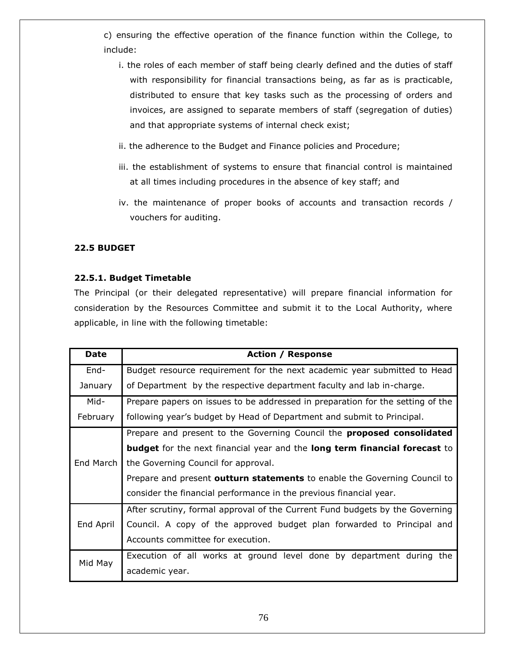c) ensuring the effective operation of the finance function within the College, to include:

- i. the roles of each member of staff being clearly defined and the duties of staff with responsibility for financial transactions being, as far as is practicable, distributed to ensure that key tasks such as the processing of orders and invoices, are assigned to separate members of staff (segregation of duties) and that appropriate systems of internal check exist;
- ii. the adherence to the Budget and Finance policies and Procedure;
- iii. the establishment of systems to ensure that financial control is maintained at all times including procedures in the absence of key staff; and
- iv. the maintenance of proper books of accounts and transaction records / vouchers for auditing.

# **22.5 BUDGET**

# **22.5.1. Budget Timetable**

The Principal (or their delegated representative) will prepare financial information for consideration by the Resources Committee and submit it to the Local Authority, where applicable, in line with the following timetable:

| <b>Date</b> | <b>Action / Response</b>                                                                 |
|-------------|------------------------------------------------------------------------------------------|
| End-        | Budget resource requirement for the next academic year submitted to Head                 |
| January     | of Department by the respective department faculty and lab in-charge.                    |
| Mid-        | Prepare papers on issues to be addressed in preparation for the setting of the           |
| February    | following year's budget by Head of Department and submit to Principal.                   |
| End March   | Prepare and present to the Governing Council the <b>proposed consolidated</b>            |
|             | <b>budget</b> for the next financial year and the <b>long term financial forecast</b> to |
|             | the Governing Council for approval.                                                      |
|             | Prepare and present outturn statements to enable the Governing Council to                |
|             | consider the financial performance in the previous financial year.                       |
| End April   | After scrutiny, formal approval of the Current Fund budgets by the Governing             |
|             | Council. A copy of the approved budget plan forwarded to Principal and                   |
|             | Accounts committee for execution.                                                        |
| Mid May     | Execution of all works at ground level done by department during the                     |
|             | academic year.                                                                           |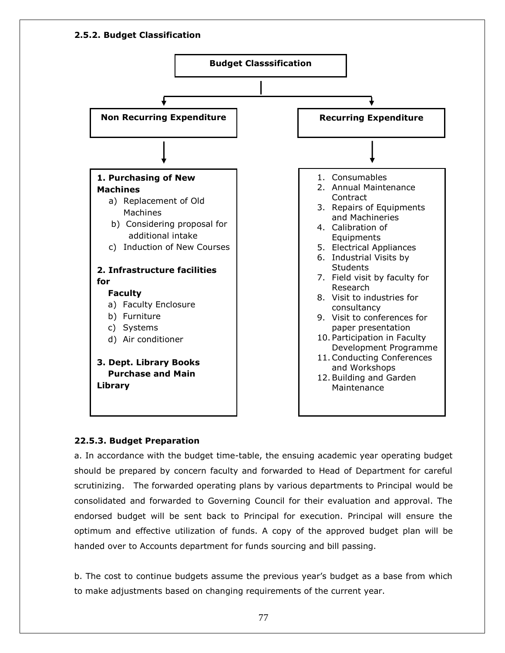

# **22.5.3. Budget Preparation**

a. In accordance with the budget time-table, the ensuing academic year operating budget should be prepared by concern faculty and forwarded to Head of Department for careful scrutinizing. The forwarded operating plans by various departments to Principal would be consolidated and forwarded to Governing Council for their evaluation and approval. The endorsed budget will be sent back to Principal for execution. Principal will ensure the optimum and effective utilization of funds. A copy of the approved budget plan will be handed over to Accounts department for funds sourcing and bill passing.

b. The cost to continue budgets assume the previous year"s budget as a base from which to make adjustments based on changing requirements of the current year.